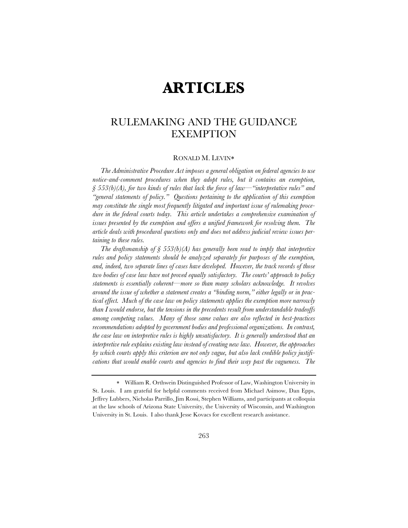# **ARTICLES**

# RULEMAKING AND THE GUIDANCE EXEMPTION

#### RONALD M. LEVIN\*

*The Administrative Procedure Act imposes a general obligation on federal agencies to use notice-and-comment procedures when they adopt rules, but it contains an exemption, § 553(b)(A), for two kinds of rules that lack the force of law—"interpretative rules" and "general statements of policy." Questions pertaining to the application of this exemption may constitute the single most frequently litigated and important issue of rulemaking procedure in the federal courts today. This article undertakes a comprehensive examination of*  issues presented by the exemption and offers a unified framework for resolving them. The *article deals with procedural questions only and does not address judicial review issues pertaining to these rules.*

*The draftsmanship of § 553(b)(A) has generally been read to imply that interpretive rules and policy statements should be analyzed separately for purposes of the exemption, and, indeed, two separate lines of cases have developed. However, the track records of those two bodies of case law have not proved equally satisfactory. The courts' approach to policy statements is essentially coherent—more so than many scholars acknowledge. It revolves around the issue of whether a statement creates a "binding norm," either legally or in practical effect. Much of the case law on policy statements applies the exemption more narrowly than I would endorse, but the tensions in the precedents result from understandable tradeoffs among competing values. Many of those same values are also reflected in best-practices recommendations adopted by government bodies and professional organizations. In contrast, the case law on interpretive rules is highly unsatisfactory. It is generally understood that an interpretive rule explains existing law instead of creating new law. However, the approaches by which courts apply this criterion are not only vague, but also lack credible policy justifications that would enable courts and agencies to find their way past the vagueness. The* 

<sup>\*</sup> William R. Orthwein Distinguished Professor of Law, Washington University in St. Louis. I am grateful for helpful comments received from Michael Asimow, Dan Epps, Jeffrey Lubbers, Nicholas Parrillo, Jim Rossi, Stephen Williams, and participants at colloquia at the law schools of Arizona State University, the University of Wisconsin, and Washington University in St. Louis. I also thank Jesse Kovacs for excellent research assistance.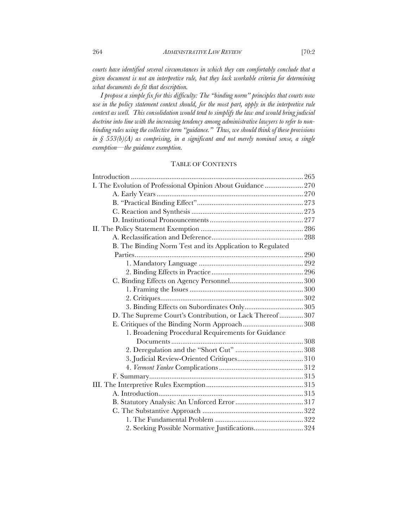*courts have identified several circumstances in which they can comfortably conclude that a given document is not an interpretive rule, but they lack workable criteria for determining what documents do fit that description.*

*I propose a simple fix for this difficulty: The "binding norm" principles that courts now use in the policy statement context should, for the most part, apply in the interpretive rule context as well. This consolidation would tend to simplify the law and would bring judicial doctrine into line with the increasing tendency among administrative lawyers to refer to nonbinding rules using the collective term "guidance." Thus, we should think of these provisions in § 553(b)(A) as comprising, in a significant and not merely nominal sense, a single exemption—the guidance exemption.*

# TABLE OF CONTENTS

| I. The Evolution of Professional Opinion About Guidance  270 |  |
|--------------------------------------------------------------|--|
|                                                              |  |
|                                                              |  |
|                                                              |  |
|                                                              |  |
|                                                              |  |
|                                                              |  |
| B. The Binding Norm Test and its Application to Regulated    |  |
|                                                              |  |
|                                                              |  |
|                                                              |  |
|                                                              |  |
|                                                              |  |
|                                                              |  |
|                                                              |  |
| D. The Supreme Court's Contribution, or Lack Thereof 307     |  |
|                                                              |  |
| 1. Broadening Procedural Requirements for Guidance           |  |
|                                                              |  |
|                                                              |  |
|                                                              |  |
|                                                              |  |
|                                                              |  |
|                                                              |  |
|                                                              |  |
|                                                              |  |
|                                                              |  |
|                                                              |  |
| 2. Seeking Possible Normative Justifications324              |  |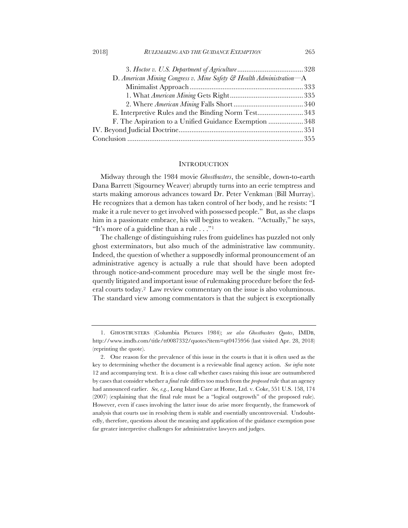| D. American Mining Congress v. Mine Safety & Health Administration-A |  |
|----------------------------------------------------------------------|--|
|                                                                      |  |
|                                                                      |  |
|                                                                      |  |
| E. Interpretive Rules and the Binding Norm Test343                   |  |
| F. The Aspiration to a Unified Guidance Exemption  348               |  |
|                                                                      |  |
|                                                                      |  |
|                                                                      |  |

#### **INTRODUCTION**

Midway through the 1984 movie *Ghostbusters*, the sensible, down-to-earth Dana Barrett (Sigourney Weaver) abruptly turns into an eerie temptress and starts making amorous advances toward Dr. Peter Venkman (Bill Murray). He recognizes that a demon has taken control of her body, and he resists: "I make it a rule never to get involved with possessed people." But, as she clasps him in a passionate embrace, his will begins to weaken. "Actually," he says, "It's more of a guideline than a rule . . ."1

The challenge of distinguishing rules from guidelines has puzzled not only ghost exterminators, but also much of the administrative law community. Indeed, the question of whether a supposedly informal pronouncement of an administrative agency is actually a rule that should have been adopted through notice-and-comment procedure may well be the single most frequently litigated and important issue of rulemaking procedure before the federal courts today.2 Law review commentary on the issue is also voluminous. The standard view among commentators is that the subject is exceptionally

<sup>1.</sup> GHOSTBUSTERS (Columbia Pictures 1984); *see also Ghostbusters Quotes*, IMDB, http://www.imdb.com/title/tt0087332/quotes?item=qt0475956 (last visited Apr. 28, 2018) (reprinting the quote).

<sup>2.</sup> One reason for the prevalence of this issue in the courts is that it is often used as the key to determining whether the document is a reviewable final agency action. *See infra* note 12 and accompanying text. It is a close call whether cases raising this issue are outnumbered by cases that consider whether a *final* rule differs too much from the *proposed* rule that an agency had announced earlier. *See, e.g.*, Long Island Care at Home, Ltd. v. Coke, 551 U.S. 158, 174 (2007) (explaining that the final rule must be a "logical outgrowth" of the proposed rule). However, even if cases involving the latter issue do arise more frequently, the framework of analysis that courts use in resolving them is stable and essentially uncontroversial. Undoubtedly, therefore, questions about the meaning and application of the guidance exemption pose far greater interpretive challenges for administrative lawyers and judges.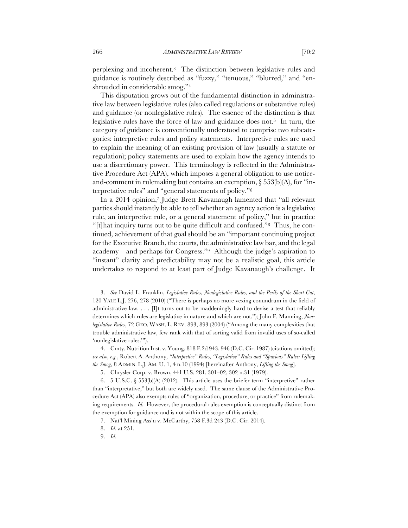perplexing and incoherent.3 The distinction between legislative rules and guidance is routinely described as "fuzzy," "tenuous," "blurred," and "enshrouded in considerable smog."4

This disputation grows out of the fundamental distinction in administrative law between legislative rules (also called regulations or substantive rules) and guidance (or nonlegislative rules). The essence of the distinction is that legislative rules have the force of law and guidance does not.<sup>5</sup> In turn, the category of guidance is conventionally understood to comprise two subcategories: interpretive rules and policy statements. Interpretive rules are used to explain the meaning of an existing provision of law (usually a statute or regulation); policy statements are used to explain how the agency intends to use a discretionary power. This terminology is reflected in the Administrative Procedure Act (APA), which imposes a general obligation to use noticeand-comment in rulemaking but contains an exemption,  $\S 553(b)$ (A), for "interpretative rules" and "general statements of policy."6

In a 2014 opinion,7 Judge Brett Kavanaugh lamented that "all relevant parties should instantly be able to tell whether an agency action is a legislative rule, an interpretive rule, or a general statement of policy," but in practice "[t]hat inquiry turns out to be quite difficult and confused."8 Thus, he continued, achievement of that goal should be an "important continuing project for the Executive Branch, the courts, the administrative law bar, and the legal academy—and perhaps for Congress."9 Although the judge's aspiration to "instant" clarity and predictability may not be a realistic goal, this article undertakes to respond to at least part of Judge Kavanaugh's challenge. It

<sup>3.</sup> *See* David L. Franklin, *Legislative Rules, Nonlegislative Rules, and the Perils of the Short Cut*, 120 YALE L.J. 276, 278 (2010) ("There is perhaps no more vexing conundrum in the field of administrative law.  $\ldots$  [I]t turns out to be maddeningly hard to devise a test that reliably determines which rules are legislative in nature and which are not."); John F. Manning, *Nonlegislative Rules*, 72 GEO. WASH. L. REV. 893, 893 (2004) ("Among the many complexities that trouble administrative law, few rank with that of sorting valid from invalid uses of so-called 'nonlegislative rules.'").

<sup>4.</sup> Cmty. Nutrition Inst. v. Young, 818 F.2d 943, 946 (D.C. Cir. 1987) (citations omitted); *see also, e.g.*, Robert A. Anthony, *"Interpretive" Rules, "Legislative" Rules and "Spurious" Rules: Lifting the Smog*, 8 ADMIN. L.J. AM. U. 1, 4 n.10 (1994) [hereinafter Anthony, *Lifting the Smog*].

<sup>5.</sup> Chrysler Corp. v. Brown, 441 U.S. 281, 301–02, 302 n.31 (1979).

<sup>6.</sup> 5 U.S.C. § 553(b)(A) (2012). This article uses the briefer term "interpretive" rather than "interpretative," but both are widely used. The same clause of the Administrative Procedure Act (APA) also exempts rules of "organization, procedure, or practice" from rulemaking requirements. *Id.* However, the procedural rules exemption is conceptually distinct from the exemption for guidance and is not within the scope of this article.

<sup>7.</sup> Nat'l Mining Ass'n v. McCarthy, 758 F.3d 243 (D.C. Cir. 2014).

<sup>8.</sup> *Id.* at 251.

<sup>9.</sup> *Id.*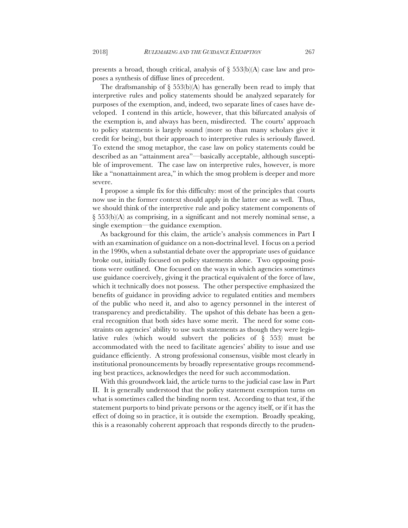presents a broad, though critical, analysis of  $\S$  553(b)(A) case law and proposes a synthesis of diffuse lines of precedent.

The draftsmanship of  $\S$  553(b)(A) has generally been read to imply that interpretive rules and policy statements should be analyzed separately for purposes of the exemption, and, indeed, two separate lines of cases have developed. I contend in this article, however, that this bifurcated analysis of the exemption is, and always has been, misdirected. The courts' approach to policy statements is largely sound (more so than many scholars give it credit for being), but their approach to interpretive rules is seriously flawed. To extend the smog metaphor, the case law on policy statements could be described as an "attainment area"—basically acceptable, although susceptible of improvement. The case law on interpretive rules, however, is more like a "nonattainment area," in which the smog problem is deeper and more severe.

I propose a simple fix for this difficulty: most of the principles that courts now use in the former context should apply in the latter one as well. Thus, we should think of the interpretive rule and policy statement components of § 553(b)(A) as comprising, in a significant and not merely nominal sense, a single exemption—the guidance exemption.

As background for this claim, the article's analysis commences in Part I with an examination of guidance on a non-doctrinal level. I focus on a period in the 1990s, when a substantial debate over the appropriate uses of guidance broke out, initially focused on policy statements alone. Two opposing positions were outlined. One focused on the ways in which agencies sometimes use guidance coercively, giving it the practical equivalent of the force of law, which it technically does not possess. The other perspective emphasized the benefits of guidance in providing advice to regulated entities and members of the public who need it, and also to agency personnel in the interest of transparency and predictability. The upshot of this debate has been a general recognition that both sides have some merit. The need for some constraints on agencies' ability to use such statements as though they were legislative rules (which would subvert the policies of § 553) must be accommodated with the need to facilitate agencies' ability to issue and use guidance efficiently. A strong professional consensus, visible most clearly in institutional pronouncements by broadly representative groups recommending best practices, acknowledges the need for such accommodation.

With this groundwork laid, the article turns to the judicial case law in Part II. It is generally understood that the policy statement exemption turns on what is sometimes called the binding norm test. According to that test, if the statement purports to bind private persons or the agency itself, or if it has the effect of doing so in practice, it is outside the exemption. Broadly speaking, this is a reasonably coherent approach that responds directly to the pruden-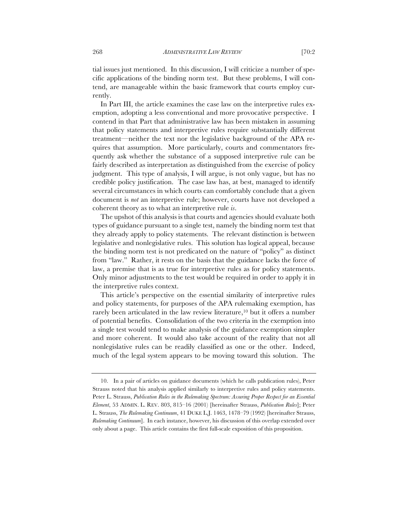tial issues just mentioned. In this discussion, I will criticize a number of specific applications of the binding norm test. But these problems, I will contend, are manageable within the basic framework that courts employ currently.

In Part III, the article examines the case law on the interpretive rules exemption, adopting a less conventional and more provocative perspective. I contend in that Part that administrative law has been mistaken in assuming that policy statements and interpretive rules require substantially different treatment—neither the text nor the legislative background of the APA requires that assumption. More particularly, courts and commentators frequently ask whether the substance of a supposed interpretive rule can be fairly described as interpretation as distinguished from the exercise of policy judgment. This type of analysis, I will argue, is not only vague, but has no credible policy justification. The case law has, at best, managed to identify several circumstances in which courts can comfortably conclude that a given document is *not* an interpretive rule; however, courts have not developed a coherent theory as to what an interpretive rule *is*.

The upshot of this analysis is that courts and agencies should evaluate both types of guidance pursuant to a single test, namely the binding norm test that they already apply to policy statements. The relevant distinction is between legislative and nonlegislative rules. This solution has logical appeal, because the binding norm test is not predicated on the nature of "policy" as distinct from "law." Rather, it rests on the basis that the guidance lacks the force of law, a premise that is as true for interpretive rules as for policy statements. Only minor adjustments to the test would be required in order to apply it in the interpretive rules context.

This article's perspective on the essential similarity of interpretive rules and policy statements, for purposes of the APA rulemaking exemption, has rarely been articulated in the law review literature,<sup>10</sup> but it offers a number of potential benefits. Consolidation of the two criteria in the exemption into a single test would tend to make analysis of the guidance exemption simpler and more coherent. It would also take account of the reality that not all nonlegislative rules can be readily classified as one or the other. Indeed, much of the legal system appears to be moving toward this solution. The

<sup>10.</sup> In a pair of articles on guidance documents (which he calls publication rules), Peter Strauss noted that his analysis applied similarly to interpretive rules and policy statements. Peter L. Strauss, *Publication Rules in the Rulemaking Spectrum: Assuring Proper Respect for an Essential Element*, 53 ADMIN. L. REV. 803, 815–16 (2001) [hereinafter Strauss, *Publication Rules*]; Peter L. Strauss, *The Rulemaking Continuum*, 41 DUKE L.J. 1463, 1478–79 (1992) [hereinafter Strauss, *Rulemaking Continuum*]. In each instance, however, his discussion of this overlap extended over only about a page. This article contains the first full-scale exposition of this proposition.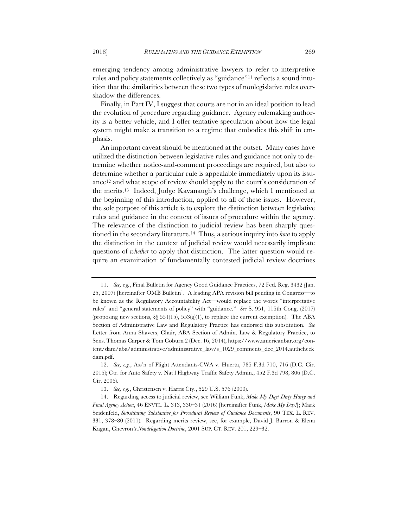emerging tendency among administrative lawyers to refer to interpretive rules and policy statements collectively as "guidance"11 reflects a sound intuition that the similarities between these two types of nonlegislative rules overshadow the differences.

Finally, in Part IV, I suggest that courts are not in an ideal position to lead the evolution of procedure regarding guidance. Agency rulemaking authority is a better vehicle, and I offer tentative speculation about how the legal system might make a transition to a regime that embodies this shift in emphasis.

An important caveat should be mentioned at the outset. Many cases have utilized the distinction between legislative rules and guidance not only to determine whether notice-and-comment proceedings are required, but also to determine whether a particular rule is appealable immediately upon its issuance12 and what scope of review should apply to the court's consideration of the merits.13 Indeed, Judge Kavanaugh's challenge, which I mentioned at the beginning of this introduction, applied to all of these issues. However, the sole purpose of this article is to explore the distinction between legislative rules and guidance in the context of issues of procedure within the agency. The relevance of the distinction to judicial review has been sharply questioned in the secondary literature.14 Thus, a serious inquiry into *how* to apply the distinction in the context of judicial review would necessarily implicate questions of *whether* to apply that distinction. The latter question would require an examination of fundamentally contested judicial review doctrines

<sup>11.</sup> *See, e.g.*, Final Bulletin for Agency Good Guidance Practices, 72 Fed. Reg. 3432 (Jan. 25, 2007) [hereinafter OMB Bulletin]. A leading APA revision bill pending in Congress—to be known as the Regulatory Accountability Act—would replace the words "interpretative rules" and "general statements of policy" with "guidance." *See* S. 951, 115th Cong. (2017) (proposing new sections,  $\S$  551(15), 553(g)(1), to replace the current exemption). The ABA Section of Administrative Law and Regulatory Practice has endorsed this substitution. *See*  Letter from Anna Shavers, Chair, ABA Section of Admin. Law & Regulatory Practice, to Sens. Thomas Carper & Tom Coburn 2 (Dec. 16, 2014), https://www.americanbar.org/content/dam/aba/administrative/administrative\_law/s\_1029\_comments\_dec\_2014.authcheck dam.pdf.

<sup>12.</sup> *See, e.g.*, Ass'n of Flight Attendants-CWA v. Huerta, 785 F.3d 710, 716 (D.C. Cir. 2015); Ctr. for Auto Safety v. Nat'l Highway Traffic Safety Admin., 452 F.3d 798, 806 (D.C. Cir. 2006).

<sup>13.</sup> *See, e.g.*, Christensen v. Harris Cty., 529 U.S. 576 (2000).

<sup>14.</sup> Regarding access to judicial review, see William Funk, *Make My Day! Dirty Harry and Final Agency Action*, 46 ENVTL. L. 313, 330–31 (2016) [hereinafter Funk, *Make My Day!*]; Mark Seidenfeld, *Substituting Substantive for Procedural Review of Guidance Documents*, 90 TEX. L. REV. 331, 378–80 (2011). Regarding merits review, see, for example, David J. Barron & Elena Kagan, Chevron*'s Nondelegation Doctrine*, 2001 SUP. CT. REV. 201, 229–32.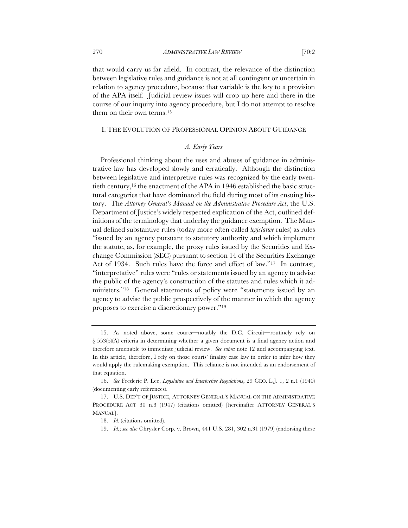that would carry us far afield. In contrast, the relevance of the distinction between legislative rules and guidance is not at all contingent or uncertain in relation to agency procedure, because that variable is the key to a provision of the APA itself. Judicial review issues will crop up here and there in the course of our inquiry into agency procedure, but I do not attempt to resolve them on their own terms.15

## I. THE EVOLUTION OF PROFESSIONAL OPINION ABOUT GUIDANCE

# *A. Early Years*

Professional thinking about the uses and abuses of guidance in administrative law has developed slowly and erratically. Although the distinction between legislative and interpretive rules was recognized by the early twentieth century,16 the enactment of the APA in 1946 established the basic structural categories that have dominated the field during most of its ensuing history. The *Attorney General's Manual on the Administrative Procedure Act*, the U.S. Department of Justice's widely respected explication of the Act, outlined definitions of the terminology that underlay the guidance exemption. The Manual defined substantive rules (today more often called *legislative* rules) as rules "issued by an agency pursuant to statutory authority and which implement the statute, as, for example, the proxy rules issued by the Securities and Exchange Commission (SEC) pursuant to section 14 of the Securities Exchange Act of 1934. Such rules have the force and effect of law."17 In contrast, "interpretative" rules were "rules or statements issued by an agency to advise the public of the agency's construction of the statutes and rules which it administers."18 General statements of policy were "statements issued by an agency to advise the public prospectively of the manner in which the agency proposes to exercise a discretionary power."19

<sup>15.</sup> As noted above, some courts—notably the D.C. Circuit—routinely rely on § 553(b)(A) criteria in determining whether a given document is a final agency action and therefore amenable to immediate judicial review. *See supra* note 12 and accompanying text. In this article, therefore, I rely on those courts' finality case law in order to infer how they would apply the rulemaking exemption. This reliance is not intended as an endorsement of that equation.

<sup>16.</sup> *See* Frederic P. Lee, *Legislative and Interpretive Regulations*, 29 GEO. L.J. 1, 2 n.1 (1940) (documenting early references).

<sup>17.</sup> U.S. DEP'T OF JUSTICE, ATTORNEY GENERAL'S MANUAL ON THE ADMINISTRATIVE PROCEDURE ACT 30 n.3 (1947) (citations omitted) [hereinafter ATTORNEY GENERAL'S MANUAL].

<sup>18.</sup> *Id.* (citations omitted).

<sup>19.</sup> *Id.*; *see also* Chrysler Corp. v. Brown, 441 U.S. 281, 302 n.31 (1979) (endorsing these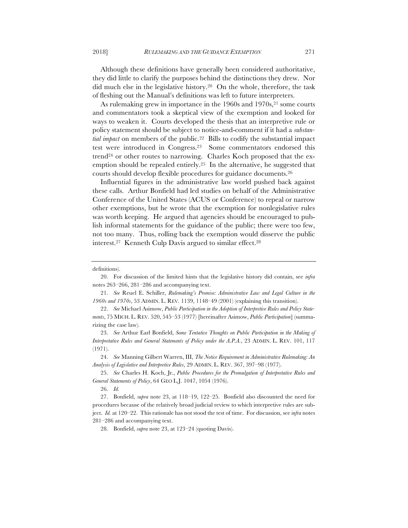Although these definitions have generally been considered authoritative, they did little to clarify the purposes behind the distinctions they drew. Nor did much else in the legislative history.20 On the whole, therefore, the task of fleshing out the Manual's definitions was left to future interpreters.

As rulemaking grew in importance in the 1960s and 1970s,<sup>21</sup> some courts and commentators took a skeptical view of the exemption and looked for ways to weaken it. Courts developed the thesis that an interpretive rule or policy statement should be subject to notice-and-comment if it had a *substantial impact* on members of the public.<sup>22</sup> Bills to codify the substantial impact test were introduced in Congress.23 Some commentators endorsed this trend<sup>24</sup> or other routes to narrowing. Charles Koch proposed that the exemption should be repealed entirely.25 In the alternative, he suggested that courts should develop flexible procedures for guidance documents.26

Influential figures in the administrative law world pushed back against these calls. Arthur Bonfield had led studies on behalf of the Administrative Conference of the United States (ACUS or Conference) to repeal or narrow other exemptions, but he wrote that the exemption for nonlegislative rules was worth keeping. He argued that agencies should be encouraged to publish informal statements for the guidance of the public; there were too few, not too many. Thus, rolling back the exemption would disserve the public interest.27 Kenneth Culp Davis argued to similar effect.28

28. Bonfield, *supra* note 23, at 123–24 (quoting Davis).

definitions).

<sup>20.</sup> For discussion of the limited hints that the legislative history did contain, see *infra*  notes 263–266, 281–286 and accompanying text.

<sup>21.</sup> *See* Reuel E. Schiller, *Rulemaking's Promise: Administrative Law and Legal Culture in the 1960s and 1970s*, 53 ADMIN. L. REV. 1139, 1148–49 (2001) (explaining this transition).

<sup>22.</sup> *See* Michael Asimow, *Public Participation in the Adoption of Interpretive Rules and Policy Statements*, 75 MICH. L. REV. 520, 545–53 (1977) [hereinafter Asimow, *Public Participation*] (summarizing the case law).

<sup>23.</sup> *See* Arthur Earl Bonfield, *Some Tentative Thoughts on Public Participation in the Making of Interpretative Rules and General Statements of Policy under the A.P.A.*, 23 ADMIN. L. REV. 101, 117 (1971).

<sup>24.</sup> *See* Manning Gilbert Warren, III, *The Notice Requirement in Administrative Rulemaking: An Analysis of Legislative and Interpretive Rules*, 29 ADMIN. L. REV. 367, 397–98 (1977).

<sup>25.</sup> *See* Charles H. Koch, Jr., *Public Procedures for the Promulgation of Interpretative Rules and General Statements of Policy*, 64 GEO L.J. 1047, 1054 (1976).

<sup>26.</sup> *Id.*

<sup>27.</sup> Bonfield, *supra* note 23, at 118–19, 122–25. Bonfield also discounted the need for procedures because of the relatively broad judicial review to which interpretive rules are subject. *Id.* at 120–22. This rationale has not stood the test of time. For discussion, see *infra* notes 281–286 and accompanying text.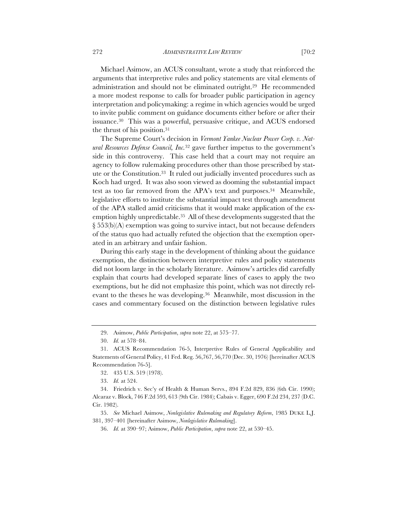Michael Asimow, an ACUS consultant, wrote a study that reinforced the arguments that interpretive rules and policy statements are vital elements of administration and should not be eliminated outright.29 He recommended a more modest response to calls for broader public participation in agency interpretation and policymaking: a regime in which agencies would be urged to invite public comment on guidance documents either before or after their issuance.30 This was a powerful, persuasive critique, and ACUS endorsed the thrust of his position.31

The Supreme Court's decision in *Vermont Yankee Nuclear Power Corp. v. Natural Resources Defense Council, Inc.*<sup>32</sup> gave further impetus to the government's side in this controversy. This case held that a court may not require an agency to follow rulemaking procedures other than those prescribed by statute or the Constitution.33 It ruled out judicially invented procedures such as Koch had urged. It was also soon viewed as dooming the substantial impact test as too far removed from the APA's text and purposes.<sup>34</sup> Meanwhile, legislative efforts to institute the substantial impact test through amendment of the APA stalled amid criticisms that it would make application of the exemption highly unpredictable.35 All of these developments suggested that the § 553(b)(A) exemption was going to survive intact, but not because defenders of the status quo had actually refuted the objection that the exemption operated in an arbitrary and unfair fashion.

During this early stage in the development of thinking about the guidance exemption, the distinction between interpretive rules and policy statements did not loom large in the scholarly literature. Asimow's articles did carefully explain that courts had developed separate lines of cases to apply the two exemptions, but he did not emphasize this point, which was not directly relevant to the theses he was developing.36 Meanwhile, most discussion in the cases and commentary focused on the distinction between legislative rules

<sup>29.</sup> Asimow, *Public Participation*, *supra* note 22, at 575–77.

<sup>30.</sup> *Id.* at 578–84.

<sup>31.</sup> ACUS Recommendation 76-5, Interpretive Rules of General Applicability and Statements of General Policy, 41 Fed. Reg. 56,767, 56,770 (Dec. 30, 1976) [hereinafter ACUS Recommendation 76-5].

<sup>32.</sup> 435 U.S. 519 (1978).

<sup>33.</sup> *Id.* at 524.

<sup>34.</sup> Friedrich v. Sec'y of Health & Human Servs., 894 F.2d 829, 836 (6th Cir. 1990); Alcaraz v. Block, 746 F.2d 593, 613 (9th Cir. 1984); Cabais v. Egger, 690 F.2d 234, 237 (D.C. Cir. 1982).

<sup>35.</sup> *See* Michael Asimow, *Nonlegislative Rulemaking and Regulatory Reform*, 1985 DUKE L.J. 381, 397–401 [hereinafter Asimow, *Nonlegislative Rulemaking*].

<sup>36.</sup> *Id.* at 390–97; Asimow, *Public Participation*, *supra* note 22, at 530–45.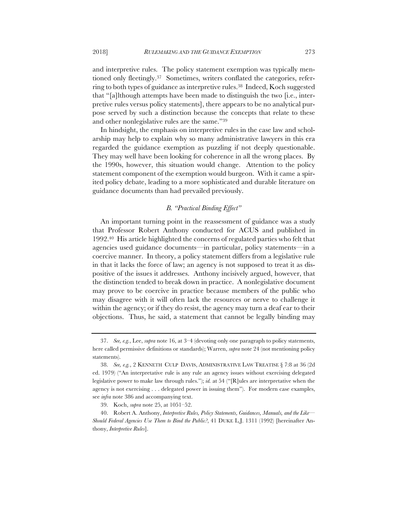and interpretive rules. The policy statement exemption was typically mentioned only fleetingly.37 Sometimes, writers conflated the categories, referring to both types of guidance as interpretive rules.38 Indeed, Koch suggested that "[a]lthough attempts have been made to distinguish the two [i.e., interpretive rules versus policy statements], there appears to be no analytical purpose served by such a distinction because the concepts that relate to these and other nonlegislative rules are the same."39

In hindsight, the emphasis on interpretive rules in the case law and scholarship may help to explain why so many administrative lawyers in this era regarded the guidance exemption as puzzling if not deeply questionable. They may well have been looking for coherence in all the wrong places. By the 1990s, however, this situation would change. Attention to the policy statement component of the exemption would burgeon. With it came a spirited policy debate, leading to a more sophisticated and durable literature on guidance documents than had prevailed previously.

# *B. "Practical Binding Effect"*

An important turning point in the reassessment of guidance was a study that Professor Robert Anthony conducted for ACUS and published in 1992.40 His article highlighted the concerns of regulated parties who felt that agencies used guidance documents—in particular, policy statements—in a coercive manner. In theory, a policy statement differs from a legislative rule in that it lacks the force of law; an agency is not supposed to treat it as dispositive of the issues it addresses. Anthony incisively argued, however, that the distinction tended to break down in practice. A nonlegislative document may prove to be coercive in practice because members of the public who may disagree with it will often lack the resources or nerve to challenge it within the agency; or if they do resist, the agency may turn a deaf ear to their objections. Thus, he said, a statement that cannot be legally binding may

<sup>37.</sup> *See, e.g.*, Lee, *supra* note 16, at 3–4 (devoting only one paragraph to policy statements, here called permissive definitions or standards); Warren, *supra* note 24 (not mentioning policy statements).

<sup>38.</sup> *See, e.g.*, 2 KENNETH CULP DAVIS, ADMINISTRATIVE LAW TREATISE § 7:8 at 36 (2d ed. 1979) ("An interpretative rule is any rule an agency issues without exercising delegated legislative power to make law through rules."); *id.* at 54 ("[R]ules are interpretative when the agency is not exercising . . . delegated power in issuing them"). For modern case examples, see *infra* note 386 and accompanying text.

<sup>39.</sup> Koch, *supra* note 25, at 1051–52.

<sup>40.</sup> Robert A. Anthony, *Interpretive Rules, Policy Statements, Guidances, Manuals, and the Like— Should Federal Agencies Use Them to Bind the Public?*, 41 DUKE L.J. 1311 (1992) [hereinafter Anthony, *Interpretive Rules*].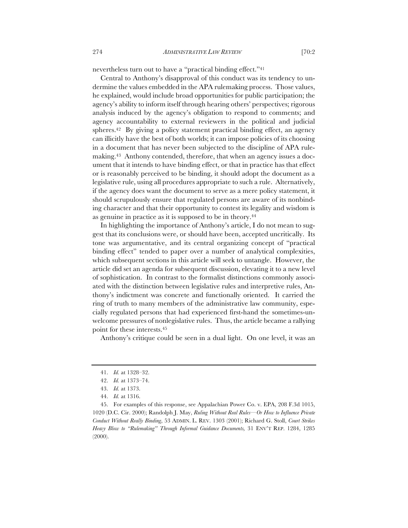nevertheless turn out to have a "practical binding effect."41

Central to Anthony's disapproval of this conduct was its tendency to undermine the values embedded in the APA rulemaking process. Those values, he explained, would include broad opportunities for public participation; the agency's ability to inform itself through hearing others' perspectives; rigorous analysis induced by the agency's obligation to respond to comments; and agency accountability to external reviewers in the political and judicial spheres.<sup>42</sup> By giving a policy statement practical binding effect, an agency can illicitly have the best of both worlds; it can impose policies of its choosing in a document that has never been subjected to the discipline of APA rulemaking.43 Anthony contended, therefore, that when an agency issues a document that it intends to have binding effect, or that in practice has that effect or is reasonably perceived to be binding, it should adopt the document as a legislative rule, using all procedures appropriate to such a rule. Alternatively, if the agency does want the document to serve as a mere policy statement, it should scrupulously ensure that regulated persons are aware of its nonbinding character and that their opportunity to contest its legality and wisdom is as genuine in practice as it is supposed to be in theory.44

In highlighting the importance of Anthony's article, I do not mean to suggest that its conclusions were, or should have been, accepted uncritically. Its tone was argumentative, and its central organizing concept of "practical binding effect" tended to paper over a number of analytical complexities, which subsequent sections in this article will seek to untangle. However, the article did set an agenda for subsequent discussion, elevating it to a new level of sophistication. In contrast to the formalist distinctions commonly associated with the distinction between legislative rules and interpretive rules, Anthony's indictment was concrete and functionally oriented. It carried the ring of truth to many members of the administrative law community, especially regulated persons that had experienced first-hand the sometimes-unwelcome pressures of nonlegislative rules. Thus, the article became a rallying point for these interests.45

Anthony's critique could be seen in a dual light. On one level, it was an

<sup>41.</sup> *Id.* at 1328–32.

<sup>42.</sup> *Id.* at 1373–74.

<sup>43.</sup> *Id.* at 1373.

<sup>44.</sup> *Id.* at 1316.

<sup>45.</sup> For examples of this response, see Appalachian Power Co. v. EPA, 208 F.3d 1015, 1020 (D.C. Cir. 2000); Randolph J. May, *Ruling Without Real Rules—Or How to Influence Private Conduct Without Really Binding*, 53 ADMIN. L. REV. 1303 (2001); Richard G. Stoll, *Court Strikes Heavy Blow to "Rulemaking" Through Informal Guidance Documents,* 31 ENV'T REP. 1284, 1285 (2000).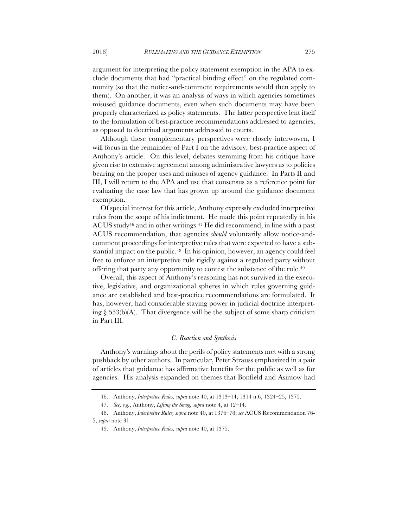argument for interpreting the policy statement exemption in the APA to exclude documents that had "practical binding effect" on the regulated community (so that the notice-and-comment requirements would then apply to them). On another, it was an analysis of ways in which agencies sometimes misused guidance documents, even when such documents may have been properly characterized as policy statements. The latter perspective lent itself to the formulation of best-practice recommendations addressed to agencies, as opposed to doctrinal arguments addressed to courts.

Although these complementary perspectives were closely interwoven, I will focus in the remainder of Part I on the advisory, best-practice aspect of Anthony's article. On this level, debates stemming from his critique have given rise to extensive agreement among administrative lawyers as to policies bearing on the proper uses and misuses of agency guidance. In Parts II and III, I will return to the APA and use that consensus as a reference point for evaluating the case law that has grown up around the guidance document exemption.

Of special interest for this article, Anthony expressly excluded interpretive rules from the scope of his indictment. He made this point repeatedly in his ACUS study<sup>46</sup> and in other writings.<sup>47</sup> He did recommend, in line with a past ACUS recommendation, that agencies *should* voluntarily allow notice-andcomment proceedings for interpretive rules that were expected to have a substantial impact on the public.<sup>48</sup> In his opinion, however, an agency could feel free to enforce an interpretive rule rigidly against a regulated party without offering that party any opportunity to contest the substance of the rule.49

Overall, this aspect of Anthony's reasoning has not survived in the executive, legislative, and organizational spheres in which rules governing guidance are established and best-practice recommendations are formulated. It has, however, had considerable staying power in judicial doctrine interpreting  $\S$  553(b)(A). That divergence will be the subject of some sharp criticism in Part III.

#### *C. Reaction and Synthesis*

Anthony's warnings about the perils of policy statements met with a strong pushback by other authors. In particular, Peter Strauss emphasized in a pair of articles that guidance has affirmative benefits for the public as well as for agencies. His analysis expanded on themes that Bonfield and Asimow had

<sup>46.</sup> Anthony, *Interpretive Rules, supra* note 40, at 1313–14, 1314 n.6, 1324–25, 1375.

<sup>47.</sup> *See, e.g.*, Anthony, *Lifting the Smog, supra* note 4, at 12–14.

<sup>48.</sup> Anthony, *Interpretive Rules, supra* note 40, at 1376–78; *see* ACUS Recommendation 76- 5, *supra* note 31.

<sup>49.</sup> Anthony, *Interpretive Rules, supra* note 40, at 1375.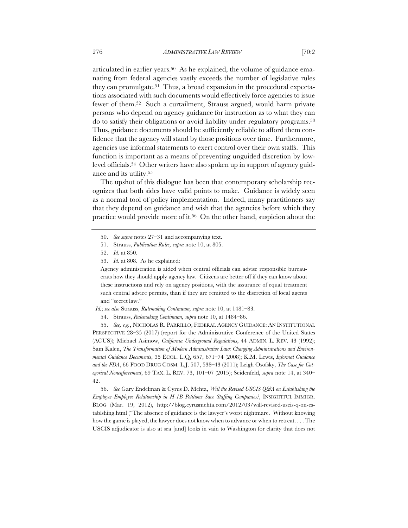articulated in earlier years.50 As he explained, the volume of guidance emanating from federal agencies vastly exceeds the number of legislative rules they can promulgate.51 Thus, a broad expansion in the procedural expectations associated with such documents would effectively force agencies to issue fewer of them.52 Such a curtailment, Strauss argued, would harm private persons who depend on agency guidance for instruction as to what they can do to satisfy their obligations or avoid liability under regulatory programs.53 Thus, guidance documents should be sufficiently reliable to afford them confidence that the agency will stand by those positions over time. Furthermore, agencies use informal statements to exert control over their own staffs. This function is important as a means of preventing unguided discretion by lowlevel officials.54 Other writers have also spoken up in support of agency guidance and its utility.55

The upshot of this dialogue has been that contemporary scholarship recognizes that both sides have valid points to make. Guidance is widely seen as a normal tool of policy implementation. Indeed, many practitioners say that they depend on guidance and wish that the agencies before which they practice would provide more of it.56 On the other hand, suspicion about the

Agency administration is aided when central officials can advise responsible bureaucrats how they should apply agency law. Citizens are better off if they can know about these instructions and rely on agency positions, with the assurance of equal treatment such central advice permits, than if they are remitted to the discretion of local agents and "secret law."

 *Id.*; *see also* Strauss, *Rulemaking Continuum, supra* note 10, at 1481–83.

54. Strauss, *Rulemaking Continuum, supra* note 10, at 1484–86.

55. *See, e.g.*, NICHOLAS R. PARRILLO, FEDERAL AGENCY GUIDANCE: AN INSTITUTIONAL PERSPECTIVE 28–35 (2017) (report for the Administrative Conference of the United States (ACUS)); Michael Asimow, *California Underground Regulations*, 44 ADMIN. L. REV. 43 (1992); Sam Kalen, *The Transformation of Modern Administrative Law: Changing Administrations and Environmental Guidance Documents*, 35 ECOL. L.Q. 657, 671–74 (2008); K.M. Lewis, *Informal Guidance and the FDA*, 66 FOOD DRUG COSM. L.J. 507, 538–43 (2011); Leigh Osofsky, *The Case for Categorical Nonenforcement*, 69 TAX. L. REV. 73, 101–07 (2015); Seidenfeld, *supra* note 14, at 340– 42.

56. *See* Gary Endelman & Cyrus D. Mehta, *Will the Revised USCIS Q&A on Establishing the Employer-Employee Relationship in H-1B Petitions Save Staffing Companies?*, INSIGHTFUL IMMIGR. BLOG (Mar. 19, 2012), http://blog.cyrusmehta.com/2012/03/will-revised-uscis-q-on-establshing.html ("The absence of guidance is the lawyer's worst nightmare. Without knowing how the game is played, the lawyer does not know when to advance or when to retreat. . . . The USCIS adjudicator is also at sea [and] looks in vain to Washington for clarity that does not

<sup>50.</sup> *See supra* notes 27–31 and accompanying text.

<sup>51.</sup> Strauss, *Publication Rules, supra* note 10, at 805.

<sup>52.</sup> *Id.* at 850.

<sup>53.</sup> *Id.* at 808. As he explained: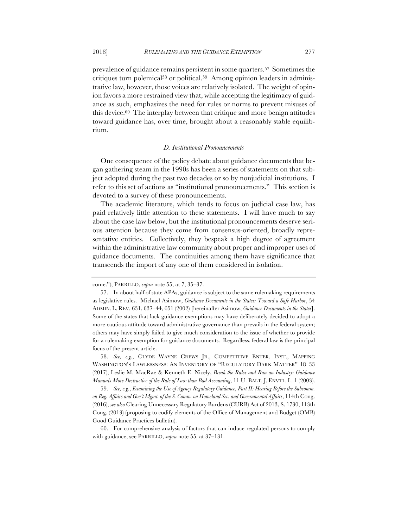trative law, however, those voices are relatively isolated. The weight of opinion favors a more restrained view that, while accepting the legitimacy of guidance as such, emphasizes the need for rules or norms to prevent misuses of this device.60 The interplay between that critique and more benign attitudes toward guidance has, over time, brought about a reasonably stable equilibrium.

#### *D. Institutional Pronouncements*

One consequence of the policy debate about guidance documents that began gathering steam in the 1990s has been a series of statements on that subject adopted during the past two decades or so by nonjudicial institutions. I refer to this set of actions as "institutional pronouncements." This section is devoted to a survey of these pronouncements.

The academic literature, which tends to focus on judicial case law, has paid relatively little attention to these statements. I will have much to say about the case law below, but the institutional pronouncements deserve serious attention because they come from consensus-oriented, broadly representative entities. Collectively, they bespeak a high degree of agreement within the administrative law community about proper and improper uses of guidance documents. The continuities among them have significance that transcends the import of any one of them considered in isolation.

58. *See, e.g.*, CLYDE WAYNE CREWS JR., COMPETITIVE ENTER. INST., MAPPING WASHINGTON'S LAWLESSNESS: AN INVENTORY OF "REGULATORY DARK MATTER" 18–33 (2017); Leslie M. MacRae & Kenneth E. Nicely, *Break the Rules and Run an Industry: Guidance Manuals More Destructive of the Rule of Law than Bad Accounting*, 11 U. BALT. J. ENVTL. L. 1 (2003).

59. *See, e.g.*, *Examining the Use of Agency Regulatory Guidance, Part II: Hearing Before the Subcomm. on Reg. Affairs and Gov't Mgmt. of the S. Comm. on Homeland Sec. and Governmental Affairs*, 114th Cong. (2016); *see also* Clearing Unnecessary Regulatory Burdens (CURB) Act of 2013, S. 1730, 113th Cong. (2013) (proposing to codify elements of the Office of Management and Budget (OMB) Good Guidance Practices bulletin).

60. For comprehensive analysis of factors that can induce regulated persons to comply with guidance, see PARRILLO, *supra* note 55, at 37–131.

come."); PARRILLO, *supra* note 55, at 7, 35–37.

<sup>57.</sup> In about half of state APAs, guidance is subject to the same rulemaking requirements as legislative rules. Michael Asimow, *Guidance Documents in the States: Toward a Safe Harbor*, 54 ADMIN. L. REV. 631, 637–44, 651 (2002) [hereinafter Asimow, *Guidance Documents in the States*]. Some of the states that lack guidance exemptions may have deliberately decided to adopt a more cautious attitude toward administrative governance than prevails in the federal system; others may have simply failed to give much consideration to the issue of whether to provide for a rulemaking exemption for guidance documents. Regardless, federal law is the principal focus of the present article.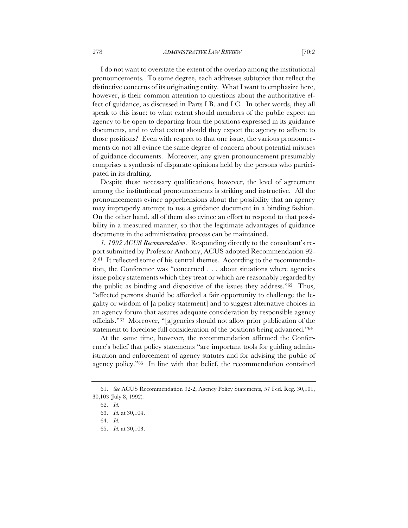I do not want to overstate the extent of the overlap among the institutional pronouncements. To some degree, each addresses subtopics that reflect the distinctive concerns of its originating entity. What I want to emphasize here, however, is their common attention to questions about the authoritative effect of guidance, as discussed in Parts I.B. and I.C. In other words, they all speak to this issue: to what extent should members of the public expect an agency to be open to departing from the positions expressed in its guidance documents, and to what extent should they expect the agency to adhere to those positions? Even with respect to that one issue, the various pronouncements do not all evince the same degree of concern about potential misuses of guidance documents. Moreover, any given pronouncement presumably comprises a synthesis of disparate opinions held by the persons who participated in its drafting.

Despite these necessary qualifications, however, the level of agreement among the institutional pronouncements is striking and instructive. All the pronouncements evince apprehensions about the possibility that an agency may improperly attempt to use a guidance document in a binding fashion. On the other hand, all of them also evince an effort to respond to that possibility in a measured manner, so that the legitimate advantages of guidance documents in the administrative process can be maintained.

*1. 1992 ACUS Recommendation*. Responding directly to the consultant's report submitted by Professor Anthony, ACUS adopted Recommendation 92- 2.61 It reflected some of his central themes. According to the recommendation, the Conference was "concerned . . . about situations where agencies issue policy statements which they treat or which are reasonably regarded by the public as binding and dispositive of the issues they address."62 Thus, "affected persons should be afforded a fair opportunity to challenge the legality or wisdom of [a policy statement] and to suggest alternative choices in an agency forum that assures adequate consideration by responsible agency officials."63 Moreover, "[a]gencies should not allow prior publication of the statement to foreclose full consideration of the positions being advanced."64

At the same time, however, the recommendation affirmed the Conference's belief that policy statements "are important tools for guiding administration and enforcement of agency statutes and for advising the public of agency policy."65 In line with that belief, the recommendation contained

<sup>61.</sup> *See* ACUS Recommendation 92-2, Agency Policy Statements, 57 Fed. Reg. 30,101, 30,103 (July 8, 1992).

<sup>62.</sup> *Id.*

<sup>63.</sup> *Id.* at 30,104.

<sup>64.</sup> *Id.*

<sup>65.</sup> *Id.* at 30,103.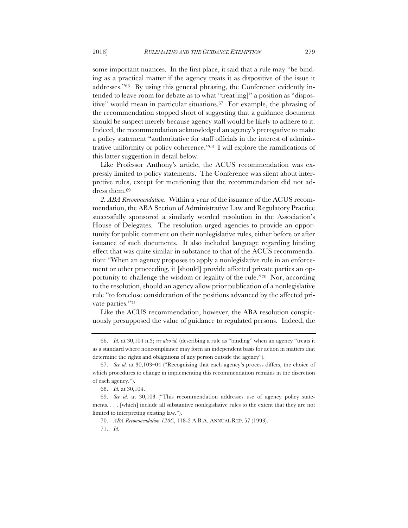some important nuances. In the first place, it said that a rule may "be binding as a practical matter if the agency treats it as dispositive of the issue it addresses."66 By using this general phrasing, the Conference evidently intended to leave room for debate as to what "treat[ing]" a position as "dispositive" would mean in particular situations.67 For example, the phrasing of the recommendation stopped short of suggesting that a guidance document should be suspect merely because agency staff would be likely to adhere to it. Indeed, the recommendation acknowledged an agency's prerogative to make a policy statement "authoritative for staff officials in the interest of administrative uniformity or policy coherence."68 I will explore the ramifications of this latter suggestion in detail below.

Like Professor Anthony's article, the ACUS recommendation was expressly limited to policy statements. The Conference was silent about interpretive rules, except for mentioning that the recommendation did not address them.69

*2. ABA Recommendation*. Within a year of the issuance of the ACUS recommendation, the ABA Section of Administrative Law and Regulatory Practice successfully sponsored a similarly worded resolution in the Association's House of Delegates. The resolution urged agencies to provide an opportunity for public comment on their nonlegislative rules, either before or after issuance of such documents. It also included language regarding binding effect that was quite similar in substance to that of the ACUS recommendation: "When an agency proposes to apply a nonlegislative rule in an enforcement or other proceeding, it [should] provide affected private parties an opportunity to challenge the wisdom or legality of the rule."70 Nor, according to the resolution, should an agency allow prior publication of a nonlegislative rule "to foreclose consideration of the positions advanced by the affected private parties."71

Like the ACUS recommendation, however, the ABA resolution conspicuously presupposed the value of guidance to regulated persons. Indeed, the

<sup>66.</sup> *Id.* at 30,104 n.3; *see also id.* (describing a rule as "binding" when an agency "treats it as a standard where noncompliance may form an independent basis for action in matters that determine the rights and obligations of any person outside the agency").

<sup>67.</sup> *See id.* at 30,103–04 ("Recognizing that each agency's process differs, the choice of which procedures to change in implementing this recommendation remains in the discretion of each agency.").

<sup>68.</sup> *Id.* at 30,104.

<sup>69.</sup> *See id.* at 30,103 ("This recommendation addresses use of agency policy statements. . . . [which] include all substantive nonlegislative rules to the extent that they are not limited to interpreting existing law.").

<sup>70.</sup> *ABA Recommendation 120C*, 118-2 A.B.A. ANNUAL REP. 57 (1993).

<sup>71.</sup> *Id.*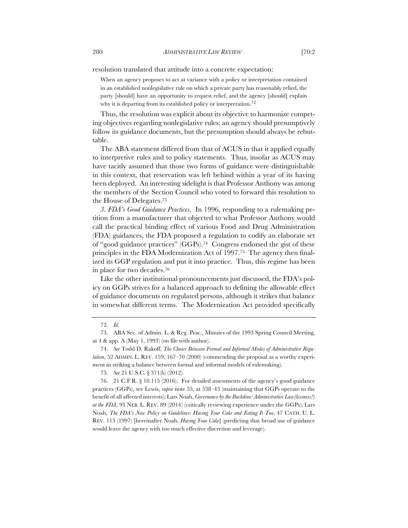resolution translated that attitude into a concrete expectation:

When an agency proposes to act at variance with a policy or interpretation contained in an established nonlegislative rule on which a private party has reasonably relied, the party [should] have an opportunity to request relief, and the agency [should] explain why it is departing from its established policy or interpretation.<sup>72</sup>

Thus, the resolution was explicit about its objective to harmonize competing objectives regarding nonlegislative rules: an agency should presumptively follow its guidance documents, but the presumption should always be rebuttable.

The ABA statement differed from that of ACUS in that it applied equally to interpretive rules and to policy statements. Thus, insofar as ACUS may have tacitly assumed that those two forms of guidance were distinguishable in this context, that reservation was left behind within a year of its having been deployed. An interesting sidelight is that Professor Anthony was among the members of the Section Council who voted to forward this resolution to the House of Delegates.73

*3. FDA's Good Guidance Practices*. In 1996, responding to a rulemaking petition from a manufacturer that objected to what Professor Anthony would call the practical binding effect of various Food and Drug Administration (FDA) guidances, the FDA proposed a regulation to codify an elaborate set of "good guidance practices" (GGPs).74 Congress endorsed the gist of these principles in the FDA Modernization Act of 1997.75 The agency then finalized its GGP regulation and put it into practice. Thus, this regime has been in place for two decades.76

Like the other institutional pronouncements just discussed, the FDA's policy on GGPs strives for a balanced approach to defining the allowable effect of guidance documents on regulated persons, although it strikes that balance in somewhat different terms. The Modernization Act provided specifically

<sup>72.</sup> *Id.*

<sup>73.</sup> ABA Sec. of Admin. L. & Reg. Prac., Minutes of the 1993 Spring Council Meeting, at 4 & app. A (May 1, 1993) (on file with author).

<sup>74.</sup> *See* Todd D. Rakoff, *The Choice Between Formal and Informal Modes of Administrative Regulation*, 52 ADMIN. L. REV. 159, 167–70 (2000) (commending the proposal as a worthy experiment in striking a balance between formal and informal models of rulemaking).

<sup>75.</sup> *See* 21 U.S.C. § 371(h) (2012).

<sup>76</sup>*.* 21 C.F.R. § 10.115 (2016). For detailed assessments of the agency's good guidance practices (GGPs), see Lewis, *supra* note 55, at 538–43 (maintaining that GGPs operate to the benefit of all affected interests); Lars Noah, *Governance by the Backdoor: Administrative Law(lessness?) at the FDA*, 93 NEB. L. REV. 89 (2014) (critically reviewing experience under the GGPs); Lars Noah, *The FDA's New Policy on Guidelines: Having Your Cake and Eating It Too*, 47 CATH. U. L. REV. 113 (1997) [hereinafter Noah, *Having Your Cake*] (predicting that broad use of guidance would leave the agency with too much effective discretion and leverage).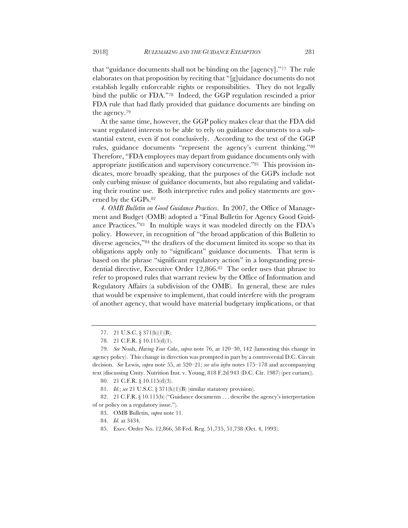that "guidance documents shall not be binding on the [agency]."77 The rule elaborates on that proposition by reciting that "[g]uidance documents do not establish legally enforceable rights or responsibilities. They do not legally bind the public or FDA."78 Indeed, the GGP regulation rescinded a prior FDA rule that had flatly provided that guidance documents are binding on the agency.79

At the same time, however, the GGP policy makes clear that the FDA did want regulated interests to be able to rely on guidance documents to a substantial extent, even if not conclusively. According to the text of the GGP rules, guidance documents "represent the agency's current thinking."80 Therefore, "FDA employees may depart from guidance documents only with appropriate justification and supervisory concurrence."81 This provision indicates, more broadly speaking, that the purposes of the GGPs include not only curbing misuse of guidance documents, but also regulating and validating their routine use. Both interpretive rules and policy statements are governed by the GGPs.82

*4. OMB Bulletin on Good Guidance Practices*. In 2007, the Office of Management and Budget (OMB) adopted a "Final Bulletin for Agency Good Guidance Practices."83 In multiple ways it was modeled directly on the FDA's policy. However, in recognition of "the broad application of this Bulletin to diverse agencies,"84 the drafters of the document limited its scope so that its obligations apply only to "significant" guidance documents. That term is based on the phrase "significant regulatory action" in a longstanding presidential directive, Executive Order 12,866.85 The order uses that phrase to refer to proposed rules that warrant review by the Office of Information and Regulatory Affairs (a subdivision of the OMB). In general, these are rules that would be expensive to implement, that could interfere with the program of another agency, that would have material budgetary implications, or that

<sup>77.</sup> 21 U.S.C. § 371(h)(1)(B).

<sup>78.</sup> 21 C.F.R. § 10.115(d)(1).

<sup>79.</sup> *See* Noah, *Having Your Cake*, *supra* note 76, at 120–30, 142 (lamenting this change in agency policy). This change in direction was prompted in part by a controversial D.C. Circuit decision. *See* Lewis, *supra* note 55, at 520–21; *see also infra* notes 175–178 and accompanying text (discussing Cmty. Nutrition Inst. v. Young, 818 F.2d 943 (D.C. Cir. 1987) (per curiam)).

<sup>80.</sup> 21 C.F.R. § 10.115(d)(3).

<sup>81.</sup> *Id.*; *see* 21 U.S.C. § 371(h)(1)(B) (similar statutory provision).

<sup>82.</sup> 21 C.F.R. § 10.115(b) ("Guidance documents . . . describe the agency's interpretation of or policy on a regulatory issue.").

<sup>83.</sup> OMB Bulletin, *supra* note 11.

<sup>84.</sup> *Id.* at 3434.

<sup>85.</sup> Exec. Order No. 12,866, 58 Fed. Reg. 51,735, 51,738 (Oct. 4, 1993).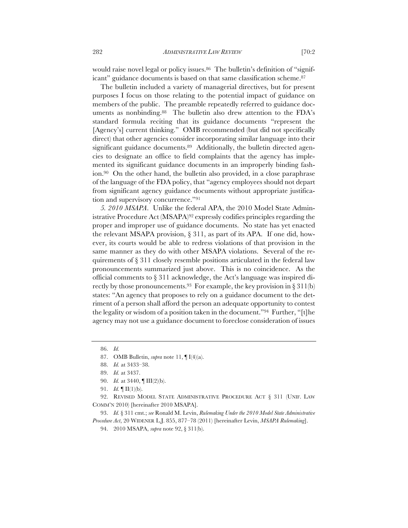would raise novel legal or policy issues.<sup>86</sup> The bulletin's definition of "significant" guidance documents is based on that same classification scheme.87

The bulletin included a variety of managerial directives, but for present purposes I focus on those relating to the potential impact of guidance on members of the public. The preamble repeatedly referred to guidance documents as nonbinding.88 The bulletin also drew attention to the FDA's standard formula reciting that its guidance documents "represent the [Agency's] current thinking." OMB recommended (but did not specifically direct) that other agencies consider incorporating similar language into their significant guidance documents.<sup>89</sup> Additionally, the bulletin directed agencies to designate an office to field complaints that the agency has implemented its significant guidance documents in an improperly binding fashion.90 On the other hand, the bulletin also provided, in a close paraphrase of the language of the FDA policy, that "agency employees should not depart from significant agency guidance documents without appropriate justification and supervisory concurrence."91

*5. 2010 MSAPA*. Unlike the federal APA, the 2010 Model State Administrative Procedure Act (MSAPA)92 expressly codifies principles regarding the proper and improper use of guidance documents. No state has yet enacted the relevant MSAPA provision, § 311, as part of its APA. If one did, however, its courts would be able to redress violations of that provision in the same manner as they do with other MSAPA violations. Several of the requirements of § 311 closely resemble positions articulated in the federal law pronouncements summarized just above. This is no coincidence. As the official comments to § 311 acknowledge, the Act's language was inspired directly by those pronouncements.<sup>93</sup> For example, the key provision in § 311(b) states: "An agency that proposes to rely on a guidance document to the detriment of a person shall afford the person an adequate opportunity to contest the legality or wisdom of a position taken in the document."94 Further, "[t]he agency may not use a guidance document to foreclose consideration of issues

<sup>86.</sup> *Id.*

<sup>87.</sup> OMB Bulletin, *supra* note 11, ¶ I(4)(a).

<sup>88.</sup> *Id.* at 3433–38.

<sup>89.</sup> *Id.* at 3437.

<sup>90.</sup> *Id.* at 3440, ¶ III(2)(b).

<sup>91.</sup> *Id.* ¶ II(1)(b).

<sup>92.</sup> REVISED MODEL STATE ADMINISTRATIVE PROCEDURE ACT § 311 (UNIF. LAW COMM'N 2010) [hereinafter 2010 MSAPA].

<sup>93.</sup> *Id.* § 311 cmt.; *see* Ronald M. Levin, *Rulemaking Under the 2010 Model State Administrative Procedure Act*, 20 WIDENER L.J. 855, 877–78 (2011) [hereinafter Levin, *MSAPA Rulemaking*].

<sup>94.</sup> 2010 MSAPA, *supra* note 92, § 311(b).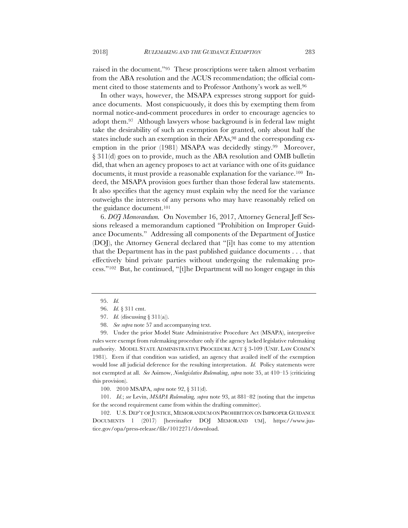raised in the document."95 These proscriptions were taken almost verbatim from the ABA resolution and the ACUS recommendation; the official comment cited to those statements and to Professor Anthony's work as well.96

In other ways, however, the MSAPA expresses strong support for guidance documents. Most conspicuously, it does this by exempting them from normal notice-and-comment procedures in order to encourage agencies to adopt them.97 Although lawyers whose background is in federal law might take the desirability of such an exemption for granted, only about half the states include such an exemption in their APAs,<sup>98</sup> and the corresponding exemption in the prior (1981) MSAPA was decidedly stingy.<sup>99</sup> Moreover, § 311(d) goes on to provide, much as the ABA resolution and OMB bulletin did, that when an agency proposes to act at variance with one of its guidance documents, it must provide a reasonable explanation for the variance.100 Indeed, the MSAPA provision goes further than those federal law statements. It also specifies that the agency must explain why the need for the variance outweighs the interests of any persons who may have reasonably relied on the guidance document.101

6. *DOJ Memorandum.* On November 16, 2017, Attorney General Jeff Sessions released a memorandum captioned "Prohibition on Improper Guidance Documents." Addressing all components of the Department of Justice (DOJ), the Attorney General declared that "[i]t has come to my attention that the Department has in the past published guidance documents . . . that effectively bind private parties without undergoing the rulemaking process."102 But, he continued, "[t]he Department will no longer engage in this

99. Under the prior Model State Administrative Procedure Act (MSAPA), interpretive rules were exempt from rulemaking procedure only if the agency lacked legislative rulemaking authority. MODEL STATE ADMINISTRATIVE PROCEDURE ACT § 3-109 (UNIF. LAW COMM'N 1981). Even if that condition was satisfied, an agency that availed itself of the exemption would lose all judicial deference for the resulting interpretation. *Id.* Policy statements were not exempted at all. *See* Asimow, *Nonlegislative Rulemaking*, *supra* note 35, at 410–15 (criticizing this provision).

100. 2010 MSAPA, *supra* note 92, § 311(d).

101. *Id.*; *see* Levin, *MSAPA Rulemaking, supra* note 93, at 881–82 (noting that the impetus for the second requirement came from within the drafting committee).

102. U.S. DEP'T OF JUSTICE, MEMORANDUM ON PROHIBITION ON IMPROPER GUIDANCE DOCUMENTS 1 (2017) [hereinafter DOJ MEMORAND UM], https://www.justice.gov/opa/press-release/file/1012271/download.

<sup>95.</sup> *Id.*

<sup>96.</sup> *Id.* § 311 cmt.

<sup>97.</sup> *Id.* (discussing § 311(a)).

<sup>98.</sup> *See supra* note 57 and accompanying text.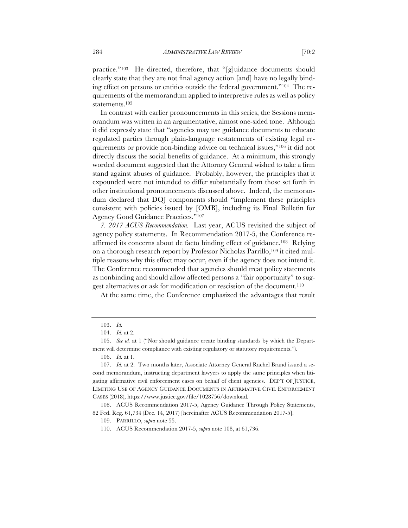practice."103 He directed, therefore, that "[g]uidance documents should clearly state that they are not final agency action [and] have no legally binding effect on persons or entities outside the federal government."104 The requirements of the memorandum applied to interpretive rules as well as policy statements.105

In contrast with earlier pronouncements in this series, the Sessions memorandum was written in an argumentative, almost one-sided tone. Although it did expressly state that "agencies may use guidance documents to educate regulated parties through plain-language restatements of existing legal requirements or provide non-binding advice on technical issues,"106 it did not directly discuss the social benefits of guidance. At a minimum, this strongly worded document suggested that the Attorney General wished to take a firm stand against abuses of guidance. Probably, however, the principles that it expounded were not intended to differ substantially from those set forth in other institutional pronouncements discussed above. Indeed, the memorandum declared that DOJ components should "implement these principles consistent with policies issued by [OMB], including its Final Bulletin for Agency Good Guidance Practices."107

*7. 2017 ACUS Recommendation.* Last year, ACUS revisited the subject of agency policy statements. In Recommendation 2017-5, the Conference reaffirmed its concerns about de facto binding effect of guidance.108 Relying on a thorough research report by Professor Nicholas Parrillo,109 it cited multiple reasons why this effect may occur, even if the agency does not intend it. The Conference recommended that agencies should treat policy statements as nonbinding and should allow affected persons a "fair opportunity" to suggest alternatives or ask for modification or rescission of the document.110

At the same time, the Conference emphasized the advantages that result

<sup>103.</sup> *Id.*

<sup>104.</sup> *Id.* at 2.

<sup>105.</sup> *See id.* at 1 ("Nor should guidance create binding standards by which the Department will determine compliance with existing regulatory or statutory requirements.").

<sup>106.</sup> *Id.* at 1.

<sup>107.</sup> *Id.* at 2. Two months later, Associate Attorney General Rachel Brand issued a second memorandum, instructing department lawyers to apply the same principles when litigating affirmative civil enforcement cases on behalf of client agencies. DEP'T OF JUSTICE, LIMITING USE OF AGENCY GUIDANCE DOCUMENTS IN AFFIRMATIVE CIVIL ENFORCEMENT CASES (2018), https://www.justice.gov/file/1028756/download.

<sup>108.</sup> ACUS Recommendation 2017-5, Agency Guidance Through Policy Statements, 82 Fed. Reg. 61,734 (Dec. 14, 2017) [hereinafter ACUS Recommendation 2017-5].

<sup>109.</sup> PARRILLO, *supra* note 55.

<sup>110.</sup> ACUS Recommendation 2017-5, *supra* note 108, at 61,736.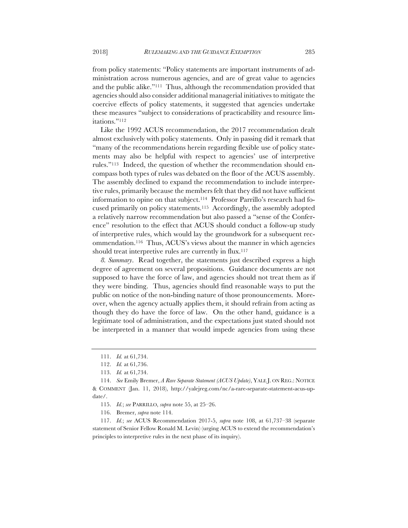from policy statements: "Policy statements are important instruments of administration across numerous agencies, and are of great value to agencies and the public alike."111 Thus, although the recommendation provided that agencies should also consider additional managerial initiatives to mitigate the coercive effects of policy statements, it suggested that agencies undertake these measures "subject to considerations of practicability and resource limitations."112

Like the 1992 ACUS recommendation, the 2017 recommendation dealt almost exclusively with policy statements. Only in passing did it remark that "many of the recommendations herein regarding flexible use of policy statements may also be helpful with respect to agencies' use of interpretive rules."113 Indeed, the question of whether the recommendation should encompass both types of rules was debated on the floor of the ACUS assembly. The assembly declined to expand the recommendation to include interpretive rules, primarily because the members felt that they did not have sufficient information to opine on that subject.114 Professor Parrillo's research had focused primarily on policy statements.115 Accordingly, the assembly adopted a relatively narrow recommendation but also passed a "sense of the Conference" resolution to the effect that ACUS should conduct a follow-up study of interpretive rules, which would lay the groundwork for a subsequent recommendation.116 Thus, ACUS's views about the manner in which agencies should treat interpretive rules are currently in flux.<sup>117</sup>

*8. Summary*. Read together, the statements just described express a high degree of agreement on several propositions. Guidance documents are not supposed to have the force of law, and agencies should not treat them as if they were binding. Thus, agencies should find reasonable ways to put the public on notice of the non-binding nature of those pronouncements. Moreover, when the agency actually applies them, it should refrain from acting as though they do have the force of law. On the other hand, guidance is a legitimate tool of administration, and the expectations just stated should not be interpreted in a manner that would impede agencies from using these

<sup>111.</sup> *Id.* at 61,734.

<sup>112.</sup> *Id.* at 61,736.

<sup>113.</sup> *Id.* at 61,734.

<sup>114.</sup> *See* Emily Bremer, *A Rare Separate Statement (ACUS Update)*, YALE J. ON REG.: NOTICE & COMMENT (Jan. 11, 2018), http://yalejreg.com/nc/a-rare-separate-statement-acus-update/.

<sup>115.</sup> *Id.*; *see* PARRILLO, *supra* note 55, at 25–26.

<sup>116.</sup> Bremer, *supra* note 114.

<sup>117.</sup> *Id.*; *see* ACUS Recommendation 2017-5, *supra* note 108, at 61,737–38 (separate statement of Senior Fellow Ronald M. Levin) (urging ACUS to extend the recommendation's principles to interpretive rules in the next phase of its inquiry).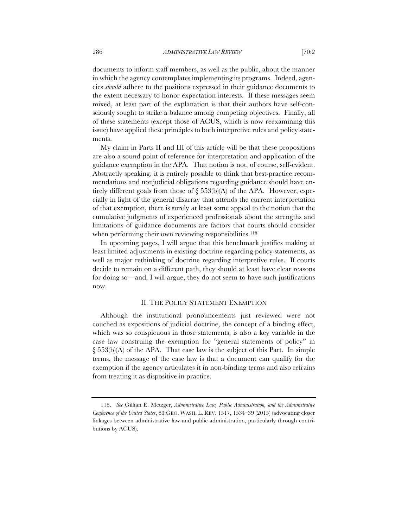documents to inform staff members, as well as the public, about the manner in which the agency contemplates implementing its programs. Indeed, agencies *should* adhere to the positions expressed in their guidance documents to the extent necessary to honor expectation interests. If these messages seem mixed, at least part of the explanation is that their authors have self-consciously sought to strike a balance among competing objectives. Finally, all of these statements (except those of ACUS, which is now reexamining this issue) have applied these principles to both interpretive rules and policy statements.

My claim in Parts II and III of this article will be that these propositions are also a sound point of reference for interpretation and application of the guidance exemption in the APA. That notion is not, of course, self-evident. Abstractly speaking, it is entirely possible to think that best-practice recommendations and nonjudicial obligations regarding guidance should have entirely different goals from those of  $\S$  553(b)(A) of the APA. However, especially in light of the general disarray that attends the current interpretation of that exemption, there is surely at least some appeal to the notion that the cumulative judgments of experienced professionals about the strengths and limitations of guidance documents are factors that courts should consider when performing their own reviewing responsibilities.<sup>118</sup>

In upcoming pages, I will argue that this benchmark justifies making at least limited adjustments in existing doctrine regarding policy statements, as well as major rethinking of doctrine regarding interpretive rules. If courts decide to remain on a different path, they should at least have clear reasons for doing so—and, I will argue, they do not seem to have such justifications now.

#### II. THE POLICY STATEMENT EXEMPTION

Although the institutional pronouncements just reviewed were not couched as expositions of judicial doctrine, the concept of a binding effect, which was so conspicuous in those statements, is also a key variable in the case law construing the exemption for "general statements of policy" in  $\S$  553(b)(A) of the APA. That case law is the subject of this Part. In simple terms, the message of the case law is that a document can qualify for the exemption if the agency articulates it in non-binding terms and also refrains from treating it as dispositive in practice.

<sup>118.</sup> *See* Gillian E. Metzger, *Administrative Law, Public Administration, and the Administrative Conference of the United States*, 83 GEO. WASH. L. REV. 1517, 1534–39 (2015) (advocating closer linkages between administrative law and public administration, particularly through contributions by ACUS).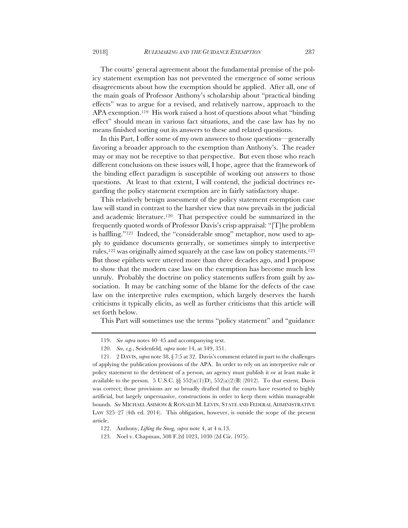The courts' general agreement about the fundamental premise of the policy statement exemption has not prevented the emergence of some serious disagreements about how the exemption should be applied. After all, one of the main goals of Professor Anthony's scholarship about "practical binding effects" was to argue for a revised, and relatively narrow, approach to the APA exemption.119 His work raised a host of questions about what "binding effect" should mean in various fact situations, and the case law has by no means finished sorting out its answers to these and related questions.

In this Part, I offer some of my own answers to those questions—generally favoring a broader approach to the exemption than Anthony's. The reader may or may not be receptive to that perspective. But even those who reach different conclusions on these issues will, I hope, agree that the framework of the binding effect paradigm is susceptible of working out answers to those questions. At least to that extent, I will contend, the judicial doctrines regarding the policy statement exemption are in fairly satisfactory shape.

This relatively benign assessment of the policy statement exemption case law will stand in contrast to the harsher view that now prevails in the judicial and academic literature.120 That perspective could be summarized in the frequently quoted words of Professor Davis's crisp appraisal: "[T]he problem is baffling."121 Indeed, the "considerable smog" metaphor, now used to apply to guidance documents generally, or sometimes simply to interpretive rules,122 was originally aimed squarely at the case law on policy statements.123 But those epithets were uttered more than three decades ago, and I propose to show that the modern case law on the exemption has become much less unruly. Probably the doctrine on policy statements suffers from guilt by association. It may be catching some of the blame for the defects of the case law on the interpretive rules exemption, which largely deserves the harsh criticisms it typically elicits, as well as further criticisms that this article will set forth below.

This Part will sometimes use the terms "policy statement" and "guidance

<sup>119.</sup> *See supra* notes 40–45 and accompanying text.

<sup>120.</sup> *See, e.g.*, Seidenfeld*, supra* note 14, at 349, 351.

<sup>121.</sup> 2 DAVIS, *supra* note 38, § 7:5 at 32. Davis's comment related in part to the challenges of applying the publication provisions of the APA. In order to rely on an interpretive rule or policy statement to the detriment of a person, an agency must publish it or at least make it available to the person. 5 U.S.C. §§ 552(a)(1)(D), 552(a)(2)(B) (2012). To that extent, Davis was correct; those provisions are so broadly drafted that the courts have resorted to highly artificial, but largely unpersuasive, constructions in order to keep them within manageable bounds. *See* MICHAEL ASIMOW & RONALD M. LEVIN, STATE AND FEDERAL ADMINISTRATIVE LAW 325–27 (4th ed. 2014). This obligation, however, is outside the scope of the present article.

<sup>122.</sup> Anthony, *Lifting the Smog, supra* note 4, at 4 n.13.

<sup>123.</sup> Noel v. Chapman, 508 F.2d 1023, 1030 (2d Cir. 1975).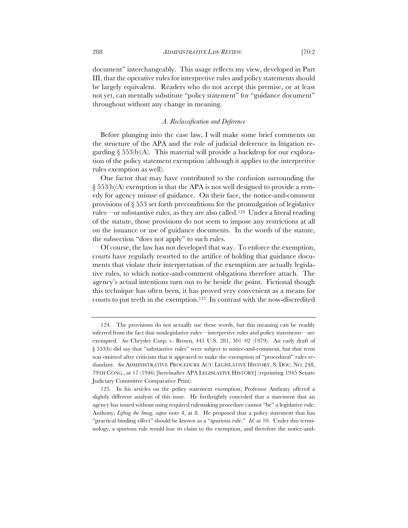document" interchangeably. This usage reflects my view, developed in Part III, that the operative rules for interpretive rules and policy statements should be largely equivalent. Readers who do not accept this premise, or at least not yet, can mentally substitute "policy statement" for "guidance document" throughout without any change in meaning.

#### *A. Reclassification and Deference*

Before plunging into the case law, I will make some brief comments on the structure of the APA and the role of judicial deference in litigation regarding  $\S$  553(b)(A). This material will provide a backdrop for our exploration of the policy statement exemption (although it applies to the interpretive rules exemption as well).

One factor that may have contributed to the confusion surrounding the § 553(b)(A) exemption is that the APA is not well designed to provide a remedy for agency misuse of guidance. On their face, the notice-and-comment provisions of § 553 set forth preconditions for the promulgation of legislative rules—or substantive rules, as they are also called.124 Under a literal reading of the statute, those provisions do not seem to impose any restrictions at all on the issuance or use of guidance documents. In the words of the statute, the subsection "does not apply" to such rules.

Of course, the law has not developed that way. To enforce the exemption, courts have regularly resorted to the artifice of holding that guidance documents that violate their interpretation of the exemption are actually legislative rules, to which notice-and-comment obligations therefore attach. The agency's actual intentions turn out to be beside the point. Fictional though this technique has often been, it has proved very convenient as a means for courts to put teeth in the exemption.125 In contrast with the now-discredited

<sup>124.</sup> The provisions do not actually use those words, but this meaning can be readily inferred from the fact that nonlegislative rules—interpretive rules and policy statements—are exempted. *See* Chrysler Corp. v. Brown, 441 U.S. 281, 301–02 (1979). An early draft of § 553(b) did say that "substantive rules" were subject to notice-and-comment, but that term was omitted after criticism that it appeared to make the exemption of "procedural" rules redundant. *See* ADMINISTRATIVE PROCEDURE ACT: LEGISLATIVE HISTORY, S. DOC. NO. 248, 79TH CONG., at 17 (1946) [hereinafter APA LEGISLATIVE HISTORY] (reprinting 1945 Senate Judiciary Committee Comparative Print).

<sup>125.</sup> In his articles on the policy statement exemption, Professor Anthony offered a slightly different analysis of this issue. He forthrightly conceded that a statement that an agency has issued without using required rulemaking procedure cannot "be" a legislative rule. Anthony, *Lifting the Smog, supra* note 4, at 8. He proposed that a policy statement that has "practical binding effect" should be known as a "spurious rule." *Id.* at 10. Under this terminology, a spurious rule would lose its claim to the exemption, and therefore the notice-and-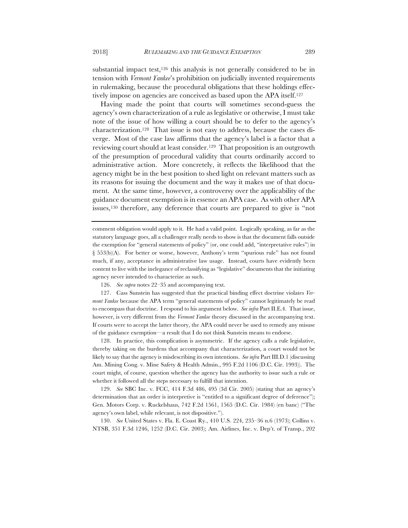substantial impact test, $126$  this analysis is not generally considered to be in tension with *Vermont Yankee*'s prohibition on judicially invented requirements in rulemaking, because the procedural obligations that these holdings effectively impose on agencies are conceived as based upon the APA itself.127

Having made the point that courts will sometimes second-guess the agency's own characterization of a rule as legislative or otherwise, I must take note of the issue of how willing a court should be to defer to the agency's characterization.128 That issue is not easy to address, because the cases diverge. Most of the case law affirms that the agency's label is a factor that a reviewing court should at least consider.129 That proposition is an outgrowth of the presumption of procedural validity that courts ordinarily accord to administrative action. More concretely, it reflects the likelihood that the agency might be in the best position to shed light on relevant matters such as its reasons for issuing the document and the way it makes use of that document. At the same time, however, a controversy over the applicability of the guidance document exemption is in essence an APA case. As with other APA issues,130 therefore, any deference that courts are prepared to give is "not

comment obligation would apply to it. He had a valid point. Logically speaking, as far as the statutory language goes, all a challenger really needs to show is that the document falls outside the exemption for "general statements of policy" (or, one could add, "interpretative rules") in § 553(b)(A). For better or worse, however, Anthony's term "spurious rule" has not found much, if any, acceptance in administrative law usage. Instead, courts have evidently been content to live with the inelegance of reclassifying as "legislative" documents that the initiating agency never intended to characterize as such.

126. *See supra* notes 22–35 and accompanying text.

127. Cass Sunstein has suggested that the practical binding effect doctrine violates *Vermont Yankee* because the APA term "general statements of policy" cannot legitimately be read to encompass that doctrine. I respond to his argument below. *See infra* Part II.E.4. That issue, however, is very different from the *Vermont Yankee* theory discussed in the accompanying text. If courts were to accept the latter theory, the APA could never be used to remedy any misuse of the guidance exemption—a result that I do not think Sunstein means to endorse.

128. In practice, this complication is asymmetric. If the agency calls a rule legislative, thereby taking on the burdens that accompany that characterization, a court would not be likely to say that the agency is misdescribing its own intentions. *See infra* Part III.D.1 (discussing Am. Mining Cong. v. Mine Safety & Health Admin., 995 F.2d 1106 (D.C. Cir. 1993)). The court might, of course, question whether the agency has the authority to issue such a rule or whether it followed all the steps necessary to fulfill that intention.

129. *See* SBC Inc. v. FCC, 414 F.3d 486, 495 (3d Cir. 2005) (stating that an agency's determination that an order is interpretive is "entitled to a significant degree of deference"); Gen. Motors Corp. v. Ruckelshaus, 742 F.2d 1561, 1565 (D.C. Cir. 1984) (en banc) ("The agency's own label, while relevant, is not dispositive.").

130. *See* United States v. Fla. E. Coast Ry., 410 U.S. 224, 235–36 n.6 (1973); Collins v. NTSB, 351 F.3d 1246, 1252 (D.C. Cir. 2003); Am. Airlines, Inc. v. Dep't. of Transp., 202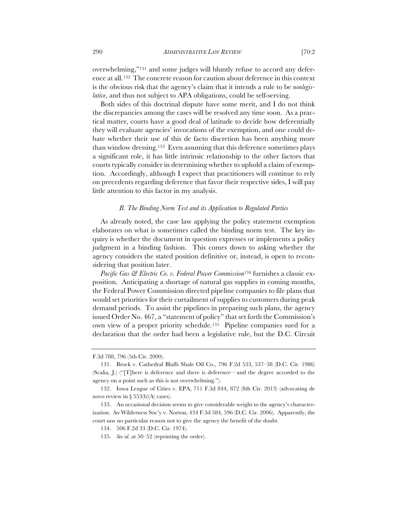overwhelming,"131 and some judges will bluntly refuse to accord any deference at all.132 The concrete reason for caution about deference in this context is the obvious risk that the agency's claim that it intends a rule to be *nonlegislative*, and thus not subject to APA obligations, could be self-serving.

Both sides of this doctrinal dispute have some merit, and I do not think the discrepancies among the cases will be resolved any time soon. As a practical matter, courts have a good deal of latitude to decide how deferentially they will evaluate agencies' invocations of the exemption, and one could debate whether their use of this de facto discretion has been anything more than window dressing.133 Even assuming that this deference sometimes plays a significant role, it has little intrinsic relationship to the other factors that courts typically consider in determining whether to uphold a claim of exemption. Accordingly, although I expect that practitioners will continue to rely on precedents regarding deference that favor their respective sides, I will pay little attention to this factor in my analysis.

## *B. The Binding Norm Test and its Application to Regulated Parties*

As already noted, the case law applying the policy statement exemption elaborates on what is sometimes called the binding norm test. The key inquiry is whether the document in question expresses or implements a policy judgment in a binding fashion. This comes down to asking whether the agency considers the stated position definitive or, instead, is open to reconsidering that position later.

*Pacific Gas & Electric Co. v. Federal Power Commission*<sup>134</sup> furnishes a classic exposition. Anticipating a shortage of natural gas supplies in coming months, the Federal Power Commission directed pipeline companies to file plans that would set priorities for their curtailment of supplies to customers during peak demand periods. To assist the pipelines in preparing such plans, the agency issued Order No. 467, a "statement of policy" that set forth the Commission's own view of a proper priority schedule.135 Pipeline companies sued for a declaration that the order had been a legislative rule, but the D.C. Circuit

F.3d 788, 796 (5th Cir. 2000).

<sup>131.</sup> Brock v. Cathedral Bluffs Shale Oil Co., 796 F.2d 533, 537–38 (D.C. Cir. 1986) (Scalia, J.) ("[T]here is deference and there is deference—and the degree accorded to the agency on a point such as this is not overwhelming.").

<sup>132.</sup> Iowa League of Cities v. EPA, 711 F.3d 844, 872 (8th Cir. 2013) (advocating de novo review in § 553(b)(A) cases).

<sup>133.</sup> An occasional decision seems to give considerable weight to the agency's characterization. *See* Wilderness Soc'y v. Norton, 434 F.3d 584, 596 (D.C. Cir. 2006). Apparently, the court saw no particular reason not to give the agency the benefit of the doubt.

<sup>134.</sup> 506 F.2d 33 (D.C. Cir. 1974).

<sup>135.</sup> *See id.* at 50–52 (reprinting the order).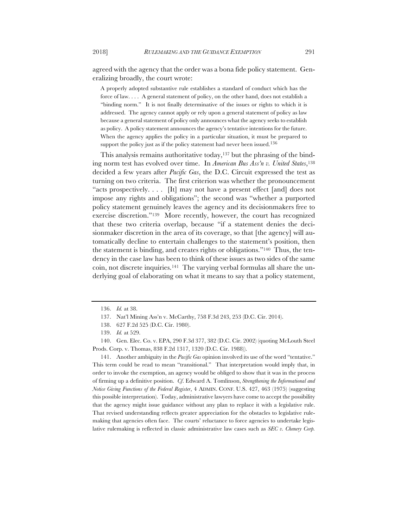agreed with the agency that the order was a bona fide policy statement. Generalizing broadly, the court wrote:

A properly adopted substantive rule establishes a standard of conduct which has the force of law. . . . A general statement of policy, on the other hand, does not establish a "binding norm." It is not finally determinative of the issues or rights to which it is addressed. The agency cannot apply or rely upon a general statement of policy as law because a general statement of policy only announces what the agency seeks to establish as policy. A policy statement announces the agency's tentative intentions for the future. When the agency applies the policy in a particular situation, it must be prepared to support the policy just as if the policy statement had never been issued.<sup>136</sup>

This analysis remains authoritative today,137 but the phrasing of the binding norm test has evolved over time. In *American Bus Ass'n v. United States*,138 decided a few years after *Pacific Gas*, the D.C. Circuit expressed the test as turning on two criteria. The first criterion was whether the pronouncement "acts prospectively. . . . [It] may not have a present effect [and] does not impose any rights and obligations"; the second was "whether a purported policy statement genuinely leaves the agency and its decisionmakers free to exercise discretion."139 More recently, however, the court has recognized that these two criteria overlap, because "if a statement denies the decisionmaker discretion in the area of its coverage, so that [the agency] will automatically decline to entertain challenges to the statement's position, then the statement is binding, and creates rights or obligations."140 Thus, the tendency in the case law has been to think of these issues as two sides of the same coin, not discrete inquiries.141 The varying verbal formulas all share the underlying goal of elaborating on what it means to say that a policy statement,

141. Another ambiguity in the *Pacific Gas* opinion involved its use of the word "tentative." This term could be read to mean "transitional." That interpretation would imply that, in order to invoke the exemption, an agency would be obliged to show that it was in the process of firming up a definitive position. *Cf*. Edward A. Tomlinson, *Strengthening the Informational and Notice Giving Functions of the Federal Register*, 4 ADMIN. CONF. U.S. 427, 463 (1975) (suggesting this possible interpretation). Today, administrative lawyers have come to accept the possibility that the agency might issue guidance without any plan to replace it with a legislative rule. That revised understanding reflects greater appreciation for the obstacles to legislative rulemaking that agencies often face. The courts' reluctance to force agencies to undertake legislative rulemaking is reflected in classic administrative law cases such as *SEC v. Chenery Corp.* 

<sup>136.</sup> *Id.* at 38.

<sup>137.</sup> Nat'l Mining Ass'n v. McCarthy, 758 F.3d 243, 253 (D.C. Cir. 2014).

<sup>138.</sup> 627 F.2d 525 (D.C. Cir. 1980).

<sup>139.</sup> *Id.* at 529.

<sup>140.</sup> Gen. Elec. Co. v. EPA, 290 F.3d 377, 382 (D.C. Cir. 2002) (quoting McLouth Steel Prods. Corp. v. Thomas, 838 F.2d 1317, 1320 (D.C. Cir. 1988)).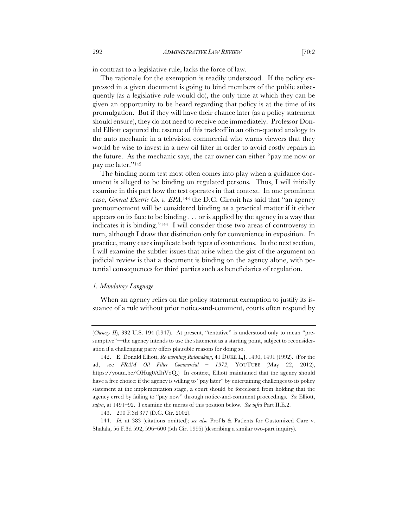in contrast to a legislative rule, lacks the force of law.

The rationale for the exemption is readily understood. If the policy expressed in a given document is going to bind members of the public subsequently (as a legislative rule would do), the only time at which they can be given an opportunity to be heard regarding that policy is at the time of its promulgation. But if they will have their chance later (as a policy statement should ensure), they do not need to receive one immediately. Professor Donald Elliott captured the essence of this tradeoff in an often-quoted analogy to the auto mechanic in a television commercial who warns viewers that they would be wise to invest in a new oil filter in order to avoid costly repairs in the future. As the mechanic says, the car owner can either "pay me now or pay me later."142

The binding norm test most often comes into play when a guidance document is alleged to be binding on regulated persons. Thus, I will initially examine in this part how the test operates in that context. In one prominent case, *General Electric Co. v. EPA*,143 the D.C. Circuit has said that "an agency pronouncement will be considered binding as a practical matter if it either appears on its face to be binding . . . or is applied by the agency in a way that indicates it is binding."144 I will consider those two areas of controversy in turn, although I draw that distinction only for convenience in exposition. In practice, many cases implicate both types of contentions. In the next section, I will examine the subtler issues that arise when the gist of the argument on judicial review is that a document is binding on the agency alone, with potential consequences for third parties such as beneficiaries of regulation.

#### *1. Mandatory Language*

When an agency relies on the policy statement exemption to justify its issuance of a rule without prior notice-and-comment, courts often respond by

<sup>(</sup>*Chenery II*), 332 U.S. 194 (1947). At present, "tentative" is understood only to mean "presumptive"—the agency intends to use the statement as a starting point, subject to reconsideration if a challenging party offers plausible reasons for doing so.

<sup>142.</sup> E. Donald Elliott, *Re-inventing Rulemaking*, 41 DUKE L.J. 1490, 1491 (1992). (For the ad, see *FRAM Oil Filter Commercial – 1972*, YOUTUBE (May 22, 2012), https://youtu.be/OHug0AIhVoQ.) In context, Elliott maintained that the agency should have a free choice: if the agency is willing to "pay later" by entertaining challenges to its policy statement at the implementation stage, a court should be foreclosed from holding that the agency erred by failing to "pay now" through notice-and-comment proceedings. *See* Elliott, *supra*, at 1491–92. I examine the merits of this position below. *See infra* Part II.E.2.

<sup>143.</sup> 290 F.3d 377 (D.C. Cir. 2002).

<sup>144.</sup> *Id.* at 383 (citations omitted); *see also* Prof'ls & Patients for Customized Care v. Shalala, 56 F.3d 592, 596–600 (5th Cir. 1995) (describing a similar two-part inquiry).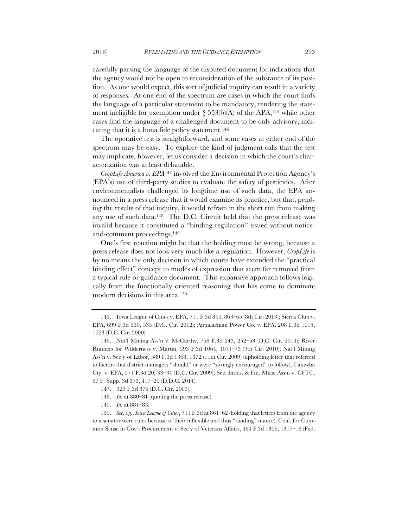carefully parsing the language of the disputed document for indications that the agency would not be open to reconsideration of the substance of its position. As one would expect, this sort of judicial inquiry can result in a variety of responses. At one end of the spectrum are cases in which the court finds the language of a particular statement to be mandatory, rendering the statement ineligible for exemption under  $\S$  553(b)(A) of the APA,<sup>145</sup> while other cases find the language of a challenged document to be only advisory, indicating that it is a bona fide policy statement.146

The operative test is straightforward, and some cases at either end of the spectrum may be easy. To explore the kind of judgment calls that the test may implicate, however, let us consider a decision in which the court's characterization was at least debatable.

*CropLife America v. EPA*<sup>147</sup> involved the Environmental Protection Agency's (EPA's) use of third-party studies to evaluate the safety of pesticides. After environmentalists challenged its longtime use of such data, the EPA announced in a press release that it would examine its practice, but that, pending the results of that inquiry, it would refrain in the short run from making any use of such data.148 The D.C. Circuit held that the press release was invalid because it constituted a "binding regulation" issued without noticeand-comment proceedings.149

One's first reaction might be that the holding must be wrong, because a press release does not look very much like a regulation. However, *CropLife* is by no means the only decision in which courts have extended the "practical binding effect" concept to modes of expression that seem far removed from a typical rule or guidance document. This expansive approach follows logically from the functionally oriented reasoning that has come to dominate modern decisions in this area.150

150. *See, e.g.*, *Iowa League of Cities*, 711 F.3d at 861–62 (holding that letters from the agency to a senator were rules because of their inflexible and thus "binding" nature); Coal. for Common Sense in Gov't Procurement v. Sec'y of Veterans Affairs, 464 F.3d 1306, 1317–18 (Fed.

<sup>145.</sup> Iowa League of Cities v. EPA, 711 F.3d 844, 863–65 (8th Cir. 2013); Sierra Club v. EPA, 699 F.3d 530, 535 (D.C. Cir. 2012); Appalachian Power Co. v. EPA, 208 F.3d 1015, 1023 (D.C. Cir. 2000).

<sup>146.</sup> Nat'l Mining Ass'n v. McCarthy, 758 F.3d 243, 252–53 (D.C. Cir. 2014); River Runners for Wilderness v. Martin, 593 F.3d 1064, 1071–73 (9th Cir. 2010); Nat'l Mining Ass'n v. Sec'y of Labor, 589 F.3d 1368, 1372 (11th Cir. 2009) (upholding letter that referred to factors that district managers "should" or were "strongly encouraged" to follow); Catawba Cty. v. EPA, 571 F.3d 20, 33–34 (D.C. Cir. 2009); Sec. Indus. & Fin. Mkts. Ass'n v. CFTC, 67 F. Supp. 3d 373, 417–20 (D.D.C. 2014).

<sup>147.</sup> 329 F.3d 876 (D.C. Cir. 2003).

<sup>148.</sup> *Id.* at 880–81 (quoting the press release).

<sup>149.</sup> *Id.* at 881–83.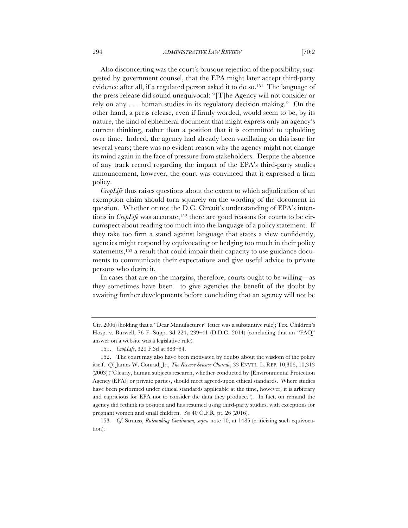Also disconcerting was the court's brusque rejection of the possibility, suggested by government counsel, that the EPA might later accept third-party evidence after all, if a regulated person asked it to do so.151 The language of the press release did sound unequivocal: "[T]he Agency will not consider or rely on any . . . human studies in its regulatory decision making." On the other hand, a press release, even if firmly worded, would seem to be, by its nature, the kind of ephemeral document that might express only an agency's current thinking, rather than a position that it is committed to upholding over time. Indeed, the agency had already been vacillating on this issue for several years; there was no evident reason why the agency might not change its mind again in the face of pressure from stakeholders. Despite the absence of any track record regarding the impact of the EPA's third-party studies announcement, however, the court was convinced that it expressed a firm policy.

*CropLife* thus raises questions about the extent to which adjudication of an exemption claim should turn squarely on the wording of the document in question. Whether or not the D.C. Circuit's understanding of EPA's intentions in *CropLife* was accurate,<sup>152</sup> there are good reasons for courts to be circumspect about reading too much into the language of a policy statement. If they take too firm a stand against language that states a view confidently, agencies might respond by equivocating or hedging too much in their policy statements,<sup>153</sup> a result that could impair their capacity to use guidance documents to communicate their expectations and give useful advice to private persons who desire it.

In cases that are on the margins, therefore, courts ought to be willing—as they sometimes have been—to give agencies the benefit of the doubt by awaiting further developments before concluding that an agency will not be

Cir. 2006) (holding that a "Dear Manufacturer" letter was a substantive rule); Tex. Children's Hosp. v. Burwell, 76 F. Supp. 3d 224, 239–41 (D.D.C. 2014) (concluding that an "FAQ" answer on a website was a legislative rule).

<sup>151.</sup> *CropLife*, 329 F.3d at 883–84.

<sup>152.</sup> The court may also have been motivated by doubts about the wisdom of the policy itself. *Cf*. James W. Conrad, Jr., *The Reverse Science Charade*, 33 ENVTL. L. REP. 10,306, 10,313 (2003) ("Clearly, human subjects research, whether conducted by [Environmental Protection Agency (EPA)] or private parties, should meet agreed-upon ethical standards. Where studies have been performed under ethical standards applicable at the time, however, it is arbitrary and capricious for EPA not to consider the data they produce."). In fact, on remand the agency did rethink its position and has resumed using third-party studies, with exceptions for pregnant women and small children. *See* 40 C.F.R. pt. 26 (2016).

<sup>153</sup>*. Cf*. Strauss, *Rulemaking Continuum, supra* note 10, at 1485 (criticizing such equivocation).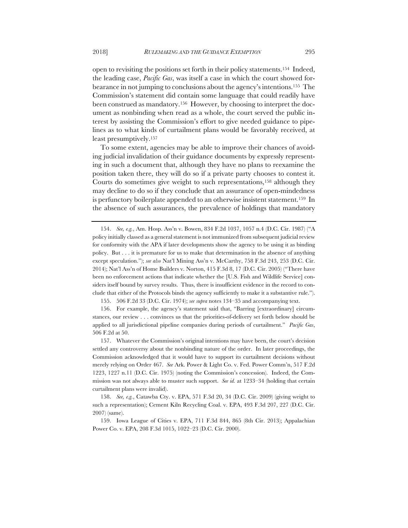open to revisiting the positions set forth in their policy statements.154 Indeed, the leading case, *Pacific Gas*, was itself a case in which the court showed forbearance in not jumping to conclusions about the agency's intentions.155 The Commission's statement did contain some language that could readily have been construed as mandatory.156 However, by choosing to interpret the document as nonbinding when read as a whole, the court served the public interest by assisting the Commission's effort to give needed guidance to pipelines as to what kinds of curtailment plans would be favorably received, at least presumptively.157

To some extent, agencies may be able to improve their chances of avoiding judicial invalidation of their guidance documents by expressly representing in such a document that, although they have no plans to reexamine the position taken there, they will do so if a private party chooses to contest it. Courts do sometimes give weight to such representations,158 although they may decline to do so if they conclude that an assurance of open-mindedness is perfunctory boilerplate appended to an otherwise insistent statement.159 In the absence of such assurances, the prevalence of holdings that mandatory

155. 506 F.2d 33 (D.C. Cir. 1974); *see supra* notes 134–35 and accompanying text.

156. For example, the agency's statement said that, "Barring [extraordinary] circumstances, our review . . . convinces us that the priorities-of-delivery set forth below should be applied to all jurisdictional pipeline companies during periods of curtailment." *Pacific Gas*, 506 F.2d at 50.

157. Whatever the Commission's original intentions may have been, the court's decision settled any controversy about the nonbinding nature of the order. In later proceedings, the Commission acknowledged that it would have to support its curtailment decisions without merely relying on Order 467. *See* Ark. Power & Light Co. v. Fed. Power Comm'n, 517 F.2d 1223, 1227 n.11 (D.C. Cir. 1975) (noting the Commission's concession). Indeed, the Commission was not always able to muster such support. *See id.* at 1233–34 (holding that certain curtailment plans were invalid).

158. *See, e.g.*, Catawba Cty. v. EPA, 571 F.3d 20, 34 (D.C. Cir. 2009) (giving weight to such a representation); Cement Kiln Recycling Coal. v. EPA, 493 F.3d 207, 227 (D.C. Cir. 2007) (same).

159. Iowa League of Cities v. EPA, 711 F.3d 844, 865 (8th Cir. 2013); Appalachian Power Co. v. EPA, 208 F.3d 1015, 1022–23 (D.C. Cir. 2000).

<sup>154.</sup> *See, e.g.*, Am. Hosp. Ass'n v. Bowen, 834 F.2d 1037, 1057 n.4 (D.C. Cir. 1987) ("A policy initially classed as a general statement is not immunized from subsequent judicial review for conformity with the APA if later developments show the agency to be using it as binding policy. But . . . it is premature for us to make that determination in the absence of anything except speculation."); *see also* Nat'l Mining Ass'n v. McCarthy, 758 F.3d 243, 253 (D.C. Cir. 2014); Nat'l Ass'n of Home Builders v. Norton, 415 F.3d 8, 17 (D.C. Cir. 2005) ("There have been no enforcement actions that indicate whether the [U.S. Fish and Wildlife Service] considers itself bound by survey results. Thus, there is insufficient evidence in the record to conclude that either of the Protocols binds the agency sufficiently to make it a substantive rule.").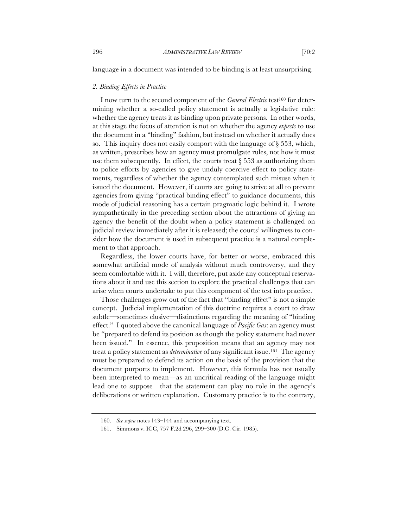language in a document was intended to be binding is at least unsurprising.

#### *2. Binding Effects in Practice*

I now turn to the second component of the *General Electric* test<sup>160</sup> for determining whether a so-called policy statement is actually a legislative rule: whether the agency treats it as binding upon private persons. In other words, at this stage the focus of attention is not on whether the agency *expects* to use the document in a "binding" fashion, but instead on whether it actually does so. This inquiry does not easily comport with the language of  $\S 553$ , which, as written, prescribes how an agency must promulgate rules, not how it must use them subsequently. In effect, the courts treat  $\S 553$  as authorizing them to police efforts by agencies to give unduly coercive effect to policy statements, regardless of whether the agency contemplated such misuse when it issued the document. However, if courts are going to strive at all to prevent agencies from giving "practical binding effect" to guidance documents, this mode of judicial reasoning has a certain pragmatic logic behind it. I wrote sympathetically in the preceding section about the attractions of giving an agency the benefit of the doubt when a policy statement is challenged on judicial review immediately after it is released; the courts' willingness to consider how the document is used in subsequent practice is a natural complement to that approach.

Regardless, the lower courts have, for better or worse, embraced this somewhat artificial mode of analysis without much controversy, and they seem comfortable with it. I will, therefore, put aside any conceptual reservations about it and use this section to explore the practical challenges that can arise when courts undertake to put this component of the test into practice.

Those challenges grow out of the fact that "binding effect" is not a simple concept. Judicial implementation of this doctrine requires a court to draw subtle––sometimes elusive––distinctions regarding the meaning of "binding effect." I quoted above the canonical language of *Pacific Gas*: an agency must be "prepared to defend its position as though the policy statement had never been issued." In essence, this proposition means that an agency may not treat a policy statement as *determinative* of any significant issue.161 The agency must be prepared to defend its action on the basis of the provision that the document purports to implement. However, this formula has not usually been interpreted to mean––as an uncritical reading of the language might lead one to suppose––that the statement can play no role in the agency's deliberations or written explanation. Customary practice is to the contrary,

<sup>160.</sup> *See supra* notes 143–144 and accompanying text.

<sup>161.</sup> Simmons v. ICC, 757 F.2d 296, 299–300 (D.C. Cir. 1985).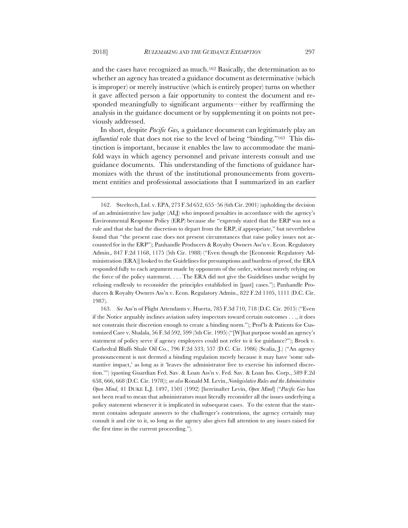and the cases have recognized as much.162 Basically, the determination as to whether an agency has treated a guidance document as determinative (which is improper) or merely instructive (which is entirely proper) turns on whether it gave affected person a fair opportunity to contest the document and responded meaningfully to significant arguments—either by reaffirming the analysis in the guidance document or by supplementing it on points not previously addressed.

In short, despite *Pacific Gas,* a guidance document can legitimately play an *influential* role that does not rise to the level of being "binding."<sup>163</sup> This distinction is important, because it enables the law to accommodate the manifold ways in which agency personnel and private interests consult and use guidance documents. This understanding of the functions of guidance harmonizes with the thrust of the institutional pronouncements from government entities and professional associations that I summarized in an earlier

<sup>162.</sup> Steeltech, Ltd. v. EPA, 273 F.3d 652, 655–56 (6th Cir. 2001) (upholding the decision of an administrative law judge (ALJ) who imposed penalties in accordance with the agency's Environmental Response Policy (ERP) because she "expressly stated that the ERP was not a rule and that she had the discretion to depart from the ERP, if appropriate," but nevertheless found that "the present case does not present circumstances that raise policy issues not accounted for in the ERP"); Panhandle Producers & Royalty Owners Ass'n v. Econ. Regulatory Admin.*,* 847 F.2d 1168, 1175 (5th Cir. 1988) ("Even though the [Economic Regulatory Administration (ERA)] looked to the Guidelines for presumptions and burdens of proof, the ERA responded fully to each argument made by opponents of the order, without merely relying on the force of the policy statement. . . . The ERA did not give the Guidelines undue weight by refusing endlessly to reconsider the principles established in [past] cases."); Panhandle Producers & Royalty Owners Ass'n v. Econ. Regulatory Admin., 822 F.2d 1105, 1111 (D.C. Cir. 1987).

<sup>163.</sup> *See* Ass'n of Flight Attendants v. Huerta, 785 F.3d 710, 718 (D.C. Cir. 2015) ("Even if the Notice arguably inclines aviation safety inspectors toward certain outcomes . . ., it does not constrain their discretion enough to create a binding norm."); Prof'ls & Patients for Customized Care v. Shalala, 56 F.3d 592, 599 (5th Cir. 1995) ("[W]hat purpose would an agency's statement of policy serve if agency employees could not refer to it for guidance?"); Brock v. Cathedral Bluffs Shale Oil Co., 796 F.2d 533, 537 (D.C. Cir. 1986) (Scalia, J.) ("An agency pronouncement is not deemed a binding regulation merely because it may have 'some substantive impact,' as long as it 'leaves the administrator free to exercise his informed discretion.'") (quoting Guardian Fed. Sav. & Loan Ass'n v. Fed. Sav. & Loan Ins. Corp., 589 F.2d 658, 666, 668 (D.C. Cir. 1978)); *see also* Ronald M. Levin, *Nonlegislative Rules and the Administrative Open Mind*, 41 DUKE L.J. 1497, 1501 (1992) [hereinafter Levin, *Open Mind*] ("*Pacific Gas* has not been read to mean that administrators must literally reconsider all the issues underlying a policy statement whenever it is implicated in subsequent cases. To the extent that the statement contains adequate answers to the challenger's contentions, the agency certainly may consult it and cite to it, so long as the agency also gives full attention to any issues raised for the first time in the current proceeding.").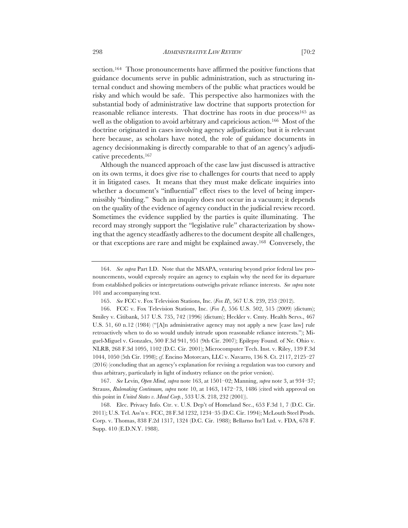section.<sup>164</sup> Those pronouncements have affirmed the positive functions that guidance documents serve in public administration, such as structuring internal conduct and showing members of the public what practices would be risky and which would be safe. This perspective also harmonizes with the substantial body of administrative law doctrine that supports protection for reasonable reliance interests. That doctrine has roots in due process<sup>165</sup> as

well as the obligation to avoid arbitrary and capricious action.166 Most of the doctrine originated in cases involving agency adjudication; but it is relevant here because, as scholars have noted, the role of guidance documents in agency decisionmaking is directly comparable to that of an agency's adjudicative precedents.167

Although the nuanced approach of the case law just discussed is attractive on its own terms, it does give rise to challenges for courts that need to apply it in litigated cases. It means that they must make delicate inquiries into whether a document's "influential" effect rises to the level of being impermissibly "binding." Such an inquiry does not occur in a vacuum; it depends on the quality of the evidence of agency conduct in the judicial review record. Sometimes the evidence supplied by the parties is quite illuminating. The record may strongly support the "legislative rule" characterization by showing that the agency steadfastly adheres to the document despite all challenges, or that exceptions are rare and might be explained away.168 Conversely, the

167. *See* Levin, *Open Mind, supra* note 163, at 1501–02; Manning, *supra* note 3, at 934–37; Strauss, *Rulemaking Continuum, supra* note 10, at 1463, 1472–73, 1486 (cited with approval on this point in *United States v. Mead Corp.*, 533 U.S. 218, 232 (2001)).

168. Elec. Privacy Info. Ctr. v. U.S. Dep't of Homeland Sec., 653 F.3d 1, 7 (D.C. Cir. 2011); U.S. Tel. Ass'n v. FCC, 28 F.3d 1232, 1234–35 (D.C. Cir. 1994); McLouth Steel Prods. Corp. v. Thomas, 838 F.2d 1317, 1324 (D.C. Cir. 1988); Bellarno Int'l Ltd. v. FDA, 678 F. Supp. 410 (E.D.N.Y. 1988).

<sup>164.</sup> *See supra* Part I.D. Note that the MSAPA, venturing beyond prior federal law pronouncements, would expressly require an agency to explain why the need for its departure from established policies or interpretations outweighs private reliance interests. *See supra* note 101 and accompanying text.

<sup>165.</sup> *See* FCC v. Fox Television Stations, Inc. (*Fox II*), 567 U.S. 239, 253 (2012).

<sup>166.</sup> FCC v. Fox Television Stations, Inc. (*Fox I*), 556 U.S. 502, 515 (2009) (dictum); Smiley v. Citibank, 517 U.S. 735, 742 (1996) (dictum); Heckler v. Cmty. Health Servs., 467 U.S. 51, 60 n.12 (1984) ("[A]n administrative agency may not apply a new [case law] rule retroactively when to do so would unduly intrude upon reasonable reliance interests."); Miguel-Miguel v. Gonzales, 500 F.3d 941, 951 (9th Cir. 2007); Epilepsy Found. of Ne. Ohio v. NLRB, 268 F.3d 1095, 1102 (D.C. Cir. 2001); Microcomputer Tech. Inst. v. Riley, 139 F.3d 1044, 1050 (5th Cir. 1998); *cf*. Encino Motorcars, LLC v. Navarro, 136 S. Ct. 2117, 2125–27 (2016) (concluding that an agency's explanation for revising a regulation was too cursory and thus arbitrary, particularly in light of industry reliance on the prior version).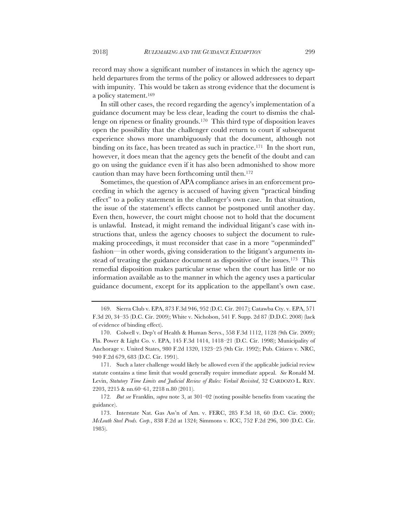record may show a significant number of instances in which the agency upheld departures from the terms of the policy or allowed addressees to depart with impunity. This would be taken as strong evidence that the document is a policy statement.169

In still other cases, the record regarding the agency's implementation of a guidance document may be less clear, leading the court to dismiss the challenge on ripeness or finality grounds.170 This third type of disposition leaves open the possibility that the challenger could return to court if subsequent experience shows more unambiguously that the document, although not binding on its face, has been treated as such in practice.171 In the short run, however, it does mean that the agency gets the benefit of the doubt and can go on using the guidance even if it has also been admonished to show more caution than may have been forthcoming until then.172

Sometimes, the question of APA compliance arises in an enforcement proceeding in which the agency is accused of having given "practical binding effect" to a policy statement in the challenger's own case. In that situation, the issue of the statement's effects cannot be postponed until another day. Even then, however, the court might choose not to hold that the document is unlawful. Instead, it might remand the individual litigant's case with instructions that, unless the agency chooses to subject the document to rulemaking proceedings, it must reconsider that case in a more "openminded" fashion—in other words, giving consideration to the litigant's arguments instead of treating the guidance document as dispositive of the issues.<sup>173</sup> This remedial disposition makes particular sense when the court has little or no information available as to the manner in which the agency uses a particular guidance document, except for its application to the appellant's own case.

<sup>169.</sup> Sierra Club v. EPA, 873 F.3d 946, 952 (D.C. Cir. 2017); Catawba Cty. v. EPA, 571 F.3d 20, 34–35 (D.C. Cir. 2009); White v. Nicholson, 541 F. Supp. 2d 87 (D.D.C. 2008) (lack of evidence of binding effect).

<sup>170.</sup> Colwell v. Dep't of Health & Human Servs., 558 F.3d 1112, 1128 (9th Cir. 2009); Fla. Power & Light Co. v. EPA, 145 F.3d 1414, 1418–21 (D.C. Cir. 1998); Municipality of Anchorage v. United States, 980 F.2d 1320, 1323–25 (9th Cir. 1992); Pub. Citizen v. NRC, 940 F.2d 679, 683 (D.C. Cir. 1991).

<sup>171.</sup> Such a later challenge would likely be allowed even if the applicable judicial review statute contains a time limit that would generally require immediate appeal. *See* Ronald M. Levin, *Statutory Time Limits and Judicial Review of Rules: Verkuil Revisited*, 32 CARDOZO L. REV. 2203, 2215 & nn.60–61, 2218 n.80 (2011).

<sup>172</sup>*. But see* Franklin, *supra* note 3, at 301–02 (noting possible benefits from vacating the guidance).

<sup>173.</sup> Interstate Nat. Gas Ass'n of Am. v. FERC, 285 F.3d 18, 60 (D.C. Cir. 2000); *McLouth Steel Prods. Corp.*, 838 F.2d at 1324; Simmons v. ICC, 752 F.2d 296, 300 (D.C. Cir. 1985).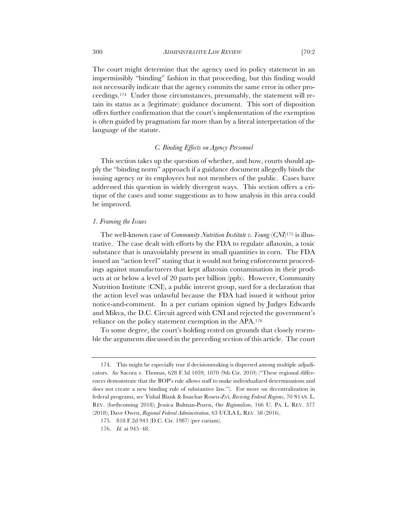The court might determine that the agency used its policy statement in an impermissibly "binding" fashion in that proceeding, but this finding would not necessarily indicate that the agency commits the same error in other proceedings.174 Under those circumstances, presumably, the statement will retain its status as a (legitimate) guidance document. This sort of disposition offers further confirmation that the court's implementation of the exemption is often guided by pragmatism far more than by a literal interpretation of the language of the statute.

# *C. Binding Effects on Agency Personnel*

This section takes up the question of whether, and how, courts should apply the "binding norm" approach if a guidance document allegedly binds the issuing agency or its employees but not members of the public. Cases have addressed this question in widely divergent ways. This section offers a critique of the cases and some suggestions as to how analysis in this area could be improved.

#### *1. Framing the Issues*

The well-known case of *Community Nutrition Institute v. Young* (*CNI*)175 is illustrative. The case dealt with efforts by the FDA to regulate aflatoxin, a toxic substance that is unavoidably present in small quantities in corn. The FDA issued an "action level" stating that it would not bring enforcement proceedings against manufacturers that kept aflatoxin contamination in their products at or below a level of 20 parts per billion (ppb). However, Community Nutrition Institute (CNI), a public interest group, sued for a declaration that the action level was unlawful because the FDA had issued it without prior notice-and-comment. In a per curiam opinion signed by Judges Edwards and Mikva, the D.C. Circuit agreed with CNI and rejected the government's reliance on the policy statement exemption in the APA.176

To some degree, the court's holding rested on grounds that closely resemble the arguments discussed in the preceding section of this article. The court

<sup>174.</sup> This might be especially true if decisionmaking is dispersed among multiple adjudicators. *See* Sacora v. Thomas, 628 F.3d 1059, 1070 (9th Cir. 2010) ("These regional differences demonstrate that the BOP's rule allows staff to make individualized determinations and does not create a new binding rule of substantive law."). For more on decentralization in federal programs, see Yishal Blank & Issachar Rosen-Zvi, *Reviving Federal Regions*, 70 STAN. L. REV. (forthcoming 2018); Jessica Bulman-Pozen, *Our Regionalism*, 166 U. PA. L. REV. 377 (2018); Dave Owen, *Regional Federal Administration*, 63 UCLA L. REV. 58 (2016).

<sup>175.</sup> 818 F.2d 943 (D.C. Cir. 1987) (per curiam).

<sup>176.</sup> *Id.* at 945–48.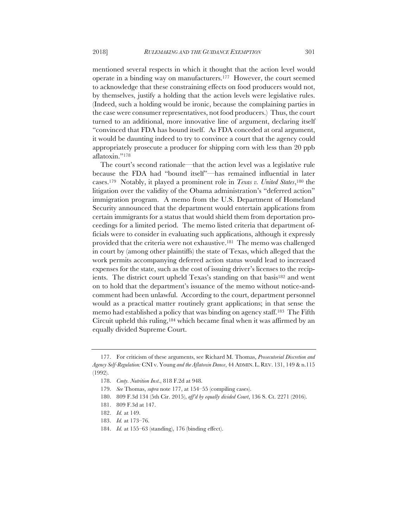mentioned several respects in which it thought that the action level would operate in a binding way on manufacturers.177 However, the court seemed to acknowledge that these constraining effects on food producers would not, by themselves, justify a holding that the action levels were legislative rules. (Indeed, such a holding would be ironic, because the complaining parties in the case were consumer representatives, not food producers.) Thus, the court turned to an additional, more innovative line of argument, declaring itself "convinced that FDA has bound itself. As FDA conceded at oral argument, it would be daunting indeed to try to convince a court that the agency could appropriately prosecute a producer for shipping corn with less than 20 ppb aflatoxin."178

The court's second rationale—that the action level was a legislative rule because the FDA had "bound itself"—has remained influential in later cases.179 Notably, it played a prominent role in *Texas v. United States*,180 the litigation over the validity of the Obama administration's "deferred action" immigration program. A memo from the U.S. Department of Homeland Security announced that the department would entertain applications from certain immigrants for a status that would shield them from deportation proceedings for a limited period. The memo listed criteria that department officials were to consider in evaluating such applications, although it expressly provided that the criteria were not exhaustive.181 The memo was challenged in court by (among other plaintiffs) the state of Texas, which alleged that the work permits accompanying deferred action status would lead to increased expenses for the state, such as the cost of issuing driver's licenses to the recipients. The district court upheld Texas's standing on that basis<sup>182</sup> and went on to hold that the department's issuance of the memo without notice-andcomment had been unlawful. According to the court, department personnel would as a practical matter routinely grant applications; in that sense the memo had established a policy that was binding on agency staff.<sup>183</sup> The Fifth Circuit upheld this ruling,184 which became final when it was affirmed by an equally divided Supreme Court.

<sup>177.</sup> For criticism of these arguments, see Richard M. Thomas, *Prosecutorial Discretion and Agency Self-Regulation:* CNI v. Young *and the Aflatoxin Dance*, 44 ADMIN. L. REV. 131, 149 & n.115 (1992).

<sup>178.</sup> *Cmty. Nutrition Inst*., 818 F.2d at 948.

<sup>179.</sup> *See* Thomas, *supra* note 177, at 154–55 (compiling cases).

<sup>180.</sup> 809 F.3d 134 (5th Cir. 2015), *aff'd by equally divided Court*, 136 S. Ct. 2271 (2016).

<sup>181.</sup> 809 F.3d at 147.

<sup>182.</sup> *Id.* at 149.

<sup>183.</sup> *Id.* at 173–76.

<sup>184.</sup> *Id.* at 155–63 (standing), 176 (binding effect).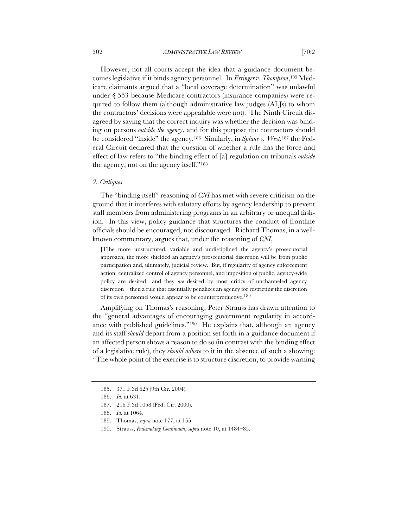However, not all courts accept the idea that a guidance document be-

comes legislative if it binds agency personnel. In *Erringer v. Thompson*,185 Medicare claimants argued that a "local coverage determination" was unlawful under § 553 because Medicare contractors (insurance companies) were required to follow them (although administrative law judges (ALJs) to whom the contractors' decisions were appealable were not). The Ninth Circuit disagreed by saying that the correct inquiry was whether the decision was binding on persons *outside the agency*, and for this purpose the contractors should be considered "inside" the agency.186 Similarly, in *Splane v. West*,187 the Federal Circuit declared that the question of whether a rule has the force and effect of law refers to "the binding effect of [a] regulation on tribunals *outside*  the agency, not on the agency itself."188

## *2. Critiques*

The "binding itself" reasoning of *CNI* has met with severe criticism on the ground that it interferes with salutary efforts by agency leadership to prevent staff members from administering programs in an arbitrary or unequal fashion. In this view, policy guidance that structures the conduct of frontline officials should be encouraged, not discouraged. Richard Thomas, in a wellknown commentary, argues that, under the reasoning of *CNI*,

[T]he more unstructured, variable and undisciplined the agency's prosecutorial approach, the more shielded an agency's prosecutorial discretion will be from public participation and, ultimately, judicial review. But, if regularity of agency enforcement action, centralized control of agency personnel, and imposition of public, agency-wide policy are desired—and they *are* desired by most critics of unchanneled agency discretion—then a rule that essentially penalizes an agency for restricting the discretion of its own personnel would appear to be counterproductive.189

Amplifying on Thomas's reasoning, Peter Strauss has drawn attention to the "general advantages of encouraging government regularity in accordance with published guidelines."190 He explains that, although an agency and its staff *should* depart from a position set forth in a guidance document if an affected person shows a reason to do so (in contrast with the binding effect of a legislative rule), they *should adhere* to it in the absence of such a showing: "The whole point of the exercise is to structure discretion, to provide warning

<sup>185.</sup> 371 F.3d 625 (9th Cir. 2004).

<sup>186.</sup> *Id.* at 631.

<sup>187.</sup> 216 F.3d 1058 (Fed. Cir. 2000).

<sup>188.</sup> *Id.* at 1064.

<sup>189.</sup> Thomas, *supra* note 177, at 155.

<sup>190.</sup> Strauss, *Rulemaking Continuum*, *supra* note 10, at 1484–85.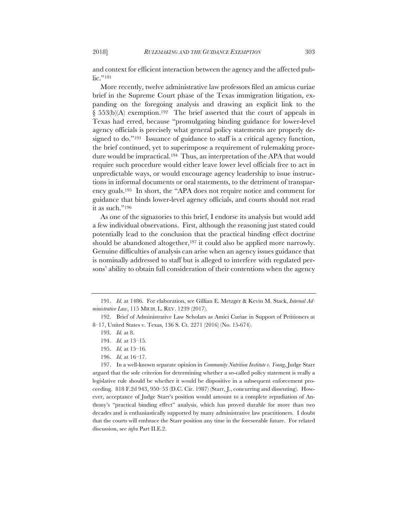and context for efficient interaction between the agency and the affected public."191

More recently, twelve administrative law professors filed an amicus curiae brief in the Supreme Court phase of the Texas immigration litigation, expanding on the foregoing analysis and drawing an explicit link to the § 553(b)(A) exemption.<sup>192</sup> The brief asserted that the court of appeals in Texas had erred, because "promulgating binding guidance for lower-level agency officials is precisely what general policy statements are properly designed to do."193 Issuance of guidance to staff is a critical agency function, the brief continued, yet to superimpose a requirement of rulemaking procedure would be impractical.<sup>194</sup> Thus, an interpretation of the APA that would require such procedure would either leave lower level officials free to act in unpredictable ways, or would encourage agency leadership to issue instructions in informal documents or oral statements, to the detriment of transparency goals.195 In short, the "APA does not require notice and comment for guidance that binds lower-level agency officials, and courts should not read it as such."196

As one of the signatories to this brief, I endorse its analysis but would add a few individual observations. First, although the reasoning just stated could potentially lead to the conclusion that the practical binding effect doctrine should be abandoned altogether,<sup>197</sup> it could also be applied more narrowly. Genuine difficulties of analysis can arise when an agency issues guidance that is nominally addressed to staff but is alleged to interfere with regulated persons' ability to obtain full consideration of their contentions when the agency

196. *Id.* at 16–17.

<sup>191.</sup> *Id.* at 1486. For elaboration, see Gillian E. Metzger & Kevin M. Stack, *Internal Administrative Law*, 115 MICH. L. REV. 1239 (2017).

<sup>192.</sup> Brief of Administrative Law Scholars as Amici Curiae in Support of Petitioners at 8–17, United States v. Texas, 136 S. Ct. 2271 (2016) (No. 15-674).

<sup>193.</sup> *Id.* at 8.

<sup>194.</sup> *Id.* at 13–15.

<sup>195.</sup> *Id.* at 15–16.

<sup>197.</sup> In a well-known separate opinion in *Community Nutrition Institute v. Young*, Judge Starr argued that the sole criterion for determining whether a so-called policy statement is really a legislative rule should be whether it would be dispositive in a subsequent enforcement proceeding. 818 F.2d 943, 950–53 (D.C. Cir. 1987) (Starr, J., concurring and dissenting). However, acceptance of Judge Starr's position would amount to a complete repudiation of Anthony's "practical binding effect" analysis, which has proved durable for more than two decades and is enthusiastically supported by many administrative law practitioners. I doubt that the courts will embrace the Starr position any time in the foreseeable future. For related discussion, see *infra* Part II.E.2.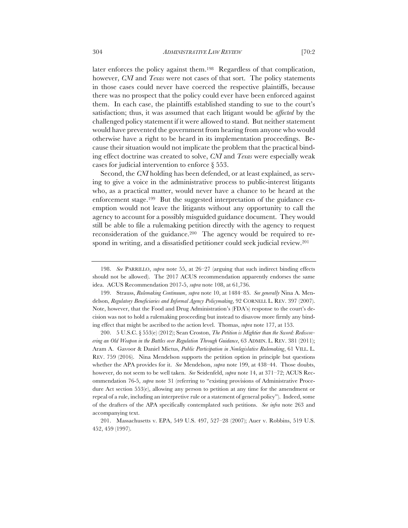later enforces the policy against them.198 Regardless of that complication, however, *CNI* and *Texas* were not cases of that sort. The policy statements in those cases could never have coerced the respective plaintiffs, because there was no prospect that the policy could ever have been enforced against them. In each case, the plaintiffs established standing to sue to the court's satisfaction; thus, it was assumed that each litigant would be *affected* by the challenged policy statement if it were allowed to stand. But neither statement would have prevented the government from hearing from anyone who would

otherwise have a right to be heard in its implementation proceedings. Because their situation would not implicate the problem that the practical binding effect doctrine was created to solve, *CNI* and *Texas* were especially weak cases for judicial intervention to enforce § 553. Second, the *CNI* holding has been defended, or at least explained, as serv-

ing to give a voice in the administrative process to public-interest litigants who, as a practical matter, would never have a chance to be heard at the enforcement stage.199 But the suggested interpretation of the guidance exemption would not leave the litigants without any opportunity to call the agency to account for a possibly misguided guidance document. They would still be able to file a rulemaking petition directly with the agency to request reconsideration of the guidance.200 The agency would be required to respond in writing, and a dissatisfied petitioner could seek judicial review.201

200. 5 U.S.C. § 553(e) (2012); Sean Croston, *The Petition is Mightier than the Sword: Rediscovering an Old Weapon in the Battles over Regulation Through Guidance*, 63 ADMIN. L. REV. 381 (2011); Aram A. Gavoor & Daniel Mictus, *Public Participation in Nonlegislative Rulemaking*, 61 VILL. L. REV. 759 (2016). Nina Mendelson supports the petition option in principle but questions whether the APA provides for it. *See* Mendelson, *supra* note 199, at 438–44. Those doubts, however, do not seem to be well taken. *See* Seidenfeld, *supra* note 14, at 371–72; ACUS Recommendation 76-5, *supra* note 31 (referring to "existing provisions of Administrative Procedure Act section 553(e), allowing any person to petition at any time for the amendment or repeal of a rule, including an interpretive rule or a statement of general policy"). Indeed, some of the drafters of the APA specifically contemplated such petitions. *See infra* note 263 and accompanying text.

<sup>198.</sup> *See* PARRILLO, *supra* note 55, at 26–27 (arguing that such indirect binding effects should not be allowed). The 2017 ACUS recommendation apparently endorses the same idea. ACUS Recommendation 2017-5, *supra* note 108, at 61,736.

<sup>199.</sup> Strauss, *Rulemaking Continuum*, *supra* note 10, at 1484–85. *See generally* Nina A. Mendelson, *Regulatory Beneficiaries and Informal Agency Policymaking*, 92 CORNELL L. REV. 397 (2007). Note, however, that the Food and Drug Administration's (FDA's) response to the court's decision was not to hold a rulemaking proceeding but instead to disavow more firmly any binding effect that might be ascribed to the action level. Thomas, *supra* note 177, at 153.

<sup>201.</sup> Massachusetts v. EPA, 549 U.S. 497, 527–28 (2007); Auer v. Robbins, 519 U.S. 452, 459 (1997).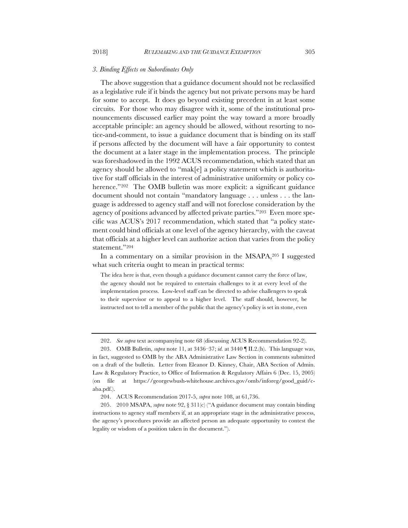### *3. Binding Effects on Subordinates Only*

The above suggestion that a guidance document should not be reclassified as a legislative rule if it binds the agency but not private persons may be hard for some to accept. It does go beyond existing precedent in at least some circuits. For those who may disagree with it, some of the institutional pronouncements discussed earlier may point the way toward a more broadly acceptable principle: an agency should be allowed, without resorting to notice-and-comment, to issue a guidance document that is binding on its staff if persons affected by the document will have a fair opportunity to contest the document at a later stage in the implementation process. The principle was foreshadowed in the 1992 ACUS recommendation, which stated that an agency should be allowed to "mak[e] a policy statement which is authoritative for staff officials in the interest of administrative uniformity or policy coherence."<sup>202</sup> The OMB bulletin was more explicit: a significant guidance document should not contain "mandatory language . . . unless . . . the language is addressed to agency staff and will not foreclose consideration by the agency of positions advanced by affected private parties."203 Even more specific was ACUS's 2017 recommendation, which stated that "a policy statement could bind officials at one level of the agency hierarchy, with the caveat that officials at a higher level can authorize action that varies from the policy statement."204

In a commentary on a similar provision in the MSAPA,205 I suggested what such criteria ought to mean in practical terms:

The idea here is that, even though a guidance document cannot carry the force of law, the agency should not be required to entertain challenges to it at every level of the implementation process. Low-level staff can be directed to advise challengers to speak to their supervisor or to appeal to a higher level. The staff should, however, be instructed not to tell a member of the public that the agency's policy is set in stone, even

<sup>202.</sup> *See supra* text accompanying note 68 (discussing ACUS Recommendation 92-2).

<sup>203.</sup> OMB Bulletin, *supra* note 11, at 3436–37; *id.* at 3440 ¶ II.2.(h). This language was, in fact, suggested to OMB by the ABA Administrative Law Section in comments submitted on a draft of the bulletin. Letter from Eleanor D. Kinney, Chair, ABA Section of Admin. Law & Regulatory Practice, to Office of Information & Regulatory Affairs 6 (Dec. 15, 2005) (on file at https://georgewbush-whitehouse.archives.gov/omb/inforeg/good\_guid/caba.pdf.).

<sup>204.</sup> ACUS Recommendation 2017-5, *supra* note 108, at 61,736.

<sup>205.</sup> 2010 MSAPA, *supra* note 92, § 311(c) ("A guidance document may contain binding instructions to agency staff members if, at an appropriate stage in the administrative process, the agency's procedures provide an affected person an adequate opportunity to contest the legality or wisdom of a position taken in the document.").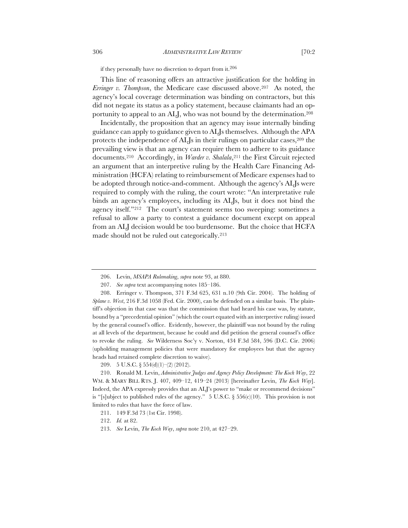if they personally have no discretion to depart from it.206

This line of reasoning offers an attractive justification for the holding in *Erringer v. Thompson*, the Medicare case discussed above.207 As noted, the agency's local coverage determination was binding on contractors, but this did not negate its status as a policy statement, because claimants had an opportunity to appeal to an ALJ, who was not bound by the determination.208

Incidentally, the proposition that an agency may issue internally binding guidance can apply to guidance given to ALJs themselves. Although the APA protects the independence of ALJs in their rulings on particular cases,  $2^{09}$  the prevailing view is that an agency can require them to adhere to its guidance documents.<sup>210</sup> Accordingly, in *Warder v. Shalala*,<sup>211</sup> the First Circuit rejected an argument that an interpretive ruling by the Health Care Financing Administration (HCFA) relating to reimbursement of Medicare expenses had to be adopted through notice-and-comment. Although the agency's ALJs were required to comply with the ruling, the court wrote: "An interpretative rule binds an agency's employees, including its ALJs, but it does not bind the agency itself."212 The court's statement seems too sweeping: sometimes a refusal to allow a party to contest a guidance document except on appeal from an ALJ decision would be too burdensome. But the choice that HCFA made should not be ruled out categorically.213

210. Ronald M. Levin, *Administrative Judges and Agency Policy Development: The Koch Way*, 22 WM. & MARY BILL RTS. J. 407, 409–12, 419–24 (2013) [hereinafter Levin, *The Koch Way*]. Indeed, the APA expressly provides that an ALJ's power to "make or recommend decisions" is "[s]ubject to published rules of the agency." 5 U.S.C. § 556(c)(10). This provision is not limited to rules that have the force of law.

<sup>206.</sup> Levin, *MSAPA Rulemaking*, *supra* note 93, at 880.

<sup>207.</sup> *See supra* text accompanying notes 185–186.

<sup>208.</sup> Erringer v. Thompson, 371 F.3d 625, 631 n.10 (9th Cir. 2004). The holding of *Splane v. West*, 216 F.3d 1058 (Fed. Cir. 2000), can be defended on a similar basis. The plaintiff's objection in that case was that the commission that had heard his case was, by statute, bound by a "precedential opinion" (which the court equated with an interpretive ruling) issued by the general counsel's office. Evidently, however, the plaintiff was not bound by the ruling at all levels of the department, because he could and did petition the general counsel's office to revoke the ruling. *See* Wilderness Soc'y v. Norton, 434 F.3d 584, 596 (D.C. Cir. 2006) (upholding management policies that were mandatory for employees but that the agency heads had retained complete discretion to waive).

<sup>209.</sup> 5 U.S.C. § 554(d)(1)–(2) (2012).

<sup>211.</sup> 149 F.3d 73 (1st Cir. 1998).

<sup>212.</sup> *Id.* at 82.

<sup>213.</sup> *See* Levin, *The Koch Way*, *supra* note 210, at 427–29.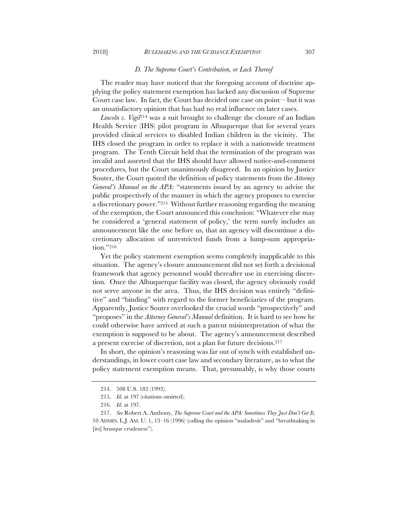### *D. The Supreme Court's Contribution, or Lack Thereof*

The reader may have noticed that the foregoing account of doctrine applying the policy statement exemption has lacked any discussion of Supreme Court case law. In fact, the Court has decided one case on point—but it was an unsatisfactory opinion that has had no real influence on later cases.

*Lincoln v. Vigil*<sup>214</sup> was a suit brought to challenge the closure of an Indian Health Service (IHS) pilot program in Albuquerque that for several years provided clinical services to disabled Indian children in the vicinity. The IHS closed the program in order to replace it with a nationwide treatment program. The Tenth Circuit held that the termination of the program was invalid and asserted that the IHS should have allowed notice-and-comment procedures, but the Court unanimously disagreed. In an opinion by Justice Souter, the Court quoted the definition of policy statements from the *Attorney General's Manual on the APA*: "statements issued by an agency to advise the public prospectively of the manner in which the agency proposes to exercise a discretionary power."215 Without further reasoning regarding the meaning of the exemption, the Court announced this conclusion: "Whatever else may be considered a 'general statement of policy,' the term surely includes an announcement like the one before us, that an agency will discontinue a discretionary allocation of unrestricted funds from a lump-sum appropriation."216

Yet the policy statement exemption seems completely inapplicable to this situation. The agency's closure announcement did not set forth a decisional framework that agency personnel would thereafter use in exercising discretion. Once the Albuquerque facility was closed, the agency obviously could not serve anyone in the area. Thus, the IHS decision was entirely "definitive" and "binding" with regard to the former beneficiaries of the program. Apparently, Justice Souter overlooked the crucial words "prospectively" and "proposes" in the *Attorney General's Manual* definition. It is hard to see how he could otherwise have arrived at such a patent misinterpretation of what the exemption is supposed to be about. The agency's announcement described a present exercise of discretion, not a plan for future decisions.217

In short, the opinion's reasoning was far out of synch with established understandings, in lower court case law and secondary literature, as to what the policy statement exemption means. That, presumably, is why those courts

<sup>214.</sup> 508 U.S. 182 (1993).

<sup>215.</sup> *Id.* at 197 (citations omitted).

<sup>216.</sup> *Id.* at 197.

<sup>217.</sup> *See* Robert A. Anthony, *The Supreme Court and the APA: Sometimes They Just Don't Get It*, 10 ADMIN. L.J. AM. U. 1, 13–16 (1996) (calling the opinion "maladroit" and "breathtaking in [its] brusque crudeness").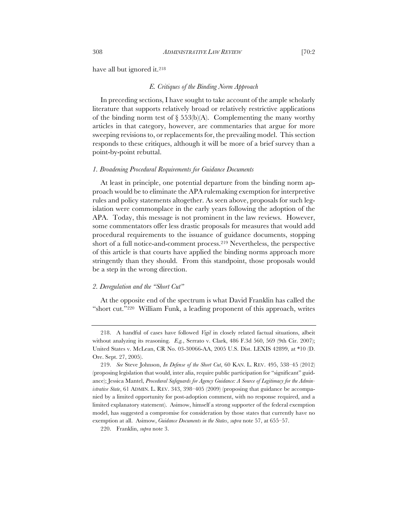### *E. Critiques of the Binding Norm Approach*

In preceding sections, I have sought to take account of the ample scholarly literature that supports relatively broad or relatively restrictive applications of the binding norm test of  $\S$  553(b)(A). Complementing the many worthy articles in that category, however, are commentaries that argue for more sweeping revisions to, or replacements for, the prevailing model. This section responds to these critiques, although it will be more of a brief survey than a point-by-point rebuttal.

### *1. Broadening Procedural Requirements for Guidance Documents*

At least in principle, one potential departure from the binding norm approach would be to eliminate the APA rulemaking exemption for interpretive rules and policy statements altogether. As seen above, proposals for such legislation were commonplace in the early years following the adoption of the APA. Today, this message is not prominent in the law reviews. However, some commentators offer less drastic proposals for measures that would add procedural requirements to the issuance of guidance documents, stopping short of a full notice-and-comment process.219 Nevertheless, the perspective of this article is that courts have applied the binding norms approach more stringently than they should. From this standpoint, those proposals would be a step in the wrong direction.

# *2. Deregulation and the "Short Cut"*

At the opposite end of the spectrum is what David Franklin has called the "short cut."220 William Funk, a leading proponent of this approach, writes

<sup>218.</sup> A handful of cases have followed *Vigil* in closely related factual situations, albeit without analyzing its reasoning. *E.g.*, Serrato v. Clark, 486 F.3d 560, 569 (9th Cir. 2007); United States v. McLean, CR No. 03-30066-AA, 2005 U.S. Dist. LEXIS 42899, at \*10 (D. Ore. Sept. 27, 2005).

<sup>219.</sup> *See* Steve Johnson, *In Defense of the Short Cut*, 60 KAN. L. REV. 495, 538–45 (2012) (proposing legislation that would, inter alia, require public participation for "significant" guidance); Jessica Mantel, *Procedural Safeguards for Agency Guidance: A Source of Legitimacy for the Administrative State*, 61 ADMIN. L. REV. 343, 398–405 (2009) (proposing that guidance be accompanied by a limited opportunity for post-adoption comment, with no response required, and a limited explanatory statement). Asimow, himself a strong supporter of the federal exemption model, has suggested a compromise for consideration by those states that currently have no exemption at all. Asimow, *Guidance Documents in the States*, *supra* note 57, at 655–57.

<sup>220.</sup> Franklin, *supra* note 3.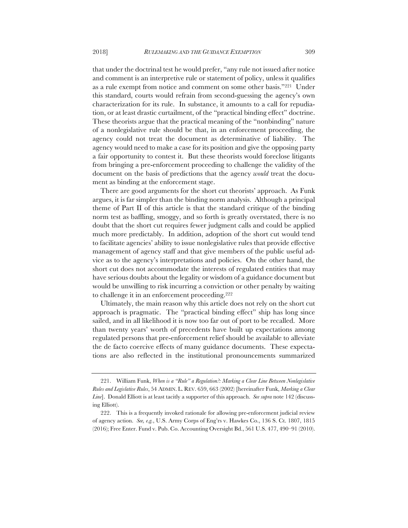that under the doctrinal test he would prefer, "any rule not issued after notice and comment is an interpretive rule or statement of policy, unless it qualifies

as a rule exempt from notice and comment on some other basis."221 Under this standard, courts would refrain from second-guessing the agency's own characterization for its rule. In substance, it amounts to a call for repudiation, or at least drastic curtailment, of the "practical binding effect" doctrine. These theorists argue that the practical meaning of the "nonbinding" nature of a nonlegislative rule should be that, in an enforcement proceeding, the agency could not treat the document as determinative of liability. The agency would need to make a case for its position and give the opposing party a fair opportunity to contest it. But these theorists would foreclose litigants from bringing a pre-enforcement proceeding to challenge the validity of the document on the basis of predictions that the agency *would* treat the document as binding at the enforcement stage.

There are good arguments for the short cut theorists' approach. As Funk argues, it is far simpler than the binding norm analysis. Although a principal theme of Part II of this article is that the standard critique of the binding norm test as baffling, smoggy, and so forth is greatly overstated, there is no doubt that the short cut requires fewer judgment calls and could be applied much more predictably. In addition, adoption of the short cut would tend to facilitate agencies' ability to issue nonlegislative rules that provide effective management of agency staff and that give members of the public useful advice as to the agency's interpretations and policies. On the other hand, the short cut does not accommodate the interests of regulated entities that may have serious doubts about the legality or wisdom of a guidance document but would be unwilling to risk incurring a conviction or other penalty by waiting to challenge it in an enforcement proceeding.222

Ultimately, the main reason why this article does not rely on the short cut approach is pragmatic. The "practical binding effect" ship has long since sailed, and in all likelihood it is now too far out of port to be recalled. More than twenty years' worth of precedents have built up expectations among regulated persons that pre-enforcement relief should be available to alleviate the de facto coercive effects of many guidance documents. These expectations are also reflected in the institutional pronouncements summarized

<sup>221.</sup> William Funk, *When is a "Rule" a Regulation?: Marking a Clear Line Between Nonlegislative Rules and Legislative Rules*, 54 ADMIN. L. REV. 659, 663 (2002) [hereinafter Funk, *Marking a Clear Line*]. Donald Elliott is at least tacitly a supporter of this approach. *See supra* note 142 (discussing Elliott).

<sup>222.</sup> This is a frequently invoked rationale for allowing pre-enforcement judicial review of agency action. *See, e.g.*, U.S. Army Corps of Eng'rs v. Hawkes Co., 136 S. Ct. 1807, 1815 (2016); Free Enter. Fund v. Pub. Co. Accounting Oversight Bd., 561 U.S. 477, 490–91 (2010).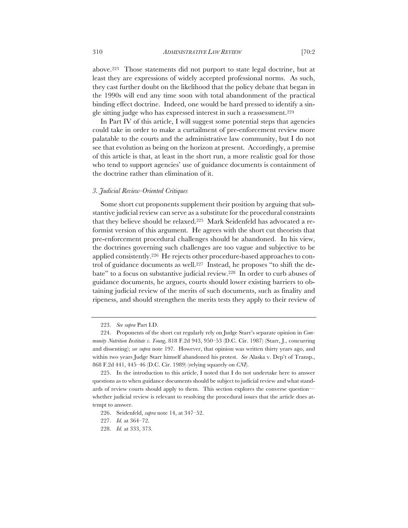above.223 Those statements did not purport to state legal doctrine, but at least they are expressions of widely accepted professional norms. As such, they cast further doubt on the likelihood that the policy debate that began in the 1990s will end any time soon with total abandonment of the practical binding effect doctrine. Indeed, one would be hard pressed to identify a single sitting judge who has expressed interest in such a reassessment.224

In Part IV of this article, I will suggest some potential steps that agencies could take in order to make a curtailment of pre-enforcement review more palatable to the courts and the administrative law community, but I do not see that evolution as being on the horizon at present. Accordingly, a premise of this article is that, at least in the short run, a more realistic goal for those who tend to support agencies' use of guidance documents is containment of the doctrine rather than elimination of it.

### *3. Judicial Review-Oriented Critiques*

Some short cut proponents supplement their position by arguing that substantive judicial review can serve as a substitute for the procedural constraints that they believe should be relaxed.225 Mark Seidenfeld has advocated a reformist version of this argument. He agrees with the short cut theorists that pre-enforcement procedural challenges should be abandoned. In his view, the doctrines governing such challenges are too vague and subjective to be applied consistently.226 He rejects other procedure-based approaches to control of guidance documents as well.227 Instead, he proposes "to shift the debate" to a focus on substantive judicial review.228 In order to curb abuses of guidance documents, he argues, courts should lower existing barriers to obtaining judicial review of the merits of such documents, such as finality and ripeness, and should strengthen the merits tests they apply to their review of

<sup>223.</sup> *See supra* Part I.D.

<sup>224.</sup> Proponents of the short cut regularly rely on Judge Starr's separate opinion in *Community Nutrition Institute v. Young*, 818 F.2d 943, 950–53 (D.C. Cir. 1987) (Starr, J., concurring and dissenting); *see supra* note 197. However, that opinion was written thirty years ago, and within two years Judge Starr himself abandoned his protest. *See* Alaska v. Dep't of Transp., 868 F.2d 441, 445–46 (D.C. Cir. 1989) (relying squarely on *CNI*).

<sup>225.</sup> In the introduction to this article, I noted that I do not undertake here to answer questions as to when guidance documents should be subject to judicial review and what standards of review courts should apply to them. This section explores the converse question whether judicial review is relevant to resolving the procedural issues that the article does attempt to answer.

<sup>226.</sup> Seidenfeld, *supra* note 14, at 347–52.

<sup>227.</sup> *Id.* at 364–72.

<sup>228.</sup> *Id.* at 333, 373.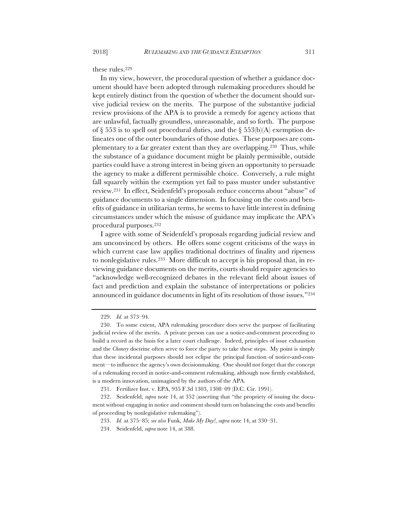these rules.229

In my view, however, the procedural question of whether a guidance document should have been adopted through rulemaking procedures should be kept entirely distinct from the question of whether the document should survive judicial review on the merits. The purpose of the substantive judicial review provisions of the APA is to provide a remedy for agency actions that are unlawful, factually groundless, unreasonable, and so forth. The purpose of  $\S$  553 is to spell out procedural duties, and the  $\S$  553(b)(A) exemption delineates one of the outer boundaries of those duties. These purposes are complementary to a far greater extent than they are overlapping.230 Thus, while the substance of a guidance document might be plainly permissible, outside parties could have a strong interest in being given an opportunity to persuade the agency to make a different permissible choice. Conversely, a rule might fall squarely within the exemption yet fail to pass muster under substantive review.231 In effect, Seidenfeld's proposals reduce concerns about "abuse" of guidance documents to a single dimension. In focusing on the costs and benefits of guidance in utilitarian terms, he seems to have little interest in defining circumstances under which the misuse of guidance may implicate the APA's procedural purposes.232

I agree with some of Seidenfeld's proposals regarding judicial review and am unconvinced by others. He offers some cogent criticisms of the ways in which current case law applies traditional doctrines of finality and ripeness to nonlegislative rules.233 More difficult to accept is his proposal that, in reviewing guidance documents on the merits, courts should require agencies to "acknowledge well-recognized debates in the relevant field about issues of fact and prediction and explain the substance of interpretations or policies announced in guidance documents in light of its resolution of those issues."234

231. Fertilizer Inst. v. EPA, 935 F.3d 1303, 1308–09 (D.C. Cir. 1991).

<sup>229.</sup> *Id.* at 373–94.

<sup>230.</sup> To some extent, APA rulemaking procedure does serve the purpose of facilitating judicial review of the merits. A private person can use a notice-and-comment proceeding to build a record as the basis for a later court challenge. Indeed, principles of issue exhaustion and the *Chenery* doctrine often serve to force the party to take these steps. My point is simply that these incidental purposes should not eclipse the principal function of notice-and-comment—to influence the agency's own decisionmaking. One should not forget that the concept of a rulemaking record in notice-and-comment rulemaking, although now firmly established, is a modern innovation, unimagined by the authors of the APA.

<sup>232.</sup> Seidenfeld, *supra* note 14, at 352 (asserting that "the propriety of issuing the document without engaging in notice and comment should turn on balancing the costs and benefits of proceeding by nonlegislative rulemaking").

<sup>233.</sup> *Id.* at 375–85; *see also* Funk, *Make My Day!*, *supra* note 14, at 330–31.

<sup>234.</sup> Seidenfeld, *supra* note 14, at 388.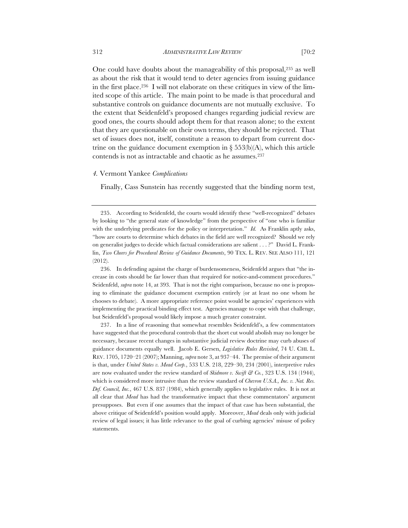One could have doubts about the manageability of this proposal,235 as well as about the risk that it would tend to deter agencies from issuing guidance in the first place.236 I will not elaborate on these critiques in view of the limited scope of this article. The main point to be made is that procedural and substantive controls on guidance documents are not mutually exclusive. To the extent that Seidenfeld's proposed changes regarding judicial review are good ones, the courts should adopt them for that reason alone; to the extent that they are questionable on their own terms, they should be rejected. That set of issues does not, itself, constitute a reason to depart from current doctrine on the guidance document exemption in  $\S 553(b)$ (A), which this article contends is not as intractable and chaotic as he assumes.237

### *4.* Vermont Yankee *Complications*

Finally, Cass Sunstein has recently suggested that the binding norm test,

236. In defending against the charge of burdensomeness, Seidenfeld argues that "the increase in costs should be far lower than that required for notice-and-comment procedures." Seidenfeld, *supra* note 14, at 393. That is not the right comparison, because no one is proposing to eliminate the guidance document exemption entirely (or at least no one whom he chooses to debate). A more appropriate reference point would be agencies' experiences with implementing the practical binding effect test. Agencies manage to cope with that challenge, but Seidenfeld's proposal would likely impose a much greater constraint.

237. In a line of reasoning that somewhat resembles Seidenfeld's, a few commentators have suggested that the procedural controls that the short cut would abolish may no longer be necessary, because recent changes in substantive judicial review doctrine may curb abuses of guidance documents equally well. Jacob E. Gersen, *Legislative Rules Revisited*, 74 U. CHI. L. REV. 1705, 1720–21 (2007); Manning, *supra* note 3, at 937–44. The premise of their argument is that, under *United States v. Mead Corp.*, 533 U.S. 218, 229–30, 234 (2001), interpretive rules are now evaluated under the review standard of *Skidmore v. Swift & Co.*, 323 U.S. 134 (1944), which is considered more intrusive than the review standard of *Chevron U.S.A., Inc. v. Nat. Res. Def. Council, Inc.*, 467 U.S. 837 (1984), which generally applies to legislative rules. It is not at all clear that *Mead* has had the transformative impact that these commentators' argument presupposes. But even if one assumes that the impact of that case has been substantial, the above critique of Seidenfeld's position would apply. Moreover, *Mead* deals only with judicial review of legal issues; it has little relevance to the goal of curbing agencies' misuse of policy statements.

<sup>235.</sup> According to Seidenfeld, the courts would identify these "well-recognized" debates by looking to "the general state of knowledge" from the perspective of "one who is familiar with the underlying predicates for the policy or interpretation." *Id.* As Franklin aptly asks, "how are courts to determine which debates in the field are well recognized? Should we rely on generalist judges to decide which factual considerations are salient . . . ?" David L. Franklin, *Two Cheers for Procedural Review of Guidance Documents*, 90 TEX. L. REV. SEE ALSO 111, 121 (2012).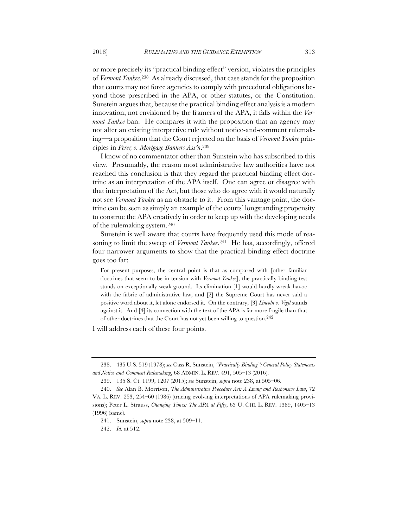or more precisely its "practical binding effect" version, violates the principles of *Vermont Yankee*.238 As already discussed, that case stands for the proposition that courts may not force agencies to comply with procedural obligations beyond those prescribed in the APA, or other statutes, or the Constitution. Sunstein argues that, because the practical binding effect analysis is a modern innovation, not envisioned by the framers of the APA, it falls within the *Vermont Yankee* ban. He compares it with the proposition that an agency may not alter an existing interpretive rule without notice-and-comment rulemaking—a proposition that the Court rejected on the basis of *Vermont Yankee* principles in *Perez v. Mortgage Bankers Ass'n*.239

I know of no commentator other than Sunstein who has subscribed to this view. Presumably, the reason most administrative law authorities have not reached this conclusion is that they regard the practical binding effect doctrine as an interpretation of the APA itself. One can agree or disagree with that interpretation of the Act, but those who do agree with it would naturally not see *Vermont Yankee* as an obstacle to it. From this vantage point, the doctrine can be seen as simply an example of the courts' longstanding propensity to construe the APA creatively in order to keep up with the developing needs of the rulemaking system.240

Sunstein is well aware that courts have frequently used this mode of reasoning to limit the sweep of *Vermont Yankee*.241 He has, accordingly, offered four narrower arguments to show that the practical binding effect doctrine goes too far:

For present purposes, the central point is that as compared with [other familiar doctrines that seem to be in tension with *Vermont Yankee*], the practically binding test stands on exceptionally weak ground. Its elimination [1] would hardly wreak havoc with the fabric of administrative law, and [2] the Supreme Court has never said a positive word about it, let alone endorsed it. On the contrary, [3] *Lincoln v. Vigil* stands against it. And [4] its connection with the text of the APA is far more fragile than that of other doctrines that the Court has not yet been willing to question.242

I will address each of these four points.

<sup>238.</sup> 435 U.S. 519 (1978); *see* Cass R. Sunstein, *"Practically Binding": General Policy Statements and Notice-and-Comment Rulemaking*, 68 ADMIN. L. REV. 491, 505–13 (2016).

<sup>239.</sup> 135 S. Ct. 1199, 1207 (2015); *see* Sunstein, *supra* note 238, at 505–06.

<sup>240.</sup> *See* Alan B. Morrison, *The Administrative Procedure Act: A Living and Responsive Law*, 72 VA. L. REV. 253, 254–60 (1986) (tracing evolving interpretations of APA rulemaking provisions); Peter L. Strauss, *Changing Times: The APA at Fifty*, 63 U. CHI. L. REV. 1389, 1405–13 (1996) (same).

<sup>241.</sup> Sunstein, *supra* note 238, at 509–11.

<sup>242.</sup> *Id.* at 512.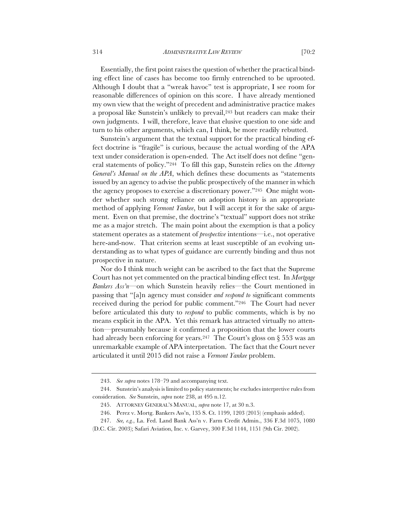Essentially, the first point raises the question of whether the practical binding effect line of cases has become too firmly entrenched to be uprooted. Although I doubt that a "wreak havoc" test is appropriate, I see room for reasonable differences of opinion on this score. I have already mentioned my own view that the weight of precedent and administrative practice makes a proposal like Sunstein's unlikely to prevail,<sup>243</sup> but readers can make their own judgments. I will, therefore, leave that elusive question to one side and turn to his other arguments, which can, I think, be more readily rebutted.

Sunstein's argument that the textual support for the practical binding effect doctrine is "fragile" is curious, because the actual wording of the APA text under consideration is open-ended. The Act itself does not define "general statements of policy."244 To fill this gap, Sunstein relies on the *Attorney General's Manual on the APA*, which defines these documents as "statements issued by an agency to advise the public prospectively of the manner in which the agency proposes to exercise a discretionary power."245 One might wonder whether such strong reliance on adoption history is an appropriate method of applying *Vermont Yankee*, but I will accept it for the sake of argument. Even on that premise, the doctrine's "textual" support does not strike me as a major stretch. The main point about the exemption is that a policy statement operates as a statement of *prospective* intentions—i.e., not operative here-and-now. That criterion seems at least susceptible of an evolving understanding as to what types of guidance are currently binding and thus not prospective in nature.

Nor do I think much weight can be ascribed to the fact that the Supreme Court has not yet commented on the practical binding effect test. In *Mortgage Bankers Ass'n*—on which Sunstein heavily relies—the Court mentioned in passing that "[a]n agency must consider *and respond to* significant comments received during the period for public comment."246 The Court had never before articulated this duty to *respond* to public comments, which is by no means explicit in the APA. Yet this remark has attracted virtually no attention—presumably because it confirmed a proposition that the lower courts had already been enforcing for years.<sup>247</sup> The Court's gloss on § 553 was an unremarkable example of APA interpretation. The fact that the Court never articulated it until 2015 did not raise a *Vermont Yankee* problem.

<sup>243.</sup> *See supra* notes 178–79 and accompanying text.

<sup>244.</sup> Sunstein's analysis is limited to policy statements; he excludes interpretive rules from consideration. *See* Sunstein, *supra* note 238, at 495 n.12.

<sup>245.</sup> ATTORNEY GENERAL'S MANUAL, *supra* note 17, at 30 n.3.

<sup>246.</sup> Perez v. Mortg. Bankers Ass'n, 135 S. Ct. 1199, 1203 (2015) (emphasis added).

<sup>247.</sup> *See, e.g.*, La. Fed. Land Bank Ass'n v. Farm Credit Admin., 336 F.3d 1075, 1080 (D.C. Cir. 2003); Safari Aviation, Inc. v. Garvey, 300 F.3d 1144, 1151 (9th Cir. 2002).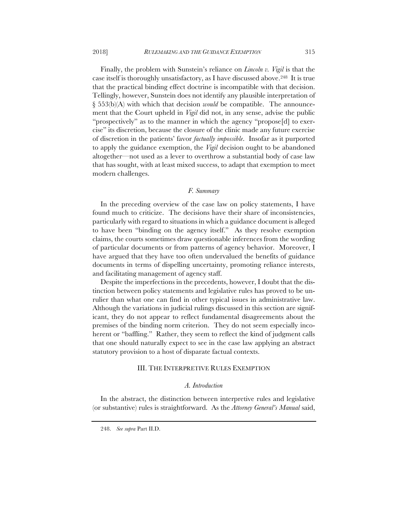Finally, the problem with Sunstein's reliance on *Lincoln v. Vigil* is that the case itself is thoroughly unsatisfactory, as I have discussed above.248 It is true that the practical binding effect doctrine is incompatible with that decision. Tellingly, however, Sunstein does not identify any plausible interpretation of § 553(b)(A) with which that decision *would* be compatible. The announcement that the Court upheld in *Vigil* did not, in any sense, advise the public "prospectively" as to the manner in which the agency "propose[d] to exercise" its discretion, because the closure of the clinic made any future exercise of discretion in the patients' favor *factually impossible*. Insofar as it purported to apply the guidance exemption, the *Vigil* decision ought to be abandoned altogether—not used as a lever to overthrow a substantial body of case law that has sought, with at least mixed success, to adapt that exemption to meet modern challenges.

# *F. Summary*

In the preceding overview of the case law on policy statements, I have found much to criticize. The decisions have their share of inconsistencies, particularly with regard to situations in which a guidance document is alleged to have been "binding on the agency itself." As they resolve exemption claims, the courts sometimes draw questionable inferences from the wording of particular documents or from patterns of agency behavior. Moreover, I have argued that they have too often undervalued the benefits of guidance documents in terms of dispelling uncertainty, promoting reliance interests, and facilitating management of agency staff.

Despite the imperfections in the precedents, however, I doubt that the distinction between policy statements and legislative rules has proved to be unrulier than what one can find in other typical issues in administrative law. Although the variations in judicial rulings discussed in this section are significant, they do not appear to reflect fundamental disagreements about the premises of the binding norm criterion. They do not seem especially incoherent or "baffling." Rather, they seem to reflect the kind of judgment calls that one should naturally expect to see in the case law applying an abstract statutory provision to a host of disparate factual contexts.

# III. THE INTERPRETIVE RULES EXEMPTION

### *A. Introduction*

In the abstract, the distinction between interpretive rules and legislative (or substantive) rules is straightforward. As the *Attorney General's Manual* said,

<sup>248.</sup> *See supra* Part II.D.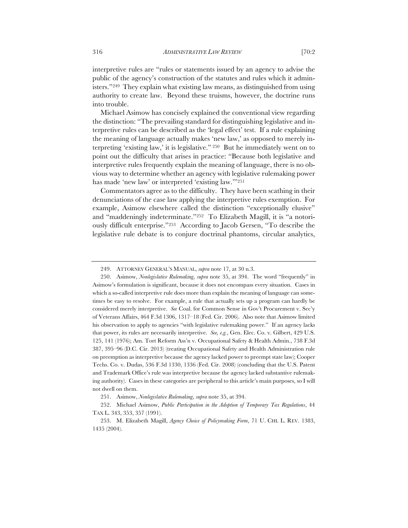interpretive rules are "rules or statements issued by an agency to advise the public of the agency's construction of the statutes and rules which it administers."249 They explain what existing law means, as distinguished from using authority to create law. Beyond these truisms, however, the doctrine runs into trouble.

Michael Asimow has concisely explained the conventional view regarding the distinction: "The prevailing standard for distinguishing legislative and interpretive rules can be described as the 'legal effect' test. If a rule explaining the meaning of language actually makes 'new law,' as opposed to merely interpreting 'existing law,' it is legislative." 250 But he immediately went on to point out the difficulty that arises in practice: "Because both legislative and interpretive rules frequently explain the meaning of language, there is no obvious way to determine whether an agency with legislative rulemaking power has made 'new law' or interpreted 'existing law.'"251

Commentators agree as to the difficulty. They have been scathing in their denunciations of the case law applying the interpretive rules exemption. For example, Asimow elsewhere called the distinction "exceptionally elusive" and "maddeningly indeterminate."252 To Elizabeth Magill, it is "a notoriously difficult enterprise."253 According to Jacob Gersen, "To describe the legislative rule debate is to conjure doctrinal phantoms, circular analytics,

<sup>249.</sup> ATTORNEY GENERAL'S MANUAL, *supra* note 17, at 30 n.3.

<sup>250.</sup> Asimow, *Nonlegislative Rulemaking*, *supra* note 35, at 394. The word "frequently" in Asimow's formulation is significant, because it does not encompass every situation. Cases in which a so-called interpretive rule does more than explain the meaning of language can sometimes be easy to resolve. For example, a rule that actually sets up a program can hardly be considered merely interpretive. *See* Coal. for Common Sense in Gov't Procurement v. Sec'y of Veterans Affairs, 464 F.3d 1306, 1317–18 (Fed. Cir. 2006). Also note that Asimow limited his observation to apply to agencies "with legislative rulemaking power." If an agency lacks that power, its rules are necessarily interpretive. *See, e.g.*, Gen. Elec. Co. v. Gilbert, 429 U.S. 125, 141 (1976); Am. Tort Reform Ass'n v. Occupational Safety & Health Admin., 738 F.3d 387, 395–96 (D.C. Cir. 2013) (treating Occupational Safety and Health Administration rule on preemption as interpretive because the agency lacked power to preempt state law); Cooper Techs. Co. v. Dudas, 536 F.3d 1330, 1336 (Fed. Cir. 2008) (concluding that the U.S. Patent and Trademark Office's rule was interpretive because the agency lacked substantive rulemaking authority). Cases in these categories are peripheral to this article's main purposes, so I will not dwell on them.

<sup>251.</sup> Asimow, *Nonlegislative Rulemaking*, *supra* note 35, at 394.

<sup>252.</sup> Michael Asimow, *Public Participation in the Adoption of Temporary Tax Regulations*, 44 TAX L. 343, 353, 357 (1991).

<sup>253.</sup> M. Elizabeth Magill, *Agency Choice of Policymaking Form*, 71 U. CHI. L. REV. 1383, 1435 (2004).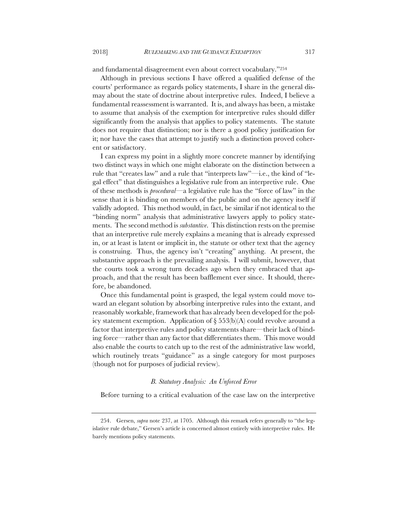and fundamental disagreement even about correct vocabulary."254

Although in previous sections I have offered a qualified defense of the courts' performance as regards policy statements, I share in the general dismay about the state of doctrine about interpretive rules. Indeed, I believe a fundamental reassessment is warranted. It is, and always has been, a mistake to assume that analysis of the exemption for interpretive rules should differ significantly from the analysis that applies to policy statements. The statute does not require that distinction; nor is there a good policy justification for it; nor have the cases that attempt to justify such a distinction proved coherent or satisfactory.

I can express my point in a slightly more concrete manner by identifying two distinct ways in which one might elaborate on the distinction between a rule that "creates law" and a rule that "interprets law"—i.e., the kind of "legal effect" that distinguishes a legislative rule from an interpretive rule. One of these methods is *procedural*—a legislative rule has the "force of law" in the sense that it is binding on members of the public and on the agency itself if validly adopted. This method would, in fact, be similar if not identical to the "binding norm" analysis that administrative lawyers apply to policy statements. The second method is *substantive*. This distinction rests on the premise that an interpretive rule merely explains a meaning that is already expressed in, or at least is latent or implicit in, the statute or other text that the agency is construing. Thus, the agency isn't "creating" anything. At present, the substantive approach is the prevailing analysis. I will submit, however, that the courts took a wrong turn decades ago when they embraced that approach, and that the result has been bafflement ever since. It should, therefore, be abandoned.

Once this fundamental point is grasped, the legal system could move toward an elegant solution by absorbing interpretive rules into the extant, and reasonably workable, framework that has already been developed for the policy statement exemption. Application of § 553(b)(A) could revolve around a factor that interpretive rules and policy statements share—their lack of binding force—rather than any factor that differentiates them. This move would also enable the courts to catch up to the rest of the administrative law world, which routinely treats "guidance" as a single category for most purposes (though not for purposes of judicial review).

# *B. Statutory Analysis: An Unforced Error*

Before turning to a critical evaluation of the case law on the interpretive

<sup>254.</sup> Gersen, *supra* note 237, at 1705. Although this remark refers generally to "the legislative rule debate," Gersen's article is concerned almost entirely with interpretive rules. He barely mentions policy statements.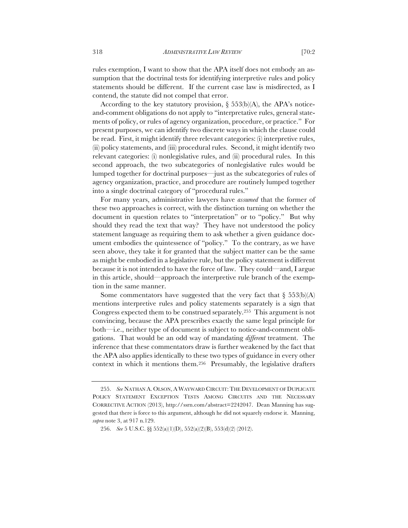rules exemption, I want to show that the APA itself does not embody an assumption that the doctrinal tests for identifying interpretive rules and policy statements should be different. If the current case law is misdirected, as I contend, the statute did not compel that error.

According to the key statutory provision,  $\S$  553(b)(A), the APA's noticeand-comment obligations do not apply to "interpretative rules, general statements of policy, or rules of agency organization, procedure, or practice." For present purposes, we can identify two discrete ways in which the clause could be read. First, it might identify three relevant categories: (i) interpretive rules, (ii) policy statements, and (iii) procedural rules. Second, it might identify two relevant categories: (i) nonlegislative rules, and (ii) procedural rules. In this second approach, the two subcategories of nonlegislative rules would be lumped together for doctrinal purposes—just as the subcategories of rules of agency organization, practice, and procedure are routinely lumped together into a single doctrinal category of "procedural rules."

For many years, administrative lawyers have *assumed* that the former of these two approaches is correct, with the distinction turning on whether the document in question relates to "interpretation" or to "policy." But why should they read the text that way? They have not understood the policy statement language as requiring them to ask whether a given guidance document embodies the quintessence of "policy." To the contrary, as we have seen above, they take it for granted that the subject matter can be the same as might be embodied in a legislative rule, but the policy statement is different because it is not intended to have the force of law. They could—and, I argue in this article, should—approach the interpretive rule branch of the exemption in the same manner.

Some commentators have suggested that the very fact that  $\S$  553(b)(A) mentions interpretive rules and policy statements separately is a sign that Congress expected them to be construed separately.255 This argument is not convincing, because the APA prescribes exactly the same legal principle for both—i.e., neither type of document is subject to notice-and-comment obligations. That would be an odd way of mandating *different* treatment. The inference that these commentators draw is further weakened by the fact that the APA also applies identically to these two types of guidance in every other context in which it mentions them.256 Presumably, the legislative drafters

<sup>255.</sup> *See* NATHAN A. OLSON, A WAYWARD CIRCUIT: THE DEVELOPMENT OF DUPLICATE POLICY STATEMENT EXCEPTION TESTS AMONG CIRCUITS AND THE NECESSARY CORRECTIVE ACTION (2013), http://ssrn.com/abstract=2242047. Dean Manning has suggested that there is force to this argument, although he did not squarely endorse it. Manning, *supra* note 3, at 917 n.129.

<sup>256.</sup> *See* 5 U.S.C. §§ 552(a)(1)(D), 552(a)(2)(B), 553(d)(2) (2012).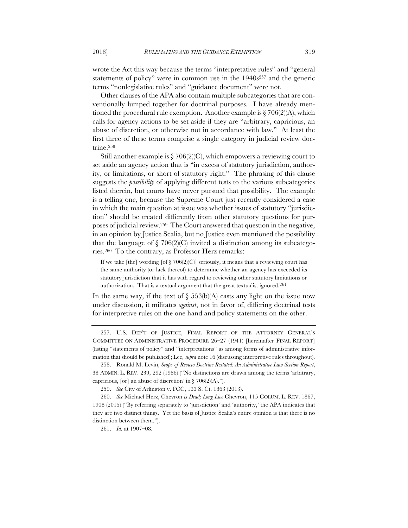wrote the Act this way because the terms "interpretative rules" and "general statements of policy" were in common use in the 1940s<sup>257</sup> and the generic terms "nonlegislative rules" and "guidance document" were not.

Other clauses of the APA also contain multiple subcategories that are conventionally lumped together for doctrinal purposes. I have already mentioned the procedural rule exemption. Another example is  $\S 706(2)(A)$ , which calls for agency actions to be set aside if they are "arbitrary, capricious, an abuse of discretion, or otherwise not in accordance with law." At least the first three of these terms comprise a single category in judicial review doctrine.258

Still another example is  $\S 706(2)(C)$ , which empowers a reviewing court to set aside an agency action that is "in excess of statutory jurisdiction, authority, or limitations, or short of statutory right." The phrasing of this clause suggests the *possibility* of applying different tests to the various subcategories listed therein, but courts have never pursued that possibility. The example is a telling one, because the Supreme Court just recently considered a case in which the main question at issue was whether issues of statutory "jurisdiction" should be treated differently from other statutory questions for purposes of judicial review.259 The Court answered that question in the negative, in an opinion by Justice Scalia, but no Justice even mentioned the possibility that the language of  $\S$  706(2)(C) invited a distinction among its subcategories.260 To the contrary, as Professor Herz remarks:

If we take [the] wording [of  $\S$  706(2)(C)] seriously, it means that a reviewing court has the same authority (or lack thereof) to determine whether an agency has exceeded its statutory jurisdiction that it has with regard to reviewing other statutory limitations or authorization. That is a textual argument that the great textualist ignored.261

In the same way, if the text of  $\S$  553(b)(A) casts any light on the issue now under discussion, it militates *against*, not in favor of, differing doctrinal tests for interpretive rules on the one hand and policy statements on the other.

257. U.S. DEP'T OF JUSTICE, FINAL REPORT OF THE ATTORNEY GENERAL'S COMMITTEE ON ADMINISTRATIVE PROCEDURE 26–27 (1941) [hereinafter FINAL REPORT] (listing "statements of policy" and "interpretations" as among forms of administrative information that should be published); Lee, *supra* note 16 (discussing interpretive rules throughout).

261. *Id.* at 1907–08.

<sup>258.</sup> Ronald M. Levin, *Scope-of-Review Doctrine Restated: An Administrative Law Section Report*, 38 ADMIN. L. REV. 239, 292 (1986) ("No distinctions are drawn among the terms 'arbitrary, capricious, [or] an abuse of discretion' in  $\S 706(2)(A)$ .").

<sup>259.</sup> *See* City of Arlington v. FCC, 133 S. Ct. 1863 (2013).

<sup>260.</sup> *See* Michael Herz, Chevron *is Dead; Long Live* Chevron, 115 COLUM. L. REV. 1867, 1908 (2015) ("By referring separately to 'jurisdiction' and 'authority,' the APA indicates that they are two distinct things. Yet the basis of Justice Scalia's entire opinion is that there is no distinction between them.").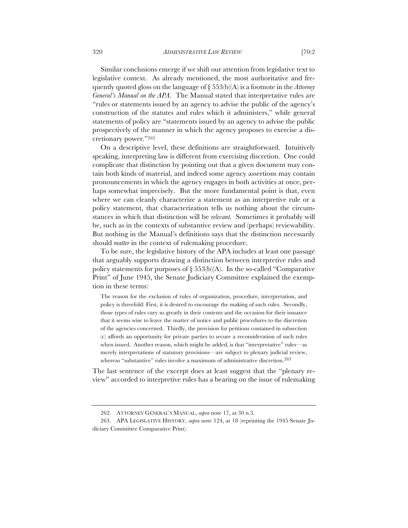statements of policy are "statements issued by an agency to advise the public prospectively of the manner in which the agency proposes to exercise a dis-

Similar conclusions emerge if we shift our attention from legislative text to legislative context. As already mentioned, the most authoritative and frequently quoted gloss on the language of § 553(b)(A) is a footnote in the *Attorney General's Manual on the APA*. The Manual stated that interpretative rules are "rules or statements issued by an agency to advise the public of the agency's construction of the statutes and rules which it administers," while general

cretionary power."262 On a descriptive level, these definitions are straightforward. Intuitively speaking, interpreting law is different from exercising discretion. One could complicate that distinction by pointing out that a given document may contain both kinds of material, and indeed some agency assertions may contain pronouncements in which the agency engages in both activities at once, perhaps somewhat imprecisely. But the more fundamental point is that, even where we can cleanly characterize a statement as an interpretive rule or a policy statement, that characterization tells us nothing about the circumstances in which that distinction will be *relevant.* Sometimes it probably will be, such as in the contexts of substantive review and (perhaps) reviewability. But nothing in the Manual's definitions says that the distinction necessarily should *matter* in the context of rulemaking procedure.

To be sure, the legislative history of the APA includes at least one passage that arguably supports drawing a distinction between interpretive rules and policy statements for purposes of  $\S 553(b)$ (A). In the so-called "Comparative Print" of June 1945, the Senate Judiciary Committee explained the exemption in these terms:

The reason for the exclusion of rules of organization, procedure, interpretation, and policy is threefold: First, it is desired to encourage the making of such rules. Secondly, those types of rules vary so greatly in their contents and the occasion for their issuance that it seems wise to leave the matter of notice and public procedures to the discretion of the agencies concerned. Thirdly, the provision for petitions contained in subsection (c) affords an opportunity for private parties to secure a reconsideration of such rules when issued. Another reason, which might be added, is that "interpretative" rules—as merely interpretations of statutory provisions—are subject to plenary judicial review, whereas "substantive" rules involve a maximum of administrative discretion.<sup>263</sup>

The last sentence of the excerpt does at least suggest that the "plenary review" accorded to interpretive rules has a bearing on the issue of rulemaking

<sup>262.</sup> ATTORNEY GENERAL'S MANUAL, *supra* note 17, at 30 n.3.

<sup>263.</sup> APA LEGISLATIVE HISTORY, *supra* note 124, at 18 (reprinting the 1945 Senate Judiciary Committee Comparative Print).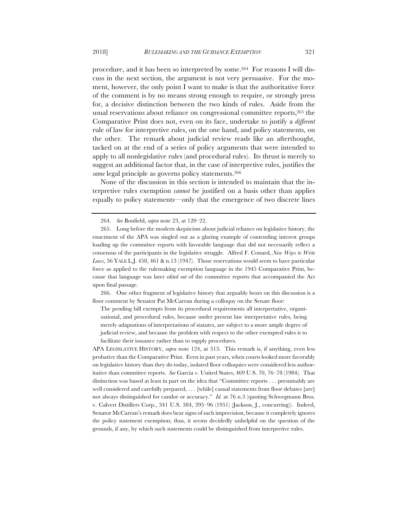procedure, and it has been so interpreted by some.264 For reasons I will discuss in the next section, the argument is not very persuasive. For the moment, however, the only point I want to make is that the authoritative force of the comment is by no means strong enough to require, or strongly press for, a decisive distinction between the two kinds of rules. Aside from the usual reservations about reliance on congressional committee reports,265 the Comparative Print does not, even on its face, undertake to justify a *different*  rule of law for interpretive rules, on the one hand, and policy statements, on the other. The remark about judicial review reads like an afterthought, tacked on at the end of a series of policy arguments that were intended to apply to all nonlegislative rules (and procedural rules). Its thrust is merely to suggest an additional factor that, in the case of interpretive rules, justifies the same legal principle as governs policy statements.<sup>266</sup>

None of the discussion in this section is intended to maintain that the interpretive rules exemption *cannot* be justified on a basis other than applies equally to policy statements—only that the emergence of two discrete lines

266. One other fragment of legislative history that arguably bears on this discussion is a floor comment by Senator Pat McCarran during a colloquy on the Senate floor:

The pending bill exempts from its procedural requirements all interpretative, organizational, and procedural rules, because under present law interpretative rules, being merely adaptations of interpretations of statutes, are subject to a more ample degree of judicial review, and because the problem with respect to the other exempted rules is to facilitate their issuance rather than to supply procedures.

APA LEGISLATIVE HISTORY, *supra* note 124, at 313. This remark is, if anything, even less probative than the Comparative Print. Even in past years, when courts looked more favorably on legislative history than they do today, isolated floor colloquies were considered less authoritative than committee reports. *See* Garcia v. United States, 469 U.S. 70, 76–78 (1984). That distinction was based at least in part on the idea that "Committee reports . . . presumably are well considered and carefully prepared, . . . [while] casual statements from floor debates [are] not always distinguished for candor or accuracy." *Id.* at 76 n.3 (quoting Schwegmann Bros. v. Calvert Distillers Corp., 341 U.S. 384, 395–96 (1951) (Jackson, J., concurring)). Indeed, Senator McCarran's remark does bear signs of such imprecision, because it completely ignores the policy statement exemption; thus, it seems decidedly unhelpful on the question of the grounds, if any, by which such statements could be distinguished from interpretive rules.

<sup>264.</sup> *See* Bonfield, *supra* note 23, at 120–22.

<sup>265.</sup> Long before the modern skepticism about judicial reliance on legislative history, the enactment of the APA was singled out as a glaring example of contending interest groups loading up the committee reports with favorable language that did not necessarily reflect a consensus of the participants in the legislative struggle. Alfred F. Conard, *New Ways to Write Laws*, 56 YALE L.J. 458, 461 & n.13 (1947). Those reservations would seem to have particular force as applied to the rulemaking exemption language in the 1945 Comparative Print, because that language was later *edited out* of the committee reports that accompanied the Act upon final passage.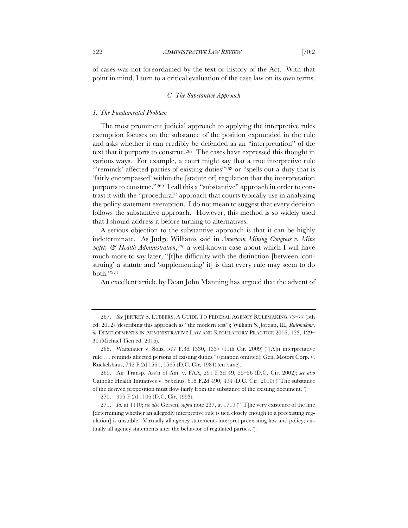of cases was not foreordained by the text or history of the Act. With that point in mind, I turn to a critical evaluation of the case law on its own terms.

### *C. The Substantive Approach*

#### *1. The Fundamental Problem*

The most prominent judicial approach to applying the interpretive rules exemption focuses on the substance of the position expounded in the rule and asks whether it can credibly be defended as an "interpretation" of the text that it purports to construe.<sup>267</sup> The cases have expressed this thought in various ways. For example, a court might say that a true interpretive rule "'reminds' affected parties of existing duties"268 or "spells out a duty that is 'fairly encompassed' within the [statute or] regulation that the interpretation purports to construe."269 I call this a "substantive" approach in order to contrast it with the "procedural" approach that courts typically use in analyzing the policy statement exemption. I do not mean to suggest that every decision follows the substantive approach. However, this method is so widely used that I should address it before turning to alternatives.

A serious objection to the substantive approach is that it can be highly indeterminate. As Judge Williams said in *American Mining Congress v. Mine Safety & Health Administration*,270 a well-known case about which I will have much more to say later, "[t]he difficulty with the distinction [between 'construing' a statute and 'supplementing' it] is that every rule may seem to do both."271

An excellent article by Dean John Manning has argued that the advent of

<sup>267.</sup> *See* JEFFREY S. LUBBERS, A GUIDE TO FEDERAL AGENCY RULEMAKING 73–77 (5th ed. 2012) (describing this approach as "the modern test"); William S. Jordan, III, *Rulemaking*, *in* DEVELOPMENTS IN ADMINISTRATIVE LAW AND REGULATORY PRACTICE 2016, 123, 129– 30 (Michael Tien ed. 2016).

<sup>268.</sup> Warshauer v. Solis, 577 F.3d 1330, 1337 (11th Cir. 2009) ("[A]n interpretative rule . . . reminds affected persons of existing duties.") (citation omitted); Gen. Motors Corp. v. Ruckelshaus, 742 F.2d 1561, 1565 (D.C. Cir. 1984) (en banc).

<sup>269.</sup> Air Transp. Ass'n of Am. v. FAA, 291 F.3d 49, 55–56 (D.C. Cir. 2002); *see also*  Catholic Health Initiatives v. Sebelius, 618 F.2d 490, 494 (D.C. Cir. 2010) ("The substance of the derived proposition must flow fairly from the substance of the existing document.").

<sup>270.</sup> 995 F.2d 1106 (D.C. Cir. 1993).

<sup>271.</sup> *Id.* at 1110; *see also* Gersen, *supra* note 237, at 1719 ("[T]he very existence of the line [determining whether an allegedly interpretive rule is tied closely enough to a preexisting regulation] is unstable. Virtually all agency statements interpret preexisting law and policy; virtually all agency statements alter the behavior of regulated parties.").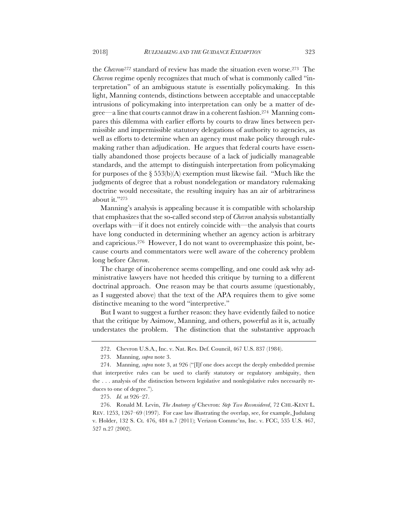the *Chevron272* standard of review has made the situation even worse.273 The *Chevron* regime openly recognizes that much of what is commonly called "interpretation" of an ambiguous statute is essentially policymaking. In this light, Manning contends, distinctions between acceptable and unacceptable intrusions of policymaking into interpretation can only be a matter of degree—a line that courts cannot draw in a coherent fashion.274 Manning compares this dilemma with earlier efforts by courts to draw lines between permissible and impermissible statutory delegations of authority to agencies, as well as efforts to determine when an agency must make policy through rulemaking rather than adjudication. He argues that federal courts have essentially abandoned those projects because of a lack of judicially manageable standards, and the attempt to distinguish interpretation from policymaking for purposes of the  $\S 53(6)$ (A) exemption must likewise fail. "Much like the judgments of degree that a robust nondelegation or mandatory rulemaking doctrine would necessitate, the resulting inquiry has an air of arbitrariness about it."275

Manning's analysis is appealing because it is compatible with scholarship that emphasizes that the so-called second step of *Chevron* analysis substantially overlaps with—if it does not entirely coincide with—the analysis that courts have long conducted in determining whether an agency action is arbitrary and capricious.276 However, I do not want to overemphasize this point, because courts and commentators were well aware of the coherency problem long before *Chevron*.

The charge of incoherence seems compelling, and one could ask why administrative lawyers have not heeded this critique by turning to a different doctrinal approach. One reason may be that courts assume (questionably, as I suggested above) that the text of the APA requires them to give some distinctive meaning to the word "interpretive."

But I want to suggest a further reason: they have evidently failed to notice that the critique by Asimow, Manning, and others, powerful as it is, actually understates the problem. The distinction that the substantive approach

<sup>272.</sup> Chevron U.S.A., Inc. v. Nat. Res. Def. Council, 467 U.S. 837 (1984).

<sup>273.</sup> Manning, *supra* note 3.

<sup>274.</sup> Manning, *supra* note 3, at 926 ("[I]f one does accept the deeply embedded premise that interpretive rules can be used to clarify statutory or regulatory ambiguity, then the . . . analysis of the distinction between legislative and nonlegislative rules necessarily reduces to one of degree.").

<sup>275.</sup> *Id.* at 926–27.

<sup>276.</sup> Ronald M. Levin, *The Anatomy of* Chevron: *Step Two Reconsidered*, 72 CHI.-KENT L. REV. 1253, 1267–69 (1997). For case law illustrating the overlap, see, for example, Judulang v. Holder, 132 S. Ct. 476, 484 n.7 (2011); Verizon Commc'ns, Inc. v. FCC, 535 U.S. 467, 527 n.27 (2002).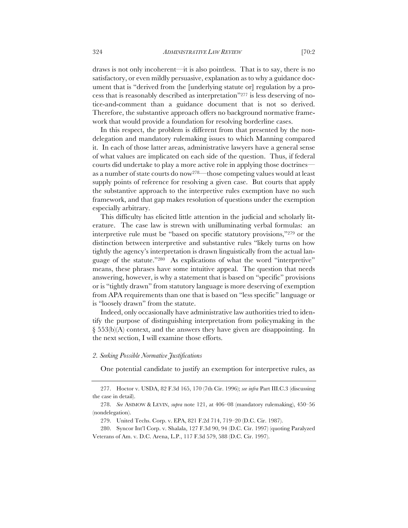draws is not only incoherent—it is also pointless. That is to say, there is no satisfactory, or even mildly persuasive, explanation as to why a guidance document that is "derived from the [underlying statute or] regulation by a process that is reasonably described as interpretation"277 is less deserving of notice-and-comment than a guidance document that is not so derived. Therefore, the substantive approach offers no background normative framework that would provide a foundation for resolving borderline cases.

In this respect, the problem is different from that presented by the nondelegation and mandatory rulemaking issues to which Manning compared it. In each of those latter areas, administrative lawyers have a general sense of what values are implicated on each side of the question. Thus, if federal courts did undertake to play a more active role in applying those doctrines as a number of state courts do now278—those competing values would at least supply points of reference for resolving a given case. But courts that apply the substantive approach to the interpretive rules exemption have no such framework, and that gap makes resolution of questions under the exemption especially arbitrary.

This difficulty has elicited little attention in the judicial and scholarly literature. The case law is strewn with unilluminating verbal formulas: an interpretive rule must be "based on specific statutory provisions,"279 or the distinction between interpretive and substantive rules "likely turns on how tightly the agency's interpretation is drawn linguistically from the actual language of the statute."280 As explications of what the word "interpretive" means, these phrases have some intuitive appeal. The question that needs answering, however, is why a statement that is based on "specific" provisions or is "tightly drawn" from statutory language is more deserving of exemption from APA requirements than one that is based on "less specific" language or is "loosely drawn" from the statute.

Indeed, only occasionally have administrative law authorities tried to identify the purpose of distinguishing interpretation from policymaking in the § 553(b)(A) context, and the answers they have given are disappointing. In the next section, I will examine those efforts.

## *2. Seeking Possible Normative Justifications*

One potential candidate to justify an exemption for interpretive rules, as

<sup>277.</sup> Hoctor v. USDA, 82 F.3d 165, 170 (7th Cir. 1996); *see infra* Part III.C.3 (discussing the case in detail).

<sup>278.</sup> *See* ASIMOW & LEVIN, *supra* note 121, at 406–08 (mandatory rulemaking), 450–56 (nondelegation).

<sup>279.</sup> United Techs. Corp. v. EPA, 821 F.2d 714, 719–20 (D.C. Cir. 1987).

<sup>280.</sup> Syncor Int'l Corp. v. Shalala, 127 F.3d 90, 94 (D.C. Cir. 1997) (quoting Paralyzed Veterans of Am. v. D.C. Arena, L.P., 117 F.3d 579, 588 (D.C. Cir. 1997).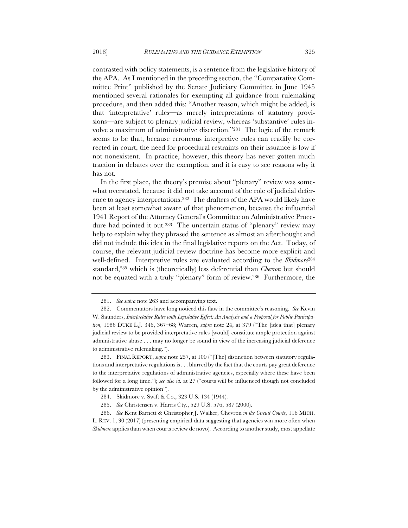contrasted with policy statements, is a sentence from the legislative history of the APA. As I mentioned in the preceding section, the "Comparative Committee Print" published by the Senate Judiciary Committee in June 1945 mentioned several rationales for exempting all guidance from rulemaking procedure, and then added this: "Another reason, which might be added, is that 'interpretative' rules—as merely interpretations of statutory provisions—are subject to plenary judicial review, whereas 'substantive' rules involve a maximum of administrative discretion."281 The logic of the remark seems to be that, because erroneous interpretive rules can readily be corrected in court, the need for procedural restraints on their issuance is low if not nonexistent. In practice, however, this theory has never gotten much traction in debates over the exemption, and it is easy to see reasons why it has not.

In the first place, the theory's premise about "plenary" review was somewhat overstated, because it did not take account of the role of judicial deference to agency interpretations.282 The drafters of the APA would likely have been at least somewhat aware of that phenomenon, because the influential 1941 Report of the Attorney General's Committee on Administrative Procedure had pointed it out.<sup>283</sup> The uncertain status of "plenary" review may help to explain why they phrased the sentence as almost an afterthought and did not include this idea in the final legislative reports on the Act. Today, of course, the relevant judicial review doctrine has become more explicit and well-defined. Interpretive rules are evaluated according to the *Skidmore*<sup>284</sup> standard,285 which is (theoretically) less deferential than *Chevron* but should not be equated with a truly "plenary" form of review.286 Furthermore, the

<sup>281.</sup> *See supra* note 263 and accompanying text.

<sup>282.</sup> Commentators have long noticed this flaw in the committee's reasoning. *See* Kevin W. Saunders, *Interpretative Rules with Legislative Effect: An Analysis and a Proposal for Public Participation*, 1986 DUKE L.J. 346, 367–68; Warren, *supra* note 24, at 379 ("The [idea that] plenary judicial review to be provided interpretative rules [would] constitute ample protection against administrative abuse . . . may no longer be sound in view of the increasing judicial deference to administrative rulemaking.").

<sup>283.</sup> FINAL REPORT, *supra* note 257, at 100 ("[The] distinction between statutory regulations and interpretative regulations is . . . blurred by the fact that the courts pay great deference to the interpretative regulations of administrative agencies, especially where these have been followed for a long time."); *see also id.* at 27 ("courts will be influenced though not concluded by the administrative opinion").

<sup>284.</sup> Skidmore v. Swift & Co., 323 U.S. 134 (1944).

<sup>285.</sup> *See* Christensen v. Harris Cty., 529 U.S. 576, 587 (2000).

<sup>286.</sup> *See* Kent Barnett & Christopher J. Walker, Chevron *in the Circuit Courts*, 116 MICH.

L. REV. 1, 30 (2017) (presenting empirical data suggesting that agencies win more often when *Skidmore* applies than when courts review de novo). According to another study, most appellate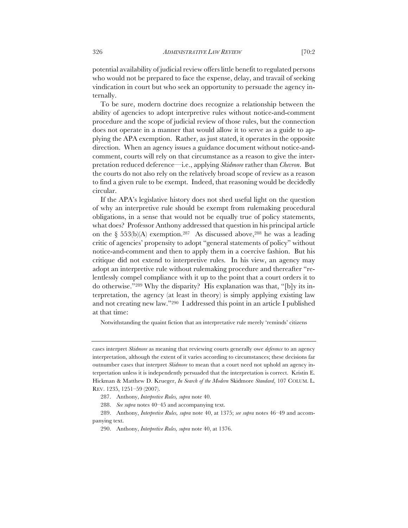potential availability of judicial review offers little benefit to regulated persons who would not be prepared to face the expense, delay, and travail of seeking vindication in court but who seek an opportunity to persuade the agency internally.

To be sure, modern doctrine does recognize a relationship between the ability of agencies to adopt interpretive rules without notice-and-comment procedure and the scope of judicial review of those rules, but the connection does not operate in a manner that would allow it to serve as a guide to applying the APA exemption. Rather, as just stated, it operates in the opposite direction. When an agency issues a guidance document without notice-andcomment, courts will rely on that circumstance as a reason to give the interpretation reduced deference—i.e., applying *Skidmore* rather than *Chevron*. But the courts do not also rely on the relatively broad scope of review as a reason to find a given rule to be exempt. Indeed, that reasoning would be decidedly circular.

If the APA's legislative history does not shed useful light on the question of why an interpretive rule should be exempt from rulemaking procedural obligations, in a sense that would not be equally true of policy statements, what does? Professor Anthony addressed that question in his principal article on the § 553(b)(A) exemption.287 As discussed above,288 he was a leading critic of agencies' propensity to adopt "general statements of policy" without notice-and-comment and then to apply them in a coercive fashion. But his critique did not extend to interpretive rules. In his view, an agency may adopt an interpretive rule without rulemaking procedure and thereafter "relentlessly compel compliance with it up to the point that a court orders it to do otherwise."289 Why the disparity? His explanation was that, "[b]y its interpretation, the agency (at least in theory) is simply applying existing law and not creating new law."290 I addressed this point in an article I published at that time:

Notwithstanding the quaint fiction that an interpretative rule merely 'reminds' citizens

cases interpret *Skidmore* as meaning that reviewing courts generally owe *deference* to an agency interpretation, although the extent of it varies according to circumstances; these decisions far outnumber cases that interpret *Skidmore* to mean that a court need not uphold an agency interpretation unless it is independently persuaded that the interpretation is correct. Kristin E. Hickman & Matthew D. Krueger, *In Search of the Modern* Skidmore *Standard*, 107 COLUM. L. REV. 1235, 1251–59 (2007).

<sup>287.</sup> Anthony, *Interpretive Rules, supra* note 40.

<sup>288.</sup> *See supra* notes 40–45 and accompanying text.

<sup>289.</sup> Anthony, *Interpretive Rules, supra* note 40, at 1375; *see supra* notes 46–49 and accompanying text.

<sup>290.</sup> Anthony, *Interpretive Rules, supra* note 40, at 1376.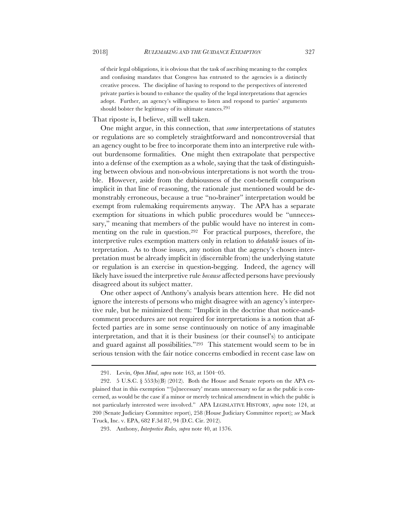of their legal obligations, it is obvious that the task of ascribing meaning to the complex and confusing mandates that Congress has entrusted to the agencies is a distinctly creative process. The discipline of having to respond to the perspectives of interested private parties is bound to enhance the quality of the legal interpretations that agencies adopt. Further, an agency's willingness to listen and respond to parties' arguments should bolster the legitimacy of its ultimate stances.<sup>291</sup>

## That riposte is, I believe, still well taken.

One might argue, in this connection, that *some* interpretations of statutes or regulations are so completely straightforward and noncontroversial that an agency ought to be free to incorporate them into an interpretive rule without burdensome formalities. One might then extrapolate that perspective into a defense of the exemption as a whole, saying that the task of distinguishing between obvious and non-obvious interpretations is not worth the trouble. However, aside from the dubiousness of the cost-benefit comparison implicit in that line of reasoning, the rationale just mentioned would be demonstrably erroneous, because a true "no-brainer" interpretation would be exempt from rulemaking requirements anyway. The APA has a separate exemption for situations in which public procedures would be "unnecessary," meaning that members of the public would have no interest in commenting on the rule in question.<sup>292</sup> For practical purposes, therefore, the interpretive rules exemption matters only in relation to *debatable* issues of interpretation. As to those issues, any notion that the agency's chosen interpretation must be already implicit in (discernible from) the underlying statute or regulation is an exercise in question-begging. Indeed, the agency will likely have issued the interpretive rule *because* affected persons have previously disagreed about its subject matter.

One other aspect of Anthony's analysis bears attention here. He did not ignore the interests of persons who might disagree with an agency's interpretive rule, but he minimized them: "Implicit in the doctrine that notice-andcomment procedures are not required for interpretations is a notion that affected parties are in some sense continuously on notice of any imaginable interpretation, and that it is their business (or their counsel's) to anticipate and guard against all possibilities."293 This statement would seem to be in serious tension with the fair notice concerns embodied in recent case law on

<sup>291.</sup> Levin, *Open Mind*, *supra* note 163, at 1504–05.

<sup>292. 5</sup> U.S.C.  $\S$  553(b)(B) (2012). Both the House and Senate reports on the APA explained that in this exemption "'[u]necessary' means unnecessary so far as the public is concerned, as would be the case if a minor or merely technical amendment in which the public is not particularly interested were involved." APA LEGISLATIVE HISTORY, *supra* note 124, at 200 (Senate Judiciary Committee report), 258 (House Judiciary Committee report); *see* Mack Truck, Inc. v. EPA, 682 F.3d 87, 94 (D.C. Cir. 2012).

<sup>293.</sup> Anthony, *Interpretive Rules, supra* note 40, at 1376.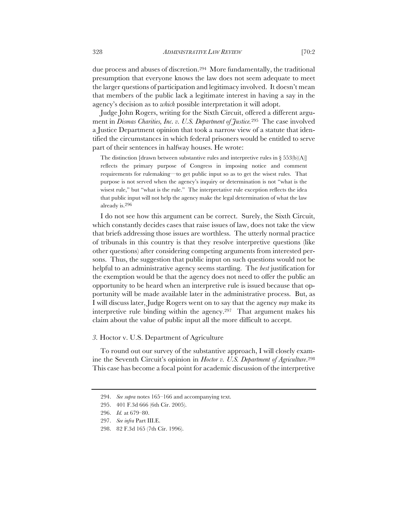due process and abuses of discretion.294 More fundamentally, the traditional presumption that everyone knows the law does not seem adequate to meet the larger questions of participation and legitimacy involved. It doesn't mean that members of the public lack a legitimate interest in having a say in the agency's decision as to *which* possible interpretation it will adopt.

Judge John Rogers, writing for the Sixth Circuit, offered a different argument in *Dismas Charities, Inc. v. U.S. Department of Justice.*295 The case involved a Justice Department opinion that took a narrow view of a statute that identified the circumstances in which federal prisoners would be entitled to serve part of their sentences in halfway houses. He wrote:

The distinction [drawn between substantive rules and interpretive rules in  $\S 553(b)(A)$ ] reflects the primary purpose of Congress in imposing notice and comment requirements for rulemaking—to get public input so as to get the wisest rules. That purpose is not served when the agency's inquiry or determination is not "what is the wisest rule," but "what is the rule." The interpretative rule exception reflects the idea that public input will not help the agency make the legal determination of what the law already is.296

I do not see how this argument can be correct. Surely, the Sixth Circuit, which constantly decides cases that raise issues of law, does not take the view that briefs addressing those issues are worthless. The utterly normal practice of tribunals in this country is that they resolve interpretive questions (like other questions) after considering competing arguments from interested persons. Thus, the suggestion that public input on such questions would not be helpful to an administrative agency seems startling. The *best* justification for the exemption would be that the agency does not need to offer the public an opportunity to be heard when an interpretive rule is issued because that opportunity will be made available later in the administrative process. But, as I will discuss later, Judge Rogers went on to say that the agency *may* make its interpretive rule binding within the agency.297 That argument makes his claim about the value of public input all the more difficult to accept.

## *3.* Hoctor v. U.S. Department of Agriculture

To round out our survey of the substantive approach, I will closely examine the Seventh Circuit's opinion in *Hoctor v. U.S. Department of Agriculture*.298 This case has become a focal point for academic discussion of the interpretive

<sup>294.</sup> *See supra* notes 165–166 and accompanying text.

<sup>295.</sup> 401 F.3d 666 (6th Cir. 2005).

<sup>296.</sup> *Id.* at 679–80.

<sup>297.</sup> *See infra* Part III.E.

<sup>298.</sup> 82 F.3d 165 (7th Cir. 1996).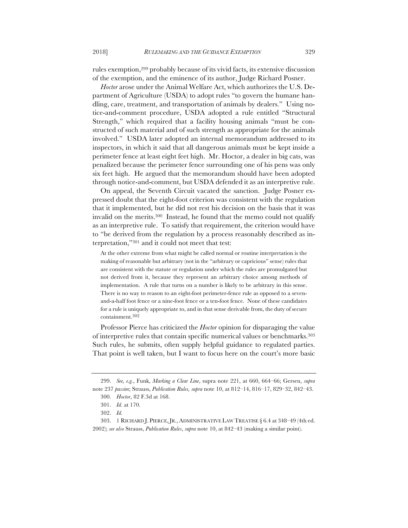rules exemption,299 probably because of its vivid facts, its extensive discussion of the exemption, and the eminence of its author, Judge Richard Posner.

*Hoctor* arose under the Animal Welfare Act, which authorizes the U.S. Department of Agriculture (USDA) to adopt rules "to govern the humane handling, care, treatment, and transportation of animals by dealers." Using notice-and-comment procedure, USDA adopted a rule entitled "Structural Strength," which required that a facility housing animals "must be constructed of such material and of such strength as appropriate for the animals involved." USDA later adopted an internal memorandum addressed to its inspectors, in which it said that all dangerous animals must be kept inside a perimeter fence at least eight feet high. Mr. Hoctor, a dealer in big cats, was penalized because the perimeter fence surrounding one of his pens was only six feet high. He argued that the memorandum should have been adopted through notice-and-comment, but USDA defended it as an interpretive rule.

On appeal, the Seventh Circuit vacated the sanction. Judge Posner expressed doubt that the eight-foot criterion was consistent with the regulation that it implemented, but he did not rest his decision on the basis that it was invalid on the merits.300 Instead, he found that the memo could not qualify as an interpretive rule. To satisfy that requirement, the criterion would have to "be derived from the regulation by a process reasonably described as interpretation,"301 and it could not meet that test:

At the other extreme from what might be called normal or routine interpretation is the making of reasonable but arbitrary (not in the "arbitrary or capricious" sense) rules that are consistent with the statute or regulation under which the rules are promulgated but not derived from it, because they represent an arbitrary choice among methods of implementation. A rule that turns on a number is likely to be arbitrary in this sense. There is no way to reason to an eight-foot perimeter-fence rule as opposed to a sevenand-a-half foot fence or a nine-foot fence or a ten-foot fence. None of these candidates for a rule is uniquely appropriate to, and in that sense derivable from, the duty of secure containment.302

Professor Pierce has criticized the *Hoctor* opinion for disparaging the value of interpretive rules that contain specific numerical values or benchmarks.303 Such rules, he submits, often supply helpful guidance to regulated parties. That point is well taken, but I want to focus here on the court's more basic

<sup>299.</sup> *See, e.g.*, Funk, *Marking a Clear Line*, supra note 221, at 660, 664–66; Gersen, *supra*  note 237 *passim*; Strauss, *Publication Rules, supra* note 10, at 812–14, 816–17, 829–32, 842–43.

<sup>300.</sup> *Hoctor*, 82 F.3d at 168.

<sup>301.</sup> *Id.* at 170.

<sup>302.</sup> *Id.*

<sup>303. 1</sup> RICHARD J. PIERCE, JR., ADMINISTRATIVE LAW TREATISE § 6.4 at 348–49 (4th ed. 2002); *see also* Strauss, *Publication Rules*, *supra* note 10, at 842–43 (making a similar point).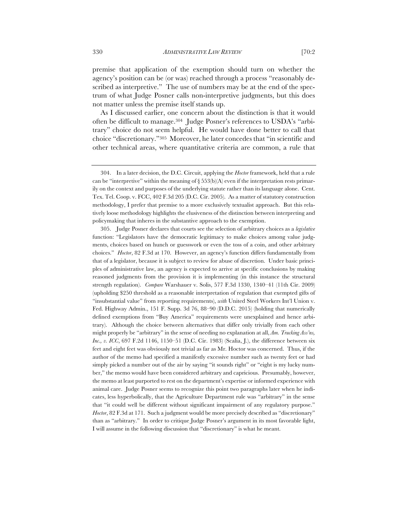premise that application of the exemption should turn on whether the agency's position can be (or was) reached through a process "reasonably described as interpretive." The use of numbers may be at the end of the spectrum of what Judge Posner calls non-interpretive judgments, but this does not matter unless the premise itself stands up.

As I discussed earlier, one concern about the distinction is that it would often be difficult to manage.304 Judge Posner's references to USDA's "arbitrary" choice do not seem helpful. He would have done better to call that choice "discretionary."305 Moreover, he later concedes that "in scientific and other technical areas, where quantitative criteria are common, a rule that

305. Judge Posner declares that courts see the selection of arbitrary choices as a *legislative*  function: "Legislators have the democratic legitimacy to make choices among value judgments, choices based on hunch or guesswork or even the toss of a coin, and other arbitrary choices." *Hoctor*, 82 F.3d at 170. However, an agency's function differs fundamentally from that of a legislator, because it is subject to review for abuse of discretion. Under basic principles of administrative law, an agency is expected to arrive at specific conclusions by making reasoned judgments from the provision it is implementing (in this instance the structural strength regulation). *Compare* Warshauer v. Solis, 577 F.3d 1330, 1340–41 (11th Cir. 2009) (upholding \$250 threshold as a reasonable interpretation of regulation that exempted gifts of "insubstantial value" from reporting requirements), *with* United Steel Workers Int'l Union v. Fed. Highway Admin., 151 F. Supp. 3d 76, 88–90 (D.D.C. 2015) (holding that numerically defined exemptions from "Buy America" requirements were unexplained and hence arbitrary). Although the choice between alternatives that differ only trivially from each other might properly be "arbitrary" in the sense of needing no explanation at all, *Am. Trucking Ass'ns, Inc., v. ICC*, 697 F.2d 1146, 1150–51 (D.C. Cir. 1983) (Scalia, J.), the difference between six feet and eight feet was obviously not trivial as far as Mr. Hoctor was concerned. Thus, if the author of the memo had specified a manifestly excessive number such as twenty feet or had simply picked a number out of the air by saying "it sounds right" or "eight is my lucky number," the memo would have been considered arbitrary and capricious. Presumably, however, the memo at least purported to rest on the department's expertise or informed experience with animal care. Judge Posner seems to recognize this point two paragraphs later when he indicates, less hyperbolically, that the Agriculture Department rule was "arbitrary" in the sense that "it could well be different without significant impairment of any regulatory purpose." *Hoctor*, 82 F.3d at 171. Such a judgment would be more precisely described as "discretionary" than as "arbitrary." In order to critique Judge Posner's argument in its most favorable light, I will assume in the following discussion that "discretionary" is what he meant.

<sup>304.</sup> In a later decision, the D.C. Circuit, applying the *Hoctor* framework, held that a rule can be "interpretive" within the meaning of  $\S 553(b)$ (A) even if the interpretation rests primarily on the context and purposes of the underlying statute rather than its language alone. Cent. Tex. Tel. Coop. v. FCC, 402 F.3d 205 (D.C. Cir. 2005). As a matter of statutory construction methodology, I prefer that premise to a more exclusively textualist approach. But this relatively loose methodology highlights the elusiveness of the distinction between interpreting and policymaking that inheres in the substantive approach to the exemption.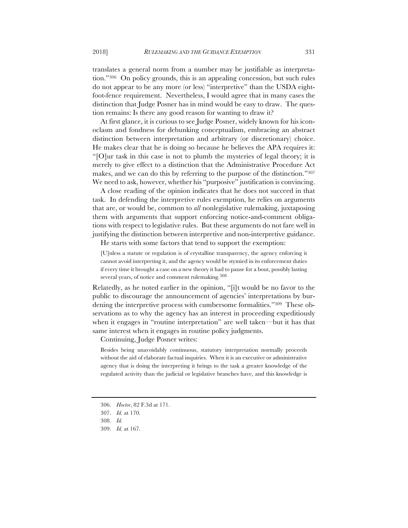translates a general norm from a number may be justifiable as interpretation."306 On policy grounds, this is an appealing concession, but such rules do not appear to be any more (or less) "interpretive" than the USDA eightfoot-fence requirement. Nevertheless, I would agree that in many cases the distinction that Judge Posner has in mind would be easy to draw. The question remains: Is there any good reason for wanting to draw it?

At first glance, it is curious to see Judge Posner, widely known for his iconoclasm and fondness for debunking conceptualism, embracing an abstract distinction between interpretation and arbitrary (or discretionary) choice. He makes clear that he is doing so because he believes the APA requires it: "[O]ur task in this case is not to plumb the mysteries of legal theory; it is merely to give effect to a distinction that the Administrative Procedure Act makes, and we can do this by referring to the purpose of the distinction."307 We need to ask, however, whether his "purposive" justification is convincing.

A close reading of the opinion indicates that he does not succeed in that task. In defending the interpretive rules exemption, he relies on arguments that are, or would be, common to *all* nonlegislative rulemaking, juxtaposing them with arguments that support enforcing notice-and-comment obligations with respect to legislative rules. But these arguments do not fare well in justifying the distinction between interpretive and non-interpretive guidance.

He starts with some factors that tend to support the exemption:

[U]nless a statute or regulation is of crystalline transparency, the agency enforcing it cannot avoid interpreting it, and the agency would be stymied in its enforcement duties if every time it brought a case on a new theory it had to pause for a bout, possibly lasting several years, of notice and comment rulemaking.<sup>308</sup>

Relatedly, as he noted earlier in the opinion, "[i]t would be no favor to the public to discourage the announcement of agencies' interpretations by burdening the interpretive process with cumbersome formalities."309 These observations as to why the agency has an interest in proceeding expeditiously when it engages in "routine interpretation" are well taken—but it has that same interest when it engages in routine policy judgments.

Continuing, Judge Posner writes:

Besides being unavoidably continuous, statutory interpretation normally proceeds without the aid of elaborate factual inquiries. When it is an executive or administrative agency that is doing the interpreting it brings to the task a greater knowledge of the regulated activity than the judicial or legislative branches have, and this knowledge is

<sup>306.</sup> *Hoctor*, 82 F.3d at 171.

<sup>307.</sup> *Id.* at 170.

<sup>308.</sup> *Id.*

<sup>309.</sup> *Id.* at 167.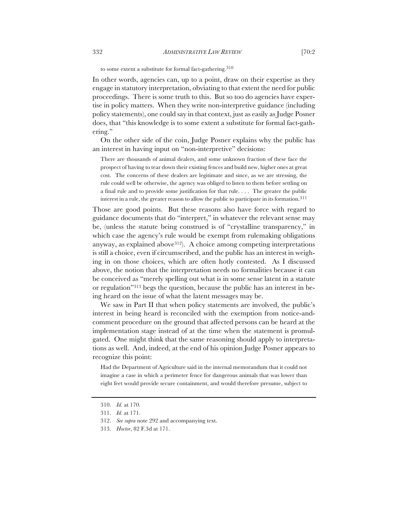to some extent a substitute for formal fact-gathering.310

In other words, agencies can, up to a point, draw on their expertise as they engage in statutory interpretation, obviating to that extent the need for public proceedings. There is some truth to this. But so too do agencies have expertise in policy matters. When they write non-interpretive guidance (including policy statements), one could say in that context, just as easily as Judge Posner does, that "this knowledge is to some extent a substitute for formal fact-gathering."

On the other side of the coin, Judge Posner explains why the public has an interest in having input on "non-interpretive" decisions:

There are thousands of animal dealers, and some unknown fraction of these face the prospect of having to tear down their existing fences and build new, higher ones at great cost. The concerns of these dealers are legitimate and since, as we are stressing, the rule could well be otherwise, the agency was obliged to listen to them before settling on a final rule and to provide some justification for that rule. . . . The greater the public interest in a rule, the greater reason to allow the public to participate in its formation.<sup>311</sup>

Those are good points. But these reasons also have force with regard to guidance documents that do "interpret," in whatever the relevant sense may be, (unless the statute being construed is of "crystalline transparency," in which case the agency's rule would be exempt from rulemaking obligations anyway, as explained above  $312$ ). A choice among competing interpretations is still a choice, even if circumscribed, and the public has an interest in weighing in on those choices, which are often hotly contested. As I discussed above, the notion that the interpretation needs no formalities because it can be conceived as "merely spelling out what is in some sense latent in a statute or regulation"313 begs the question, because the public has an interest in being heard on the issue of what the latent messages may be.

We saw in Part II that when policy statements are involved, the public's interest in being heard is reconciled with the exemption from notice-andcomment procedure on the ground that affected persons can be heard at the implementation stage instead of at the time when the statement is promulgated. One might think that the same reasoning should apply to interpretations as well. And, indeed, at the end of his opinion Judge Posner appears to recognize this point:

Had the Department of Agriculture said in the internal memorandum that it could not imagine a case in which a perimeter fence for dangerous animals that was lower than eight feet would provide secure containment, and would therefore presume, subject to

<sup>310.</sup> *Id.* at 170.

<sup>311.</sup> *Id.* at 171.

<sup>312.</sup> *See supra* note 292 and accompanying text.

<sup>313.</sup> *Hoctor*, 82 F.3d at 171.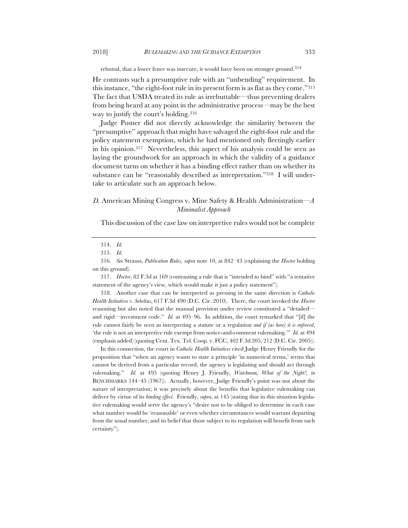rebuttal, that a lower fence was insecure, it would have been on stronger ground.314

He contrasts such a presumptive rule with an "unbending" requirement. In this instance, "the eight-foot rule in its present form is as flat as they come."315 The fact that USDA treated its rule as irrebuttable—thus preventing dealers from being heard at any point in the administrative process—may be the best way to justify the court's holding.316

Judge Posner did not directly acknowledge the similarity between the "presumptive" approach that might have salvaged the eight-foot rule and the policy statement exemption, which he had mentioned only fleetingly earlier in his opinion.317 Nevertheless, this aspect of his analysis could be seen as laying the groundwork for an approach in which the validity of a guidance document turns on whether it has a binding effect rather than on whether its substance can be "reasonably described as interpretation."318 I will undertake to articulate such an approach below.

# *D.* American Mining Congress v. Mine Safety & Health Administration*—A Minimalist Approach*

This discussion of the case law on interpretive rules would not be complete

317. *Hoctor*, 82 F.3d at 169 (contrasting a rule that is "intended to bind" with "a tentative statement of the agency's view, which would make it just a policy statement").

318. Another case that can be interpreted as pressing in the same direction is *Catholic Health Initiatives v. Sebelius*, 617 F.3d 490 (D.C. Cir. 2010). There, the court invoked the *Hoctor*  reasoning but also noted that the manual provision under review constituted a "detailed and rigid—investment code." *Id.* at 495–96. In addition, the court remarked that "[if] the rule cannot fairly be seen as interpreting a statute or a regulation *and if (as here) it is enforced*, 'the rule is not an interpretive rule exempt from notice-and-comment rulemaking.'" *Id.* at 494 (emphasis added) (quoting Cent. Tex. Tel. Coop. v. FCC, 402 F.3d 205, 212 (D.C. Cir. 2005)).

In this connection, the court in *Catholic Health Initiatives* cited Judge Henry Friendly for the proposition that "when an agency wants to state a principle 'in numerical terms,' terms that cannot be derived from a particular record, the agency is legislating and should act through rulemaking." *Id.* at 495 (quoting Henry J. Friendly, *Watchman, What of the Night?, in*  BENCHMARKS 144–45 (1967)). Actually, however, Judge Friendly's point was not about the nature of interpretation; it was precisely about the benefits that legislative rulemaking can deliver by virtue of its *binding effect*. Friendly, *supra*, at 145 (stating that in this situation legislative rulemaking would serve the agency's "desire not to be obliged to determine in each case what number would be 'reasonable' or even whether circumstances would warrant departing from the usual number, and its belief that those subject to its regulation will benefit from such certainty").

<sup>314.</sup> *Id.*

<sup>315.</sup> *Id.*

<sup>316.</sup> *See* Strauss, *Publication Rules*, *supra* note 10, at 842–43 (explaining the *Hoctor* holding on this ground).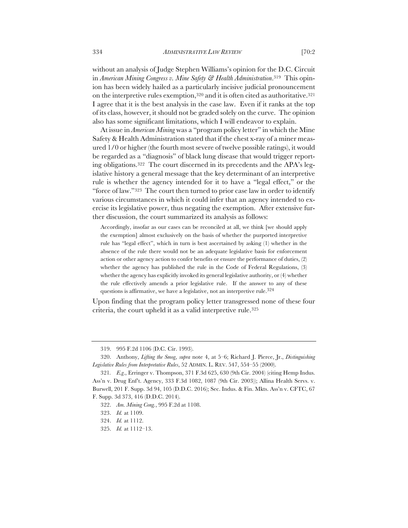without an analysis of Judge Stephen Williams's opinion for the D.C. Circuit in *American Mining Congress v. Mine Safety & Health Administration*.319 This opinion has been widely hailed as a particularly incisive judicial pronouncement on the interpretive rules exemption,320 and it is often cited as authoritative.321 I agree that it is the best analysis in the case law. Even if it ranks at the top of its class, however, it should not be graded solely on the curve. The opinion also has some significant limitations, which I will endeavor to explain.

At issue in *American Mining* was a "program policy letter" in which the Mine Safety & Health Administration stated that if the chest x-ray of a miner measured 1/0 or higher (the fourth most severe of twelve possible ratings), it would be regarded as a "diagnosis" of black lung disease that would trigger reporting obligations.322 The court discerned in its precedents and the APA's legislative history a general message that the key determinant of an interpretive rule is whether the agency intended for it to have a "legal effect," or the "force of law."323 The court then turned to prior case law in order to identify various circumstances in which it could infer that an agency intended to exercise its legislative power, thus negating the exemption. After extensive further discussion, the court summarized its analysis as follows:

Accordingly, insofar as our cases can be reconciled at all, we think [we should apply the exemption] almost exclusively on the basis of whether the purported interpretive rule has "legal effect", which in turn is best ascertained by asking (1) whether in the absence of the rule there would not be an adequate legislative basis for enforcement action or other agency action to confer benefits or ensure the performance of duties, (2) whether the agency has published the rule in the Code of Federal Regulations, (3) whether the agency has explicitly invoked its general legislative authority, or (4) whether the rule effectively amends a prior legislative rule. If the answer to any of these questions is affirmative, we have a legislative, not an interpretive rule.<sup>324</sup>

Upon finding that the program policy letter transgressed none of these four criteria, the court upheld it as a valid interpretive rule.325

<sup>319.</sup> 995 F.2d 1106 (D.C. Cir. 1993).

<sup>320.</sup> Anthony, *Lifting the Smog*, *supra* note 4, at 5–6; Richard J. Pierce, Jr., *Distinguishing Legislative Rules from Interpretative Rules*, 52 ADMIN. L. REV. 547, 554–55 (2000).

<sup>321</sup>*. E.g*., Erringer v. Thompson, 371 F.3d 625, 630 (9th Cir. 2004) (citing Hemp Indus. Ass'n v. Drug Enf't. Agency, 333 F.3d 1082, 1087 (9th Cir. 2003)); Allina Health Servs. v. Burwell, 201 F. Supp. 3d 94, 105 (D.D.C. 2016); Sec. Indus. & Fin. Mkts. Ass'n v. CFTC, 67 F. Supp. 3d 373, 416 (D.D.C. 2014).

<sup>322.</sup> *Am. Mining Cong.*, 995 F.2d at 1108.

<sup>323.</sup> *Id.* at 1109.

<sup>324.</sup> *Id.* at 1112.

<sup>325.</sup> *Id.* at 1112–13.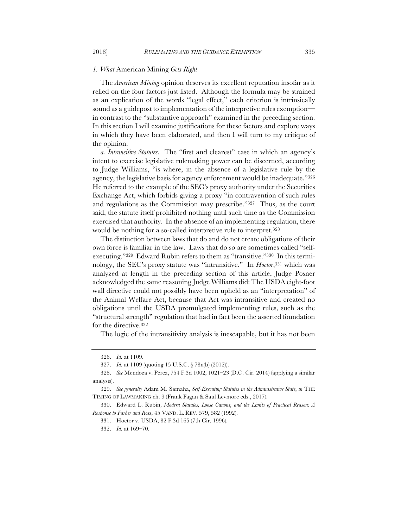### *1. What* American Mining *Gets Right*

The *American Mining* opinion deserves its excellent reputation insofar as it relied on the four factors just listed. Although the formula may be strained as an explication of the words "legal effect," each criterion is intrinsically sound as a guidepost to implementation of the interpretive rules exemption in contrast to the "substantive approach" examined in the preceding section. In this section I will examine justifications for these factors and explore ways in which they have been elaborated, and then I will turn to my critique of the opinion.

*a. Intransitive Statutes*. The "first and clearest" case in which an agency's intent to exercise legislative rulemaking power can be discerned, according to Judge Williams, "is where, in the absence of a legislative rule by the agency, the legislative basis for agency enforcement would be inadequate."326 He referred to the example of the SEC's proxy authority under the Securities Exchange Act, which forbids giving a proxy "in contravention of such rules and regulations as the Commission may prescribe."327 Thus, as the court said, the statute itself prohibited nothing until such time as the Commission exercised that authority. In the absence of an implementing regulation, there would be nothing for a so-called interpretive rule to interpret.328

The distinction between laws that do and do not create obligations of their own force is familiar in the law. Laws that do so are sometimes called "selfexecuting."329 Edward Rubin refers to them as "transitive."330 In this terminology, the SEC's proxy statute was "intransitive." In *Hoctor*,331 which was analyzed at length in the preceding section of this article, Judge Posner acknowledged the same reasoning Judge Williams did: The USDA eight-foot wall directive could not possibly have been upheld as an "interpretation" of the Animal Welfare Act, because that Act was intransitive and created no obligations until the USDA promulgated implementing rules, such as the "structural strength" regulation that had in fact been the asserted foundation for the directive.332

The logic of the intransitivity analysis is inescapable, but it has not been

<sup>326.</sup> *Id.* at 1109.

<sup>327.</sup> *Id.* at 1109 (quoting 15 U.S.C. § 78n(b) (2012)).

<sup>328.</sup> *See* Mendoza v. Perez, 754 F.3d 1002, 1021–23 (D.C. Cir. 2014) (applying a similar analysis).

<sup>329.</sup> *See generally* Adam M. Samaha, *Self-Executing Statutes in the Administrative State*, *in* THE TIMING OF LAWMAKING ch. 9 (Frank Fagan & Saul Levmore eds., 2017).

<sup>330.</sup> Edward L. Rubin, *Modern Statutes, Loose Canons, and the Limits of Practical Reason: A Response to Farber and Ross*, 45 VAND. L. REV. 579, 582 (1992).

<sup>331.</sup> Hoctor v. USDA, 82 F.3d 165 (7th Cir. 1996).

<sup>332.</sup> *Id.* at 169–70.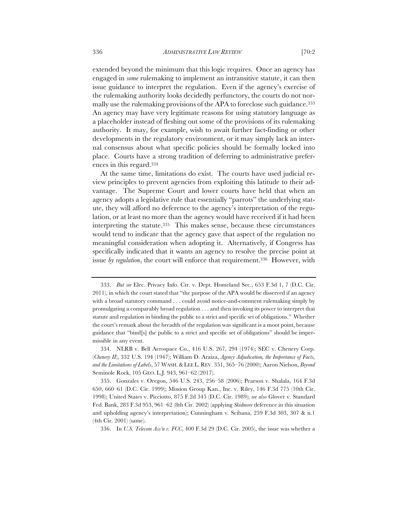extended beyond the minimum that this logic requires. Once an agency has engaged in *some* rulemaking to implement an intransitive statute, it can then issue guidance to interpret the regulation. Even if the agency's exercise of the rulemaking authority looks decidedly perfunctory, the courts do not normally use the rulemaking provisions of the APA to foreclose such guidance.<sup>333</sup> An agency may have very legitimate reasons for using statutory language as a placeholder instead of fleshing out some of the provisions of its rulemaking authority. It may, for example, wish to await further fact-finding or other developments in the regulatory environment, or it may simply lack an internal consensus about what specific policies should be formally locked into place. Courts have a strong tradition of deferring to administrative preferences in this regard.334

At the same time, limitations do exist. The courts have used judicial review principles to prevent agencies from exploiting this latitude to their advantage. The Supreme Court and lower courts have held that when an agency adopts a legislative rule that essentially "parrots" the underlying statute, they will afford no deference to the agency's interpretation of the regulation, or at least no more than the agency would have received if it had been interpreting the statute.335 This makes sense, because these circumstances would tend to indicate that the agency gave that aspect of the regulation no meaningful consideration when adopting it. Alternatively, if Congress has specifically indicated that it wants an agency to resolve the precise point at issue by regulation, the court will enforce that requirement.<sup>336</sup> However, with

336. In *U.S. Telecom Ass'n v. FCC*, 400 F.3d 29 (D.C. Cir. 2005), the issue was whether a

<sup>333.</sup> *But see* Elec. Privacy Info. Ctr. v. Dept. Homeland Sec., 653 F.3d 1, 7 (D.C. Cir. 2011), in which the court stated that "the purpose of the APA would be disserved if an agency with a broad statutory command . . . could avoid notice-and-comment rulemaking simply by promulgating a comparably broad regulation . . . and then invoking its power to interpret that statute and regulation in binding the public to a strict and specific set of obligations." Whether the court's remark about the breadth of the regulation was significant is a moot point, because guidance that "bind[s] the public to a strict and specific set of obligations" should be impermissible in any event.

<sup>334.</sup> NLRB v. Bell Aerospace Co., 416 U.S. 267, 294 (1974); SEC v. Chenery Corp. (*Chenery II*), 332 U.S. 194 (1947); William D. Araiza, *Agency Adjudication, the Importance of Facts, and the Limitations of Labels*, 57 WASH.& LEE L. REV. 351, 365–76 (2000); Aaron Nielson, *Beyond*  Seminole Rock, 105 GEO. L.J. 943, 961–62 (2017).

<sup>335.</sup> Gonzales v. Oregon, 546 U.S. 243, 256–58 (2006); Pearson v. Shalala, 164 F.3d 650, 660–61 (D.C. Cir. 1999); Mission Group Kan., Inc. v. Riley, 146 F.3d 775 (10th Cir. 1998); United States v. Picciotto, 875 F.2d 345 (D.C. Cir. 1989); *see also* Glover v. Standard Fed. Bank, 283 F.3d 953, 961–62 (8th Cir. 2002) (applying *Skidmore* deference in this situation and upholding agency's interpretation); Cunningham v. Scibana, 259 F.3d 303, 307 & n.1 (4th Cir. 2001) (same).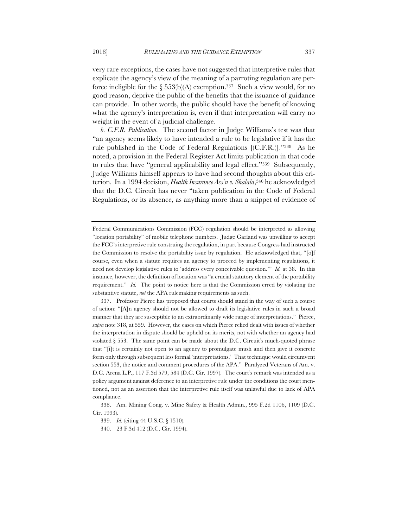very rare exceptions, the cases have not suggested that interpretive rules that explicate the agency's view of the meaning of a parroting regulation are perforce ineligible for the §  $553(b)(A)$  exemption.<sup>337</sup> Such a view would, for no good reason, deprive the public of the benefits that the issuance of guidance can provide. In other words, the public should have the benefit of knowing what the agency's interpretation is, even if that interpretation will carry no weight in the event of a judicial challenge.

*b. C.F.R. Publication.* The second factor in Judge Williams's test was that "an agency seems likely to have intended a rule to be legislative if it has the rule published in the Code of Federal Regulations [(C.F.R.)]."338 As he noted, a provision in the Federal Register Act limits publication in that code to rules that have "general applicability and legal effect."339 Subsequently, Judge Williams himself appears to have had second thoughts about this criterion. In a 1994 decision, *Health Insurance Ass'n v. Shalala*,340 he acknowledged that the D.C. Circuit has never "taken publication in the Code of Federal Regulations, or its absence, as anything more than a snippet of evidence of

Federal Communications Commission (FCC) regulation should be interpreted as allowing "location portability" of mobile telephone numbers. Judge Garland was unwilling to accept the FCC's interpretive rule construing the regulation, in part because Congress had instructed the Commission to resolve the portability issue by regulation. He acknowledged that, "[o]f course, even when a statute requires an agency to proceed by implementing regulations, it need not develop legislative rules to 'address every conceivable question.'" *Id.* at 38. In this instance, however, the definition of location was "a crucial statutory element of the portability requirement." *Id.* The point to notice here is that the Commission erred by violating the substantive statute, *not* the APA rulemaking requirements as such.

<sup>337.</sup> Professor Pierce has proposed that courts should stand in the way of such a course of action: "[A]n agency should not be allowed to draft its legislative rules in such a broad manner that they are susceptible to an extraordinarily wide range of interpretations." Pierce, *supra* note 318, at 559. However, the cases on which Pierce relied dealt with issues of whether the interpretation in dispute should be upheld on its merits, not with whether an agency had violated  $\S 553$ . The same point can be made about the D.C. Circuit's much-quoted phrase that "[i]t is certainly not open to an agency to promulgate mush and then give it concrete form only through subsequent less formal 'interpretations.' That technique would circumvent section 553, the notice and comment procedures of the APA." Paralyzed Veterans of Am. v. D.C. Arena L.P., 117 F.3d 579, 584 (D.C. Cir. 1997). The court's remark was intended as a policy argument against deference to an interpretive rule under the conditions the court mentioned, not as an assertion that the interpretive rule itself was unlawful due to lack of APA compliance.

<sup>338.</sup> Am. Mining Cong. v. Mine Safety & Health Admin., 995 F.2d 1106, 1109 (D.C. Cir. 1993).

<sup>339.</sup> *Id.* (citing 44 U.S.C. § 1510).

<sup>340.</sup> 23 F.3d 412 (D.C. Cir. 1994).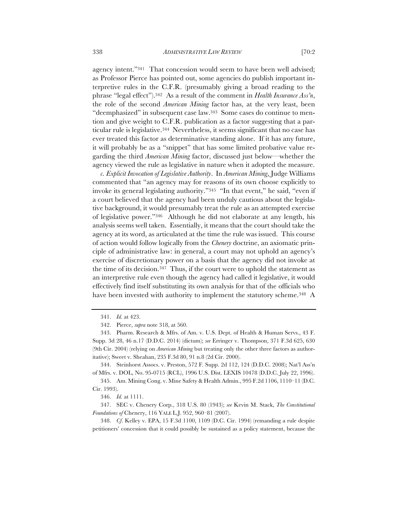agency intent."341 That concession would seem to have been well advised; as Professor Pierce has pointed out, some agencies do publish important interpretive rules in the C.F.R. (presumably giving a broad reading to the phrase "legal effect").342 As a result of the comment in *Health Insurance Ass'n*, the role of the second *American Mining* factor has, at the very least, been "deemphasized" in subsequent case law.343 Some cases do continue to mention and give weight to C.F.R. publication as a factor suggesting that a particular rule is legislative.344 Nevertheless, it seems significant that no case has ever treated this factor as determinative standing alone. If it has any future, it will probably be as a "snippet" that has some limited probative value regarding the third *American Mining* factor, discussed just below—whether the agency viewed the rule as legislative in nature when it adopted the measure.

*c. Explicit Invocation of Legislative Authority*. In *American Mining*, Judge Williams commented that "an agency may for reasons of its own choose explicitly to invoke its general legislating authority."345 "In that event," he said, "even if a court believed that the agency had been unduly cautious about the legislative background, it would presumably treat the rule as an attempted exercise of legislative power."346 Although he did not elaborate at any length, his analysis seems well taken. Essentially, it means that the court should take the agency at its word, as articulated at the time the rule was issued. This course of action would follow logically from the *Chenery* doctrine, an axiomatic principle of administrative law: in general, a court may not uphold an agency's exercise of discretionary power on a basis that the agency did not invoke at the time of its decision.<sup>347</sup> Thus, if the court were to uphold the statement as an interpretive rule even though the agency had called it legislative, it would effectively find itself substituting its own analysis for that of the officials who have been invested with authority to implement the statutory scheme.<sup>348</sup> A

344. Steinhorst Assocs. v. Preston, 572 F. Supp. 2d 112, 124 (D.D.C. 2008); Nat'l Ass'n of Mfrs. v. DOL, No. 95-0715 (RCL), 1996 U.S. Dist. LEXIS 10478 (D.D.C. July 22, 1996).

345. Am. Mining Cong. v. Mine Safety & Health Admin., 995 F.2d 1106, 1110–11 (D.C. Cir. 1993).

348. *Cf*. Kelley v. EPA, 15 F.3d 1100, 1109 (D.C. Cir. 1994) (remanding a rule despite petitioners' concession that it could possibly be sustained as a policy statement, because the

<sup>341.</sup> *Id.* at 423.

<sup>342.</sup> Pierce, *supra* note 318, at 560.

<sup>343.</sup> Pharm. Research & Mfrs. of Am. v. U.S. Dept. of Health & Human Servs., 43 F. Supp. 3d 28, 46 n.17 (D.D.C. 2014) (dictum); *see* Erringer v. Thompson, 371 F.3d 625, 630 (9th Cir. 2004) (relying on *American Mining* but treating only the other three factors as authoritative); Sweet v. Sheahan, 235 F.3d 80, 91 n.8 (2d Cir. 2000).

<sup>346.</sup> *Id.* at 1111.

<sup>347.</sup> SEC v. Chenery Corp., 318 U.S. 80 (1943); *see* Kevin M. Stack, *The Constitutional Foundations of* Chenery, 116 YALE L.J. 952, 960–81 (2007).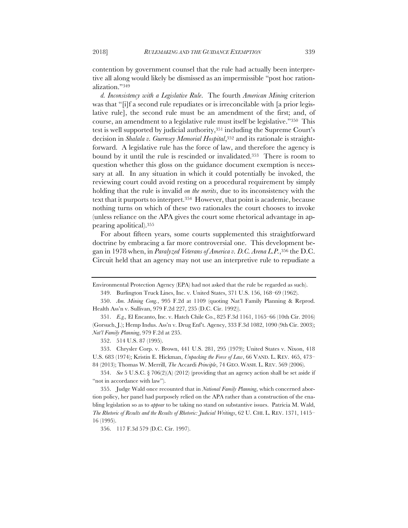contention by government counsel that the rule had actually been interpretive all along would likely be dismissed as an impermissible "post hoc rationalization."349

*d. Inconsistency with a Legislative Rule*. The fourth *American Mining* criterion was that "[i]f a second rule repudiates or is irreconcilable with [a prior legislative rule], the second rule must be an amendment of the first; and, of course, an amendment to a legislative rule must itself be legislative."350 This test is well supported by judicial authority,351 including the Supreme Court's decision in *Shalala v. Guernsey Memorial Hospital*,352 and its rationale is straightforward. A legislative rule has the force of law, and therefore the agency is bound by it until the rule is rescinded or invalidated.353 There is room to question whether this gloss on the guidance document exemption is necessary at all. In any situation in which it could potentially be invoked, the reviewing court could avoid resting on a procedural requirement by simply holding that the rule is invalid *on the merits*, due to its inconsistency with the text that it purports to interpret.354 However, that point is academic, because nothing turns on which of these two rationales the court chooses to invoke (unless reliance on the APA gives the court some rhetorical advantage in appearing apolitical).355

For about fifteen years, some courts supplemented this straightforward doctrine by embracing a far more controversial one. This development began in 1978 when, in *Paralyzed Veterans of America v. D.C. Arena L.P.*,356 the D.C. Circuit held that an agency may not use an interpretive rule to repudiate a

352. 514 U.S. 87 (1995).

356. 117 F.3d 579 (D.C. Cir. 1997).

Environmental Protection Agency (EPA) had not asked that the rule be regarded as such).

<sup>349.</sup> Burlington Truck Lines, Inc. v. United States, 371 U.S. 156, 168–69 (1962).

<sup>350.</sup> *Am. Mining Cong.*, 995 F.2d at 1109 (quoting Nat'l Family Planning & Reprod. Health Ass'n v. Sullivan, 979 F.2d 227, 235 (D.C. Cir. 1992)).

<sup>351.</sup> *E.g.,* El Encanto, Inc. v. Hatch Chile Co., 825 F.3d 1161, 1165–66 (10th Cir. 2016) (Gorsuch, J.); Hemp Indus. Ass'n v. Drug Enf't. Agency, 333 F.3d 1082, 1090 (9th Cir. 2003); *Nat'l Family Planning*, 979 F.2d at 235.

<sup>353.</sup> Chrysler Corp. v. Brown, 441 U.S. 281, 295 (1979); United States v. Nixon, 418 U.S. 683 (1974); Kristin E. Hickman, *Unpacking the Force of Law*, 66 VAND. L. REV. 465, 473– 84 (2013); Thomas W. Merrill, *The* Accardi *Principle*, 74 GEO. WASH. L. REV. 569 (2006).

<sup>354.</sup> *See* 5 U.S.C. § 706(2)(A) (2012) (providing that an agency action shall be set aside if "not in accordance with law").

<sup>355.</sup> Judge Wald once recounted that in *National Family Planning*, which concerned abortion policy, her panel had purposely relied on the APA rather than a construction of the enabling legislation so as to *appear* to be taking no stand on substantive issues. Patricia M. Wald, *The Rhetoric of Results and the Results of Rhetoric: Judicial Writings*, 62 U. CHI. L. REV. 1371, 1415– 16 (1995).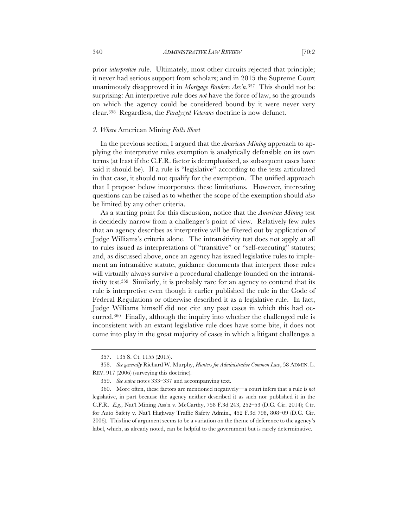prior *interpretive* rule. Ultimately, most other circuits rejected that principle; it never had serious support from scholars; and in 2015 the Supreme Court unanimously disapproved it in *Mortgage Bankers Ass'n*.357 This should not be surprising: An interpretive rule does *not* have the force of law, so the grounds on which the agency could be considered bound by it were never very clear.358 Regardless, the *Paralyzed Veterans* doctrine is now defunct.

### *2. Where* American Mining *Falls Short*

In the previous section, I argued that the *American Mining* approach to applying the interpretive rules exemption is analytically defensible on its own terms (at least if the C.F.R. factor is deemphasized, as subsequent cases have said it should be). If a rule is "legislative" according to the tests articulated in that case, it should not qualify for the exemption. The unified approach that I propose below incorporates these limitations. However, interesting questions can be raised as to whether the scope of the exemption should *also*  be limited by any other criteria.

As a starting point for this discussion, notice that the *American Mining* test is decidedly narrow from a challenger's point of view. Relatively few rules that an agency describes as interpretive will be filtered out by application of Judge Williams's criteria alone. The intransitivity test does not apply at all to rules issued as interpretations of "transitive" or "self-executing" statutes; and, as discussed above, once an agency has issued legislative rules to implement an intransitive statute, guidance documents that interpret those rules will virtually always survive a procedural challenge founded on the intransitivity test.359 Similarly, it is probably rare for an agency to contend that its rule is interpretive even though it earlier published the rule in the Code of Federal Regulations or otherwise described it as a legislative rule. In fact, Judge Williams himself did not cite any past cases in which this had occurred.360 Finally, although the inquiry into whether the challenged rule is inconsistent with an extant legislative rule does have some bite, it does not come into play in the great majority of cases in which a litigant challenges a

<sup>357.</sup> 135 S. Ct. 1155 (2015).

<sup>358.</sup> *See generally* Richard W. Murphy, *Hunters for Administrative Common Law*, 58 ADMIN. L. REV. 917 (2006) (surveying this doctrine).

<sup>359.</sup> *See supra* notes 333–337 and accompanying text.

<sup>360.</sup> More often, these factors are mentioned negatively—a court infers that a rule is *not*  legislative, in part because the agency neither described it as such nor published it in the C.F.R. *E.g.*, Nat'l Mining Ass'n v. McCarthy, 758 F.3d 243, 252–53 (D.C. Cir. 2014); Ctr. for Auto Safety v. Nat'l Highway Traffic Safety Admin., 452 F.3d 798, 808–09 (D.C. Cir. 2006). This line of argument seems to be a variation on the theme of deference to the agency's label, which, as already noted, can be helpful to the government but is rarely determinative.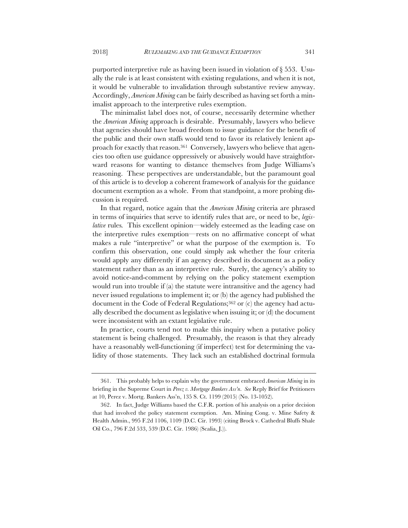purported interpretive rule as having been issued in violation of § 553. Usually the rule is at least consistent with existing regulations, and when it is not, it would be vulnerable to invalidation through substantive review anyway. Accordingly, *American Mining* can be fairly described as having set forth a minimalist approach to the interpretive rules exemption.

The minimalist label does not, of course, necessarily determine whether the *American Mining* approach is desirable. Presumably, lawyers who believe that agencies should have broad freedom to issue guidance for the benefit of the public and their own staffs would tend to favor its relatively lenient approach for exactly that reason.361 Conversely, lawyers who believe that agencies too often use guidance oppressively or abusively would have straightforward reasons for wanting to distance themselves from Judge Williams's reasoning. These perspectives are understandable, but the paramount goal of this article is to develop a coherent framework of analysis for the guidance document exemption as a whole. From that standpoint, a more probing discussion is required.

In that regard, notice again that the *American Mining* criteria are phrased in terms of inquiries that serve to identify rules that are, or need to be, *legislative* rules*.* This excellent opinion—widely esteemed as the leading case on the interpretive rules exemption—rests on no affirmative concept of what makes a rule "interpretive" or what the purpose of the exemption is. To confirm this observation, one could simply ask whether the four criteria would apply any differently if an agency described its document as a policy statement rather than as an interpretive rule. Surely, the agency's ability to avoid notice-and-comment by relying on the policy statement exemption would run into trouble if (a) the statute were intransitive and the agency had never issued regulations to implement it; or (b) the agency had published the document in the Code of Federal Regulations;<sup>362</sup> or (c) the agency had actually described the document as legislative when issuing it; or (d) the document were inconsistent with an extant legislative rule.

In practice, courts tend not to make this inquiry when a putative policy statement is being challenged. Presumably, the reason is that they already have a reasonably well-functioning (if imperfect) test for determining the validity of those statements. They lack such an established doctrinal formula

<sup>361.</sup> This probably helps to explain why the government embraced *American Mining* in its briefing in the Supreme Court in *Perez v. Mortgage Bankers Ass'n*. *See* Reply Brief for Petitioners at 10, Perez v. Mortg. Bankers Ass'n, 135 S. Ct. 1199 (2015) (No. 13-1052).

<sup>362.</sup> In fact, Judge Williams based the C.F.R. portion of his analysis on a prior decision that had involved the policy statement exemption. Am. Mining Cong. v. Mine Safety & Health Admin., 995 F.2d 1106, 1109 (D.C. Cir. 1993) (citing Brock v. Cathedral Bluffs Shale Oil Co., 796 F.2d 533, 539 (D.C. Cir. 1986) (Scalia, J.)).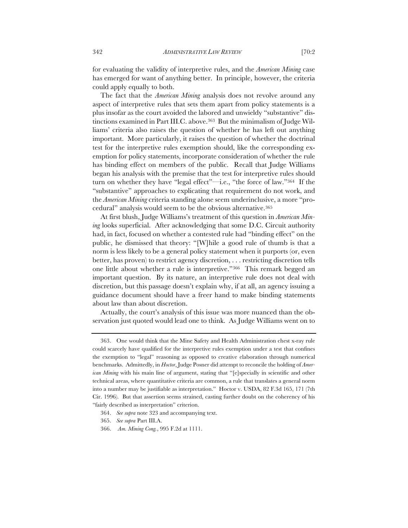for evaluating the validity of interpretive rules, and the *American Mining* case has emerged for want of anything better. In principle, however, the criteria could apply equally to both.

The fact that the *American Mining* analysis does not revolve around any aspect of interpretive rules that sets them apart from policy statements is a plus insofar as the court avoided the labored and unwieldy "substantive" distinctions examined in Part III.C. above.363 But the minimalism of Judge Williams' criteria also raises the question of whether he has left out anything important. More particularly, it raises the question of whether the doctrinal test for the interpretive rules exemption should, like the corresponding exemption for policy statements, incorporate consideration of whether the rule has binding effect on members of the public. Recall that Judge Williams began his analysis with the premise that the test for interpretive rules should turn on whether they have "legal effect"—i.e., "the force of law."364 If the "substantive" approaches to explicating that requirement do not work, and the *American Mining* criteria standing alone seem underinclusive, a more "procedural" analysis would seem to be the obvious alternative.365

At first blush, Judge Williams's treatment of this question in *American Mining* looks superficial. After acknowledging that some D.C. Circuit authority had, in fact, focused on whether a contested rule had "binding effect" on the public, he dismissed that theory: "[W]hile a good rule of thumb is that a norm is less likely to be a general policy statement when it purports (or, even better, has proven) to restrict agency discretion, . . . restricting discretion tells one little about whether a rule is interpretive."366 This remark begged an important question. By its nature, an interpretive rule does not deal with discretion, but this passage doesn't explain why, if at all, an agency issuing a guidance document should have a freer hand to make binding statements about law than about discretion.

Actually, the court's analysis of this issue was more nuanced than the observation just quoted would lead one to think. As Judge Williams went on to

<sup>363.</sup> One would think that the Mine Safety and Health Administration chest x-ray rule could scarcely have qualified for the interpretive rules exemption under a test that confines the exemption to "legal" reasoning as opposed to creative elaboration through numerical benchmarks. Admittedly, in *Hoctor*, Judge Posner did attempt to reconcile the holding of *American Mining* with his main line of argument, stating that "[e]specially in scientific and other technical areas, where quantitative criteria are common, a rule that translates a general norm into a number may be justifiable as interpretation." Hoctor v. USDA, 82 F.3d 165, 171 (7th Cir. 1996). But that assertion seems strained, casting further doubt on the coherency of his "fairly described as interpretation" criterion.

<sup>364.</sup> *See supra* note 323 and accompanying text.

<sup>365.</sup> *See supra* Part III.A.

<sup>366.</sup> *Am. Mining Cong.*, 995 F.2d at 1111.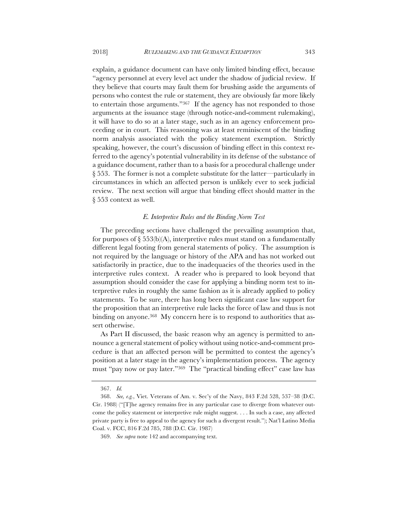explain, a guidance document can have only limited binding effect, because "agency personnel at every level act under the shadow of judicial review. If they believe that courts may fault them for brushing aside the arguments of persons who contest the rule or statement, they are obviously far more likely to entertain those arguments."367 If the agency has not responded to those arguments at the issuance stage (through notice-and-comment rulemaking), it will have to do so at a later stage, such as in an agency enforcement proceeding or in court. This reasoning was at least reminiscent of the binding norm analysis associated with the policy statement exemption. Strictly speaking, however, the court's discussion of binding effect in this context referred to the agency's potential vulnerability in its defense of the substance of a guidance document, rather than to a basis for a procedural challenge under § 553. The former is not a complete substitute for the latter—particularly in circumstances in which an affected person is unlikely ever to seek judicial review. The next section will argue that binding effect should matter in the § 553 context as well.

## *E. Interpretive Rules and the Binding Norm Test*

The preceding sections have challenged the prevailing assumption that, for purposes of  $\S 553(b)(A)$ , interpretive rules must stand on a fundamentally different legal footing from general statements of policy. The assumption is not required by the language or history of the APA and has not worked out satisfactorily in practice, due to the inadequacies of the theories used in the interpretive rules context. A reader who is prepared to look beyond that assumption should consider the case for applying a binding norm test to interpretive rules in roughly the same fashion as it is already applied to policy statements. To be sure, there has long been significant case law support for the proposition that an interpretive rule lacks the force of law and thus is not binding on anyone.<sup>368</sup> My concern here is to respond to authorities that assert otherwise.

As Part II discussed, the basic reason why an agency is permitted to announce a general statement of policy without using notice-and-comment procedure is that an affected person will be permitted to contest the agency's position at a later stage in the agency's implementation process. The agency must "pay now or pay later."369 The "practical binding effect" case law has

<sup>367.</sup> *Id.*

<sup>368.</sup> *See, e.g.*, Viet. Veterans of Am. v. Sec'y of the Navy, 843 F.2d 528, 537–38 (D.C. Cir. 1988) ("[T]he agency remains free in any particular case to diverge from whatever outcome the policy statement or interpretive rule might suggest. . . . In such a case, any affected private party is free to appeal to the agency for such a divergent result."); Nat'l Latino Media Coal. v. FCC, 816 F.2d 785, 788 (D.C. Cir. 1987)

<sup>369.</sup> *See supra* note 142 and accompanying text.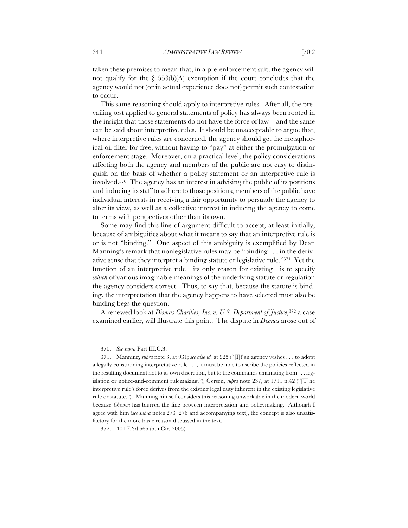taken these premises to mean that, in a pre-enforcement suit, the agency will not qualify for the  $\S$  553(b)(A) exemption if the court concludes that the agency would not (or in actual experience does not) permit such contestation to occur.

This same reasoning should apply to interpretive rules. After all, the prevailing test applied to general statements of policy has always been rooted in the insight that those statements do not have the force of law—and the same can be said about interpretive rules. It should be unacceptable to argue that, where interpretive rules are concerned, the agency should get the metaphorical oil filter for free, without having to "pay" at either the promulgation or enforcement stage. Moreover, on a practical level, the policy considerations affecting both the agency and members of the public are not easy to distinguish on the basis of whether a policy statement or an interpretive rule is involved.370 The agency has an interest in advising the public of its positions and inducing its staff to adhere to those positions; members of the public have individual interests in receiving a fair opportunity to persuade the agency to alter its view, as well as a collective interest in inducing the agency to come to terms with perspectives other than its own.

Some may find this line of argument difficult to accept, at least initially, because of ambiguities about what it means to say that an interpretive rule is or is not "binding." One aspect of this ambiguity is exemplified by Dean Manning's remark that nonlegislative rules may be "binding . . . in the derivative sense that they interpret a binding statute or legislative rule."371 Yet the function of an interpretive rule—its only reason for existing—is to specify *which* of various imaginable meanings of the underlying statute or regulation the agency considers correct. Thus, to say that, because the statute is binding, the interpretation that the agency happens to have selected must also be binding begs the question.

A renewed look at *Dismas Charities, Inc. v. U.S. Department of Justice*,372 a case examined earlier, will illustrate this point. The dispute in *Dismas* arose out of

<sup>370.</sup> *See supra* Part III.C.3.

<sup>371.</sup> Manning, *supra* note 3, at 931; *see also id.* at 925 ("[I]f an agency wishes . . . to adopt a legally constraining interpretative rule . . ., it must be able to ascribe the policies reflected in the resulting document not to its own discretion, but to the commands emanating from . . . legislation or notice-and-comment rulemaking."); Gersen, *supra* note 237, at 1711 n.42 ("[T]he interpretive rule's force derives from the existing legal duty inherent in the existing legislative rule or statute."). Manning himself considers this reasoning unworkable in the modern world because *Chevron* has blurred the line between interpretation and policymaking. Although I agree with him (*see supra* notes 273–276 and accompanying text), the concept is also unsatisfactory for the more basic reason discussed in the text.

<sup>372.</sup> 401 F.3d 666 (6th Cir. 2005).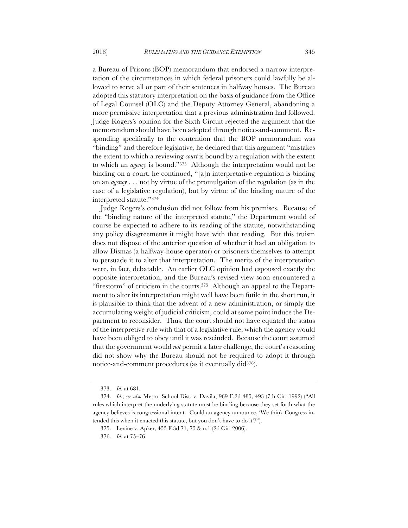a Bureau of Prisons (BOP) memorandum that endorsed a narrow interpretation of the circumstances in which federal prisoners could lawfully be allowed to serve all or part of their sentences in halfway houses. The Bureau adopted this statutory interpretation on the basis of guidance from the Office of Legal Counsel (OLC) and the Deputy Attorney General, abandoning a more permissive interpretation that a previous administration had followed. Judge Rogers's opinion for the Sixth Circuit rejected the argument that the memorandum should have been adopted through notice-and-comment. Responding specifically to the contention that the BOP memorandum was "binding" and therefore legislative, he declared that this argument "mistakes the extent to which a reviewing *court* is bound by a regulation with the extent to which an *agency* is bound."373 Although the interpretation would not be binding on a court, he continued, "[a]n interpretative regulation is binding on an *agency* . . . not by virtue of the promulgation of the regulation (as in the case of a legislative regulation), but by virtue of the binding nature of the interpreted statute."374

Judge Rogers's conclusion did not follow from his premises. Because of the "binding nature of the interpreted statute," the Department would of course be expected to adhere to its reading of the statute, notwithstanding any policy disagreements it might have with that reading. But this truism does not dispose of the anterior question of whether it had an obligation to allow Dismas (a halfway-house operator) or prisoners themselves to attempt to persuade it to alter that interpretation. The merits of the interpretation were, in fact, debatable. An earlier OLC opinion had espoused exactly the opposite interpretation, and the Bureau's revised view soon encountered a "firestorm" of criticism in the courts.<sup>375</sup> Although an appeal to the Department to alter its interpretation might well have been futile in the short run, it is plausible to think that the advent of a new administration, or simply the accumulating weight of judicial criticism, could at some point induce the Department to reconsider. Thus, the court should not have equated the status of the interpretive rule with that of a legislative rule, which the agency would have been obliged to obey until it was rescinded. Because the court assumed that the government would *not* permit a later challenge, the court's reasoning did not show why the Bureau should not be required to adopt it through notice-and-comment procedures (as it eventually did376).

<sup>373.</sup> *Id.* at 681.

<sup>374.</sup> *Id.*; *see also* Metro. School Dist. v. Davila, 969 F.2d 485, 493 (7th Cir. 1992) ("All rules which interpret the underlying statute must be binding because they set forth what the agency believes is congressional intent. Could an agency announce, 'We think Congress intended this when it enacted this statute, but you don't have to do it'?").

<sup>375.</sup> Levine v. Apker, 455 F.3d 71, 75 & n.1 (2d Cir. 2006).

<sup>376.</sup> *Id.* at 75–76.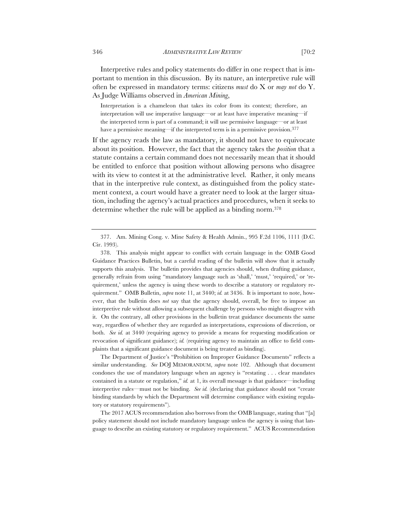Interpretive rules and policy statements do differ in one respect that is important to mention in this discussion. By its nature, an interpretive rule will often be expressed in mandatory terms: citizens *must* do X or *may not* do Y. As Judge Williams observed in *American Mining*,

Interpretation is a chameleon that takes its color from its context; therefore, an interpretation will use imperative language—or at least have imperative meaning—if the interpreted term is part of a command; it will use permissive language—or at least have a permissive meaning—if the interpreted term is in a permissive provision.<sup>377</sup>

If the agency reads the law as mandatory, it should not have to equivocate about its position. However, the fact that the agency takes the *position* that a statute contains a certain command does not necessarily mean that it should be entitled to enforce that position without allowing persons who disagree with its view to contest it at the administrative level. Rather, it only means that in the interpretive rule context, as distinguished from the policy statement context, a court would have a greater need to look at the larger situation, including the agency's actual practices and procedures, when it seeks to determine whether the rule will be applied as a binding norm.378

378. This analysis might appear to conflict with certain language in the OMB Good Guidance Practices Bulletin, but a careful reading of the bulletin will show that it actually supports this analysis. The bulletin provides that agencies should, when drafting guidance, generally refrain from using "mandatory language such as 'shall,' 'must,' 'required,' or 'requirement,' unless the agency is using these words to describe a statutory or regulatory requirement." OMB Bulletin, *supra* note 11, at 3440; *id.* at 3436. It is important to note, however, that the bulletin does *not* say that the agency should, overall, be free to impose an interpretive rule without allowing a subsequent challenge by persons who might disagree with it. On the contrary, all other provisions in the bulletin treat guidance documents the same way, regardless of whether they are regarded as interpretations, expressions of discretion, or both. *See id.* at 3440 (requiring agency to provide a means for requesting modification or revocation of significant guidance); *id.* (requiring agency to maintain an office to field complaints that a significant guidance document is being treated as binding).

The Department of Justice's "Prohibition on Improper Guidance Documents" reflects a similar understanding. *See* DOJ MEMORANDUM, *supra* note 102. Although that document condones the use of mandatory language when an agency is "restating . . . clear mandates contained in a statute or regulation," *id.* at 1, its overall message is that guidance—including interpretive rules—must not be binding. *See id.* (declaring that guidance should not "create binding standards by which the Department will determine compliance with existing regulatory or statutory requirements").

The 2017 ACUS recommendation also borrows from the OMB language, stating that "[a] policy statement should not include mandatory language unless the agency is using that language to describe an existing statutory or regulatory requirement." ACUS Recommendation

<sup>377.</sup> Am. Mining Cong. v. Mine Safety & Health Admin., 995 F.2d 1106, 1111 (D.C. Cir. 1993).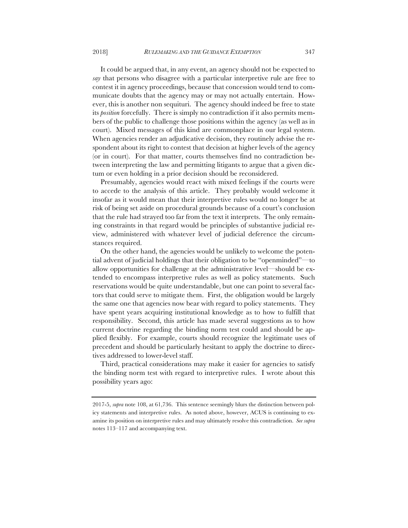It could be argued that, in any event, an agency should not be expected to *say* that persons who disagree with a particular interpretive rule are free to contest it in agency proceedings, because that concession would tend to communicate doubts that the agency may or may not actually entertain. However, this is another non sequituri. The agency should indeed be free to state its *position* forcefully. There is simply no contradiction if it also permits members of the public to challenge those positions within the agency (as well as in court). Mixed messages of this kind are commonplace in our legal system. When agencies render an adjudicative decision, they routinely advise the respondent about its right to contest that decision at higher levels of the agency (or in court). For that matter, courts themselves find no contradiction between interpreting the law and permitting litigants to argue that a given dictum or even holding in a prior decision should be reconsidered.

Presumably, agencies would react with mixed feelings if the courts were to accede to the analysis of this article. They probably would welcome it insofar as it would mean that their interpretive rules would no longer be at risk of being set aside on procedural grounds because of a court's conclusion that the rule had strayed too far from the text it interprets. The only remaining constraints in that regard would be principles of substantive judicial review, administered with whatever level of judicial deference the circumstances required.

On the other hand, the agencies would be unlikely to welcome the potential advent of judicial holdings that their obligation to be "openminded"—to allow opportunities for challenge at the administrative level—should be extended to encompass interpretive rules as well as policy statements. Such reservations would be quite understandable, but one can point to several factors that could serve to mitigate them. First, the obligation would be largely the same one that agencies now bear with regard to policy statements. They have spent years acquiring institutional knowledge as to how to fulfill that responsibility. Second, this article has made several suggestions as to how current doctrine regarding the binding norm test could and should be applied flexibly. For example, courts should recognize the legitimate uses of precedent and should be particularly hesitant to apply the doctrine to directives addressed to lower-level staff.

Third, practical considerations may make it easier for agencies to satisfy the binding norm test with regard to interpretive rules. I wrote about this possibility years ago:

<sup>2017-5,</sup> *supra* note 108, at 61,736. This sentence seemingly blurs the distinction between policy statements and interpretive rules. As noted above, however, ACUS is continuing to examine its position on interpretive rules and may ultimately resolve this contradiction. *See supra* notes 113–117 and accompanying text.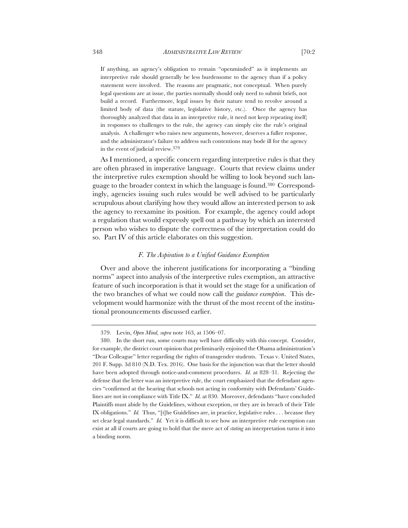If anything, an agency's obligation to remain "openminded" as it implements an interpretive rule should generally be less burdensome to the agency than if a policy statement were involved. The reasons are pragmatic, not conceptual. When purely legal questions are at issue, the parties normally should only need to submit briefs, not build a record. Furthermore, legal issues by their nature tend to revolve around a limited body of data (the statute, legislative history, etc.). Once the agency has thoroughly analyzed that data in an interpretive rule, it need not keep repeating itself; in responses to challenges to the rule, the agency can simply cite the rule's original analysis. A challenger who raises new arguments, however, deserves a fuller response, and the administrator's failure to address such contentions may bode ill for the agency in the event of judicial review.379

As I mentioned, a specific concern regarding interpretive rules is that they are often phrased in imperative language. Courts that review claims under the interpretive rules exemption should be willing to look beyond such language to the broader context in which the language is found.380 Correspondingly, agencies issuing such rules would be well advised to be particularly scrupulous about clarifying how they would allow an interested person to ask the agency to reexamine its position. For example, the agency could adopt a regulation that would expressly spell out a pathway by which an interested person who wishes to dispute the correctness of the interpretation could do so. Part IV of this article elaborates on this suggestion.

# *F. The Aspiration to a Unified Guidance Exemption*

Over and above the inherent justifications for incorporating a "binding norms" aspect into analysis of the interpretive rules exemption, an attractive feature of such incorporation is that it would set the stage for a unification of the two branches of what we could now call the *guidance exemption*. This development would harmonize with the thrust of the most recent of the institutional pronouncements discussed earlier.

<sup>379.</sup> Levin, *Open Mind, supra* note 163, at 1506–07.

<sup>380.</sup> In the short run, some courts may well have difficulty with this concept. Consider, for example, the district court opinion that preliminarily enjoined the Obama administration's "Dear Colleague" letter regarding the rights of transgender students. Texas v. United States, 201 F. Supp. 3d 810 (N.D. Tex. 2016). One basis for the injunction was that the letter should have been adopted through notice-and-comment procedures. *Id.* at 828–31. Rejecting the defense that the letter was an interpretive rule, the court emphasized that the defendant agencies "confirmed at the hearing that schools not acting in conformity with Defendants' Guidelines are not in compliance with Title IX." *Id.* at 830. Moreover, defendants "have concluded Plaintiffs must abide by the Guidelines, without exception, or they are in breach of their Title IX obligations." *Id.* Thus, "[t]he Guidelines are, in practice, legislative rules . . . because they set clear legal standards." *Id.* Yet it is difficult to see how an interpretive rule exemption can exist at all if courts are going to hold that the mere act of *stating* an interpretation turns it into a binding norm.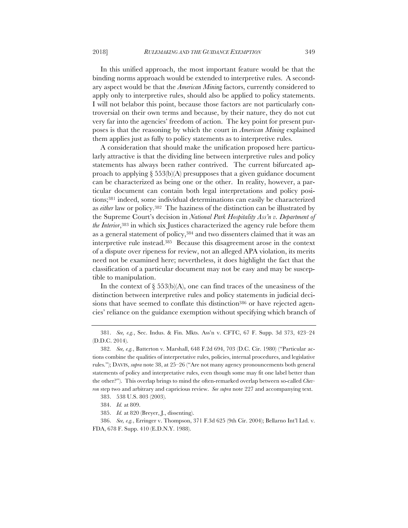In this unified approach, the most important feature would be that the binding norms approach would be extended to interpretive rules. A secondary aspect would be that the *American Mining* factors, currently considered to apply only to interpretive rules, should also be applied to policy statements. I will not belabor this point, because those factors are not particularly controversial on their own terms and because, by their nature, they do not cut very far into the agencies' freedom of action. The key point for present purposes is that the reasoning by which the court in *American Mining* explained them applies just as fully to policy statements as to interpretive rules.

A consideration that should make the unification proposed here particularly attractive is that the dividing line between interpretive rules and policy statements has always been rather contrived. The current bifurcated approach to applying  $\S 553(b)(A)$  presupposes that a given guidance document can be characterized as being one or the other. In reality, however, a particular document can contain both legal interpretations and policy positions;381 indeed, some individual determinations can easily be characterized as *either* law or policy.382 The haziness of the distinction can be illustrated by the Supreme Court's decision in *National Park Hospitality Ass'n v. Department of the Interior*,383 in which six Justices characterized the agency rule before them as a general statement of policy,384 and two dissenters claimed that it was an interpretive rule instead.385 Because this disagreement arose in the context of a dispute over ripeness for review, not an alleged APA violation, its merits need not be examined here; nevertheless, it does highlight the fact that the classification of a particular document may not be easy and may be susceptible to manipulation.

In the context of  $\S 553(b)(A)$ , one can find traces of the uneasiness of the distinction between interpretive rules and policy statements in judicial decisions that have seemed to conflate this distinction<sup>386</sup> or have rejected agencies' reliance on the guidance exemption without specifying which branch of

<sup>381.</sup> *See, e.g.*, Sec. Indus. & Fin. Mkts. Ass'n v. CFTC, 67 F. Supp. 3d 373, 423–24 (D.D.C. 2014).

<sup>382</sup>*. See, e.g.*, Batterton v. Marshall, 648 F.2d 694, 703 (D.C. Cir. 1980) ("Particular actions combine the qualities of interpretative rules, policies, internal procedures, and legislative rules."); DAVIS, *supra* note 38, at 25–26 ("Are not many agency pronouncements both general statements of policy and interpretative rules, even though some may fit one label better than the other?"). This overlap brings to mind the often-remarked overlap between so-called *Chevron* step two and arbitrary and capricious review. *See supra* note 227 and accompanying text.

<sup>383.</sup> 538 U.S. 803 (2003).

<sup>384.</sup> *Id.* at 809.

<sup>385.</sup> *Id.* at 820 (Breyer, J., dissenting).

<sup>386.</sup> *See, e.g.*, Erringer v. Thompson, 371 F.3d 625 (9th Cir. 2004); Bellarno Int'l Ltd. v. FDA, 678 F. Supp. 410 (E.D.N.Y. 1988).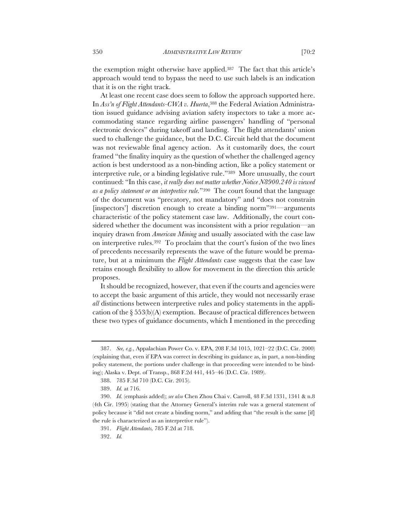the exemption might otherwise have applied.387 The fact that this article's approach would tend to bypass the need to use such labels is an indication that it is on the right track.

At least one recent case does seem to follow the approach supported here. In *Ass'n of Flight Attendants-CWA v. Huerta*,388 the Federal Aviation Administration issued guidance advising aviation safety inspectors to take a more accommodating stance regarding airline passengers' handling of "personal electronic devices" during takeoff and landing. The flight attendants' union sued to challenge the guidance, but the D.C. Circuit held that the document was not reviewable final agency action. As it customarily does, the court framed "the finality inquiry as the question of whether the challenged agency action is best understood as a non-binding action, like a policy statement or interpretive rule, or a binding legislative rule."389 More unusually, the court continued: "In this case, *it really does not matter whether Notice N8900.240 is viewed as a policy statement or an interpretive rule.*"390 The court found that the language of the document was "precatory, not mandatory" and "does not constrain [inspectors'] discretion enough to create a binding norm"391—arguments characteristic of the policy statement case law. Additionally, the court considered whether the document was inconsistent with a prior regulation—an inquiry drawn from *American Mining* and usually associated with the case law on interpretive rules.392 To proclaim that the court's fusion of the two lines of precedents necessarily represents the wave of the future would be premature, but at a minimum the *Flight Attendants* case suggests that the case law retains enough flexibility to allow for movement in the direction this article proposes.

It should be recognized, however, that even if the courts and agencies were to accept the basic argument of this article, they would not necessarily erase *all* distinctions between interpretive rules and policy statements in the application of the § 553(b)(A) exemption. Because of practical differences between these two types of guidance documents, which I mentioned in the preceding

<sup>387.</sup> *See, e.g.*, Appalachian Power Co. v. EPA, 208 F.3d 1015, 1021–22 (D.C. Cir. 2000) (explaining that, even if EPA was correct in describing its guidance as, in part, a non-binding policy statement, the portions under challenge in that proceeding were intended to be binding); Alaska v. Dept. of Transp., 868 F.2d 441, 445–46 (D.C. Cir. 1989).

<sup>388.</sup> 785 F.3d 710 (D.C. Cir. 2015).

<sup>389.</sup> *Id.* at 716.

<sup>390.</sup> *Id.* (emphasis added); *see also* Chen Zhou Chai v. Carroll, 48 F.3d 1331, 1341 & n.8 (4th Cir. 1995) (stating that the Attorney General's interim rule was a general statement of policy because it "did not create a binding norm," and adding that "the result is the same [if] the rule is characterized as an interpretive rule").

<sup>391.</sup> *Flight Attendants,* 785 F.2d at 718.

<sup>392.</sup> *Id.*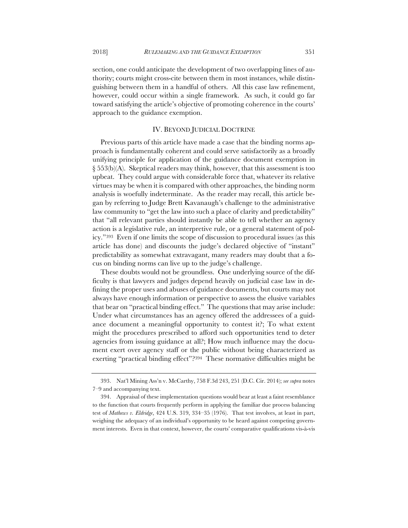section, one could anticipate the development of two overlapping lines of authority; courts might cross-cite between them in most instances, while distinguishing between them in a handful of others. All this case law refinement, however, could occur within a single framework. As such, it could go far toward satisfying the article's objective of promoting coherence in the courts' approach to the guidance exemption.

## IV. BEYOND JUDICIAL DOCTRINE

Previous parts of this article have made a case that the binding norms approach is fundamentally coherent and could serve satisfactorily as a broadly unifying principle for application of the guidance document exemption in § 553(b)(A). Skeptical readers may think, however, that this assessment is too upbeat. They could argue with considerable force that, whatever its relative virtues may be when it is compared with other approaches, the binding norm analysis is woefully indeterminate. As the reader may recall, this article began by referring to Judge Brett Kavanaugh's challenge to the administrative law community to "get the law into such a place of clarity and predictability" that "all relevant parties should instantly be able to tell whether an agency action is a legislative rule, an interpretive rule, or a general statement of policy."393 Even if one limits the scope of discussion to procedural issues (as this article has done) and discounts the judge's declared objective of "instant" predictability as somewhat extravagant, many readers may doubt that a focus on binding norms can live up to the judge's challenge.

These doubts would not be groundless. One underlying source of the difficulty is that lawyers and judges depend heavily on judicial case law in defining the proper uses and abuses of guidance documents, but courts may not always have enough information or perspective to assess the elusive variables that bear on "practical binding effect." The questions that may arise include: Under what circumstances has an agency offered the addressees of a guidance document a meaningful opportunity to contest it?; To what extent might the procedures prescribed to afford such opportunities tend to deter agencies from issuing guidance at all?; How much influence may the document exert over agency staff or the public without being characterized as exerting "practical binding effect"?394 These normative difficulties might be

<sup>393.</sup> Nat'l Mining Ass'n v. McCarthy, 758 F.3d 243, 251 (D.C. Cir. 2014); *see supra* notes 7–9 and accompanying text.

<sup>394.</sup> Appraisal of these implementation questions would bear at least a faint resemblance to the function that courts frequently perform in applying the familiar due process balancing test of *Mathews v. Eldridge*, 424 U.S. 319, 334–35 (1976). That test involves, at least in part, weighing the adequacy of an individual's opportunity to be heard against competing government interests. Even in that context, however, the courts' comparative qualifications vis-à-vis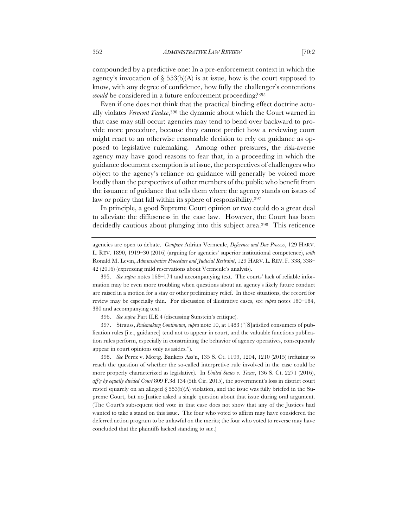compounded by a predictive one: In a pre-enforcement context in which the agency's invocation of  $\S$  553(b)(A) is at issue, how is the court supposed to know, with any degree of confidence, how fully the challenger's contentions *would* be considered in a future enforcement proceeding?395

Even if one does not think that the practical binding effect doctrine actually violates *Vermont Yankee*,396 the dynamic about which the Court warned in that case may still occur: agencies may tend to bend over backward to provide more procedure, because they cannot predict how a reviewing court might react to an otherwise reasonable decision to rely on guidance as opposed to legislative rulemaking. Among other pressures, the risk-averse agency may have good reasons to fear that, in a proceeding in which the guidance document exemption is at issue, the perspectives of challengers who object to the agency's reliance on guidance will generally be voiced more loudly than the perspectives of other members of the public who benefit from the issuance of guidance that tells them where the agency stands on issues of law or policy that fall within its sphere of responsibility.<sup>397</sup>

In principle, a good Supreme Court opinion or two could do a great deal to alleviate the diffuseness in the case law. However, the Court has been decidedly cautious about plunging into this subject area.398 This reticence

396. *See supra* Part II.E.4 (discussing Sunstein's critique).

397. Strauss, *Rulemaking Continuum*, *supra* note 10, at 1483 ("[S]atisfied consumers of publication rules [i.e., guidance] tend not to appear in court, and the valuable functions publication rules perform, especially in constraining the behavior of agency operatives, consequently appear in court opinions only as asides.").

398. *See* Perez v. Mortg. Bankers Ass'n, 135 S. Ct. 1199, 1204, 1210 (2015) (refusing to reach the question of whether the so-called interpretive rule involved in the case could be more properly characterized as legislative). In *United States v. Texas*, 136 S. Ct. 2271 (2016), *aff'g by equally divided Court* 809 F.3d 134 (5th Cir. 2015), the government's loss in district court rested squarely on an alleged  $\S$  553(b)(A) violation, and the issue was fully briefed in the Supreme Court, but no Justice asked a single question about that issue during oral argument. (The Court's subsequent tied vote in that case does not show that any of the Justices had wanted to take a stand on this issue. The four who voted to affirm may have considered the deferred action program to be unlawful on the merits; the four who voted to reverse may have concluded that the plaintiffs lacked standing to sue.)

agencies are open to debate. *Compare* Adrian Vermeule, *Deference and Due Process*, 129 HARV. L. REV. 1890, 1919–30 (2016) (arguing for agencies' superior institutional competence), *with*  Ronald M. Levin, *Administrative Procedure and Judicial Restraint*, 129 HARV. L. REV. F. 338, 338– 42 (2016) (expressing mild reservations about Vermeule's analysis).

<sup>395.</sup> *See supra* notes 168–174 and accompanying text. The courts' lack of reliable information may be even more troubling when questions about an agency's likely future conduct are raised in a motion for a stay or other preliminary relief. In those situations, the record for review may be especially thin. For discussion of illustrative cases, see *supra* notes 180–184, 380 and accompanying text.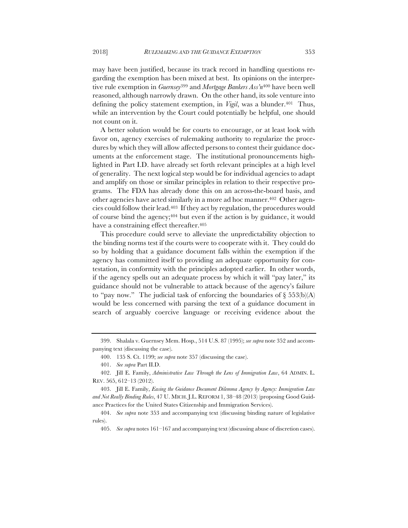may have been justified, because its track record in handling questions regarding the exemption has been mixed at best. Its opinions on the interpretive rule exemption in *Guernsey*<sup>399</sup> and *Mortgage Bankers Ass'n*<sup>400</sup> have been well reasoned, although narrowly drawn. On the other hand, its sole venture into defining the policy statement exemption, in *Vigil*, was a blunder.<sup>401</sup> Thus, while an intervention by the Court could potentially be helpful, one should not count on it.

A better solution would be for courts to encourage, or at least look with favor on, agency exercises of rulemaking authority to regularize the procedures by which they will allow affected persons to contest their guidance documents at the enforcement stage. The institutional pronouncements highlighted in Part I.D. have already set forth relevant principles at a high level of generality. The next logical step would be for individual agencies to adapt and amplify on those or similar principles in relation to their respective programs. The FDA has already done this on an across-the-board basis, and other agencies have acted similarly in a more ad hoc manner.402 Other agencies could follow their lead.403 If they act by regulation, the procedures would of course bind the agency;404 but even if the action is by guidance, it would have a constraining effect thereafter.<sup>405</sup>

This procedure could serve to alleviate the unpredictability objection to the binding norms test if the courts were to cooperate with it. They could do so by holding that a guidance document falls within the exemption if the agency has committed itself to providing an adequate opportunity for contestation, in conformity with the principles adopted earlier. In other words, if the agency spells out an adequate process by which it will "pay later," its guidance should not be vulnerable to attack because of the agency's failure to "pay now." The judicial task of enforcing the boundaries of  $\S 553(b)(A)$ would be less concerned with parsing the text of a guidance document in search of arguably coercive language or receiving evidence about the

<sup>399.</sup> Shalala v. Guernsey Mem. Hosp., 514 U.S. 87 (1995); *see supra* note 352 and accompanying text (discussing the case).

<sup>400.</sup> 135 S. Ct. 1199; *see supra* note 357 (discussing the case).

<sup>401.</sup> *See supra* Part II.D.

<sup>402.</sup> Jill E. Family, *Administrative Law Through the Lens of Immigration Law*, 64 ADMIN. L. REV. 565, 612–13 (2012).

<sup>403.</sup> Jill E. Family, *Easing the Guidance Document Dilemma Agency by Agency: Immigration Law and Not Really Binding Rules*, 47 U. MICH. J.L. REFORM 1, 38–48 (2013) (proposing Good Guidance Practices for the United States Citizenship and Immigration Services).

<sup>404.</sup> *See supra* note 353 and accompanying text (discussing binding nature of legislative rules).

<sup>405.</sup> *See supra* notes 161–167 and accompanying text (discussing abuse of discretion cases).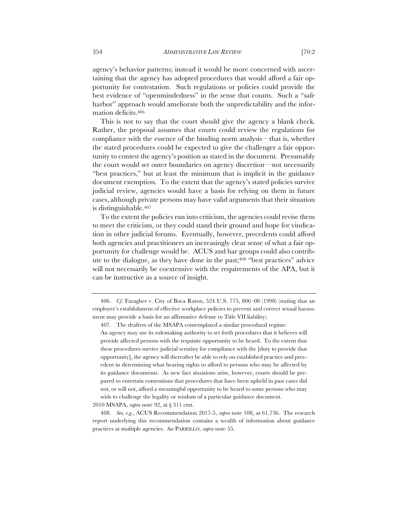agency's behavior patterns; instead it would be more concerned with ascertaining that the agency has adopted procedures that would afford a fair opportunity for contestation. Such regulations or policies could provide the best evidence of "openmindedness" in the sense that counts. Such a "safe harbor" approach would ameliorate both the unpredictability and the information deficits.406

This is not to say that the court should give the agency a blank check. Rather, the proposal assumes that courts could review the regulations for compliance with the essence of the binding norm analysis—that is, whether the stated procedures could be expected to give the challenger a fair opportunity to contest the agency's position as stated in the document. Presumably the court would set outer boundaries on agency discretion—not necessarily "best practices," but at least the minimum that is implicit in the guidance document exemption. To the extent that the agency's stated policies survive judicial review, agencies would have a basis for relying on them in future cases, although private persons may have valid arguments that their situation is distinguishable.407

To the extent the policies run into criticism, the agencies could revise them to meet the criticism, or they could stand their ground and hope for vindication in other judicial forums. Eventually, however, precedents could afford both agencies and practitioners an increasingly clear sense of what a fair opportunity for challenge would be. ACUS and bar groups could also contribute to the dialogue, as they have done in the past;408 "best practices" advice will not necessarily be coextensive with the requirements of the APA, but it can be instructive as a source of insight.

2010 MSAPA, *supra* note 92, at § 311 cmt.

<sup>406.</sup> *Cf*. Faragher v. City of Boca Raton, 524 U.S. 775, 806–08 (1998) (stating that an employer's establishment of effective workplace policies to prevent and correct sexual harassment may provide a basis for an affirmative defense to Title VII liability).

<sup>407.</sup> The drafters of the MSAPA contemplated a similar procedural regime:

An agency may use its rulemaking authority to set forth procedures that it believes will provide affected persons with the requisite opportunity to be heard. To the extent that these procedures survive judicial scrutiny for compliance with the [duty to provide that opportunity], the agency will thereafter be able to rely on established practice and precedent in determining what hearing rights to afford to persons who may be affected by its guidance documents. As new fact situations arise, however, courts should be prepared to entertain contentions that procedures that have been upheld in past cases did not, or will not, afford a meaningful opportunity to be heard to some persons who may wish to challenge the legality or wisdom of a particular guidance document.

<sup>408.</sup> *See, e.g.*, ACUS Recommendation 2017-5, *supra* note 108, at 61,736. The research report underlying this recommendation contains a wealth of information about guidance practices at multiple agencies. *See* PARRILLO, *supra* note 55.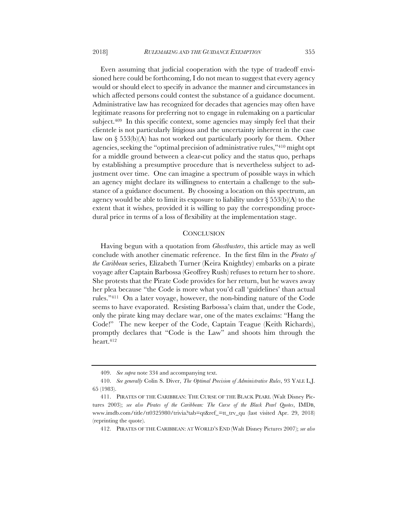Even assuming that judicial cooperation with the type of tradeoff envisioned here could be forthcoming, I do not mean to suggest that every agency would or should elect to specify in advance the manner and circumstances in which affected persons could contest the substance of a guidance document. Administrative law has recognized for decades that agencies may often have legitimate reasons for preferring not to engage in rulemaking on a particular subject.<sup>409</sup> In this specific context, some agencies may simply feel that their clientele is not particularly litigious and the uncertainty inherent in the case law on § 553(b)(A) has not worked out particularly poorly for them. Other agencies, seeking the "optimal precision of administrative rules,"410 might opt for a middle ground between a clear-cut policy and the status quo, perhaps by establishing a presumptive procedure that is nevertheless subject to adjustment over time. One can imagine a spectrum of possible ways in which an agency might declare its willingness to entertain a challenge to the substance of a guidance document. By choosing a location on this spectrum, an agency would be able to limit its exposure to liability under  $\S 553(b)(A)$  to the extent that it wishes, provided it is willing to pay the corresponding procedural price in terms of a loss of flexibility at the implementation stage.

#### **CONCLUSION**

Having begun with a quotation from *Ghostbusters*, this article may as well conclude with another cinematic reference. In the first film in the *Pirates of the Caribbean* series, Elizabeth Turner (Keira Knightley) embarks on a pirate voyage after Captain Barbossa (Geoffrey Rush) refuses to return her to shore. She protests that the Pirate Code provides for her return, but he waves away her plea because "the Code is more what you'd call 'guidelines' than actual rules."411 On a later voyage, however, the non-binding nature of the Code seems to have evaporated. Resisting Barbossa's claim that, under the Code, only the pirate king may declare war, one of the mates exclaims: "Hang the Code!" The new keeper of the Code, Captain Teague (Keith Richards), promptly declares that "Code is the Law" and shoots him through the heart.412

<sup>409.</sup> *See supra* note 334 and accompanying text.

<sup>410.</sup> *See generally* Colin S. Diver, *The Optimal Precision of Administrative Rules*, 93 YALE L.J. 65 (1983).

<sup>411.</sup> PIRATES OF THE CARIBBEAN: THE CURSE OF THE BLACK PEARL (Walt Disney Pictures 2003); *see also Pirates of the Caribbean: The Curse of the Black Pearl Quotes*, IMDB, www.imdb.com/title/tt0325980/trivia?tab=qt&ref\_=tt\_trv\_qu (last visited Apr. 29, 2018) (reprinting the quote).

<sup>412.</sup> PIRATES OF THE CARIBBEAN: AT WORLD'S END (Walt Disney Pictures 2007); *see also*